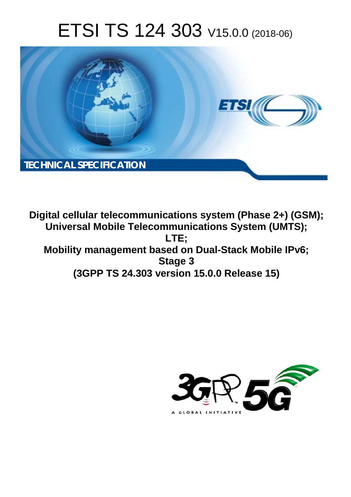# ETSI TS 124 303 V15.0.0 (2018-06)



**Digital cellular telecommunications system (Phase 2+) (GSM); Universal Mobile Telecommunications System (UMTS); LTE; Mobility management based on Dual-Stack Mobile IPv6; Stage 3 (3GPP TS 24.303 version 15.0.0 Release 15)** 

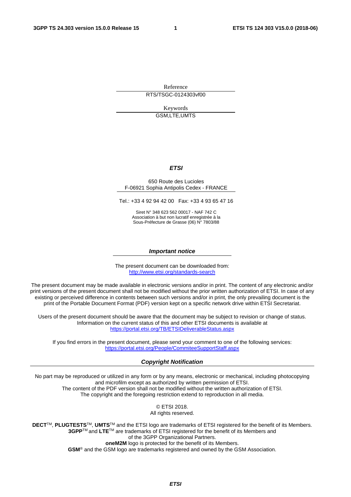Reference

RTS/TSGC-0124303vf00

Keywords GSM,LTE,UMTS

#### *ETSI*

#### 650 Route des Lucioles F-06921 Sophia Antipolis Cedex - FRANCE

Tel.: +33 4 92 94 42 00 Fax: +33 4 93 65 47 16

Siret N° 348 623 562 00017 - NAF 742 C Association à but non lucratif enregistrée à la Sous-Préfecture de Grasse (06) N° 7803/88

#### *Important notice*

The present document can be downloaded from: <http://www.etsi.org/standards-search>

The present document may be made available in electronic versions and/or in print. The content of any electronic and/or print versions of the present document shall not be modified without the prior written authorization of ETSI. In case of any existing or perceived difference in contents between such versions and/or in print, the only prevailing document is the print of the Portable Document Format (PDF) version kept on a specific network drive within ETSI Secretariat.

Users of the present document should be aware that the document may be subject to revision or change of status. Information on the current status of this and other ETSI documents is available at <https://portal.etsi.org/TB/ETSIDeliverableStatus.aspx>

If you find errors in the present document, please send your comment to one of the following services: <https://portal.etsi.org/People/CommiteeSupportStaff.aspx>

#### *Copyright Notification*

No part may be reproduced or utilized in any form or by any means, electronic or mechanical, including photocopying and microfilm except as authorized by written permission of ETSI. The content of the PDF version shall not be modified without the written authorization of ETSI. The copyright and the foregoing restriction extend to reproduction in all media.

> © ETSI 2018. All rights reserved.

**DECT**TM, **PLUGTESTS**TM, **UMTS**TM and the ETSI logo are trademarks of ETSI registered for the benefit of its Members. **3GPP**TM and **LTE**TM are trademarks of ETSI registered for the benefit of its Members and of the 3GPP Organizational Partners. **oneM2M** logo is protected for the benefit of its Members.

**GSM**® and the GSM logo are trademarks registered and owned by the GSM Association.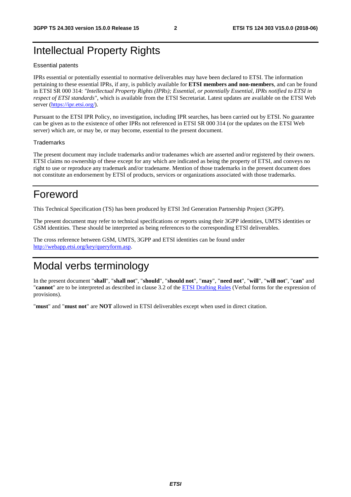## Intellectual Property Rights

#### Essential patents

IPRs essential or potentially essential to normative deliverables may have been declared to ETSI. The information pertaining to these essential IPRs, if any, is publicly available for **ETSI members and non-members**, and can be found in ETSI SR 000 314: *"Intellectual Property Rights (IPRs); Essential, or potentially Essential, IPRs notified to ETSI in respect of ETSI standards"*, which is available from the ETSI Secretariat. Latest updates are available on the ETSI Web server ([https://ipr.etsi.org/\)](https://ipr.etsi.org/).

Pursuant to the ETSI IPR Policy, no investigation, including IPR searches, has been carried out by ETSI. No guarantee can be given as to the existence of other IPRs not referenced in ETSI SR 000 314 (or the updates on the ETSI Web server) which are, or may be, or may become, essential to the present document.

#### **Trademarks**

The present document may include trademarks and/or tradenames which are asserted and/or registered by their owners. ETSI claims no ownership of these except for any which are indicated as being the property of ETSI, and conveys no right to use or reproduce any trademark and/or tradename. Mention of those trademarks in the present document does not constitute an endorsement by ETSI of products, services or organizations associated with those trademarks.

## Foreword

This Technical Specification (TS) has been produced by ETSI 3rd Generation Partnership Project (3GPP).

The present document may refer to technical specifications or reports using their 3GPP identities, UMTS identities or GSM identities. These should be interpreted as being references to the corresponding ETSI deliverables.

The cross reference between GSM, UMTS, 3GPP and ETSI identities can be found under [http://webapp.etsi.org/key/queryform.asp.](http://webapp.etsi.org/key/queryform.asp)

## Modal verbs terminology

In the present document "**shall**", "**shall not**", "**should**", "**should not**", "**may**", "**need not**", "**will**", "**will not**", "**can**" and "**cannot**" are to be interpreted as described in clause 3.2 of the [ETSI Drafting Rules](https://portal.etsi.org/Services/editHelp!/Howtostart/ETSIDraftingRules.aspx) (Verbal forms for the expression of provisions).

"**must**" and "**must not**" are **NOT** allowed in ETSI deliverables except when used in direct citation.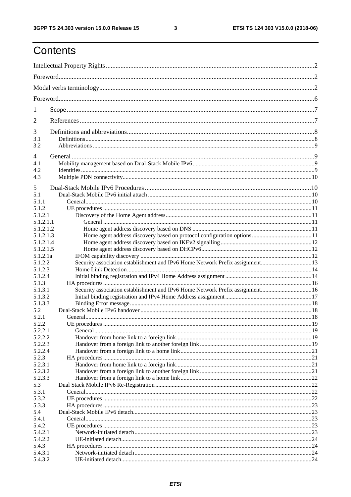$\mathbf{3}$ 

## Contents

| 1                      |                                                                               |  |
|------------------------|-------------------------------------------------------------------------------|--|
| 2                      |                                                                               |  |
| 3                      |                                                                               |  |
| 3.1<br>3.2             |                                                                               |  |
| $\overline{4}$         |                                                                               |  |
| 4.1                    |                                                                               |  |
| 4.2                    |                                                                               |  |
| 4.3                    |                                                                               |  |
| 5                      |                                                                               |  |
| 5.1                    |                                                                               |  |
| 5.1.1                  |                                                                               |  |
| 5.1.2                  |                                                                               |  |
| 5.1.2.1                |                                                                               |  |
| 5.1.2.1.1              |                                                                               |  |
| 5.1.2.1.2              |                                                                               |  |
| 5.1.2.1.3              |                                                                               |  |
| 5.1.2.1.4<br>5.1.2.1.5 |                                                                               |  |
| 5.1.2.1a               |                                                                               |  |
| 5.1.2.2                |                                                                               |  |
| 5.1.2.3                |                                                                               |  |
| 5.1.2.4                |                                                                               |  |
| 5.1.3                  |                                                                               |  |
| 5.1.3.1                | Security association establishment and IPv6 Home Network Prefix assignment 16 |  |
| 5.1.3.2                |                                                                               |  |
| 5.1.3.3                |                                                                               |  |
| 5.2                    |                                                                               |  |
| 5.2.1                  |                                                                               |  |
| 5.2.2                  |                                                                               |  |
| 5.2.2.1                |                                                                               |  |
| 5.2.2.2<br>5.2.2.3     |                                                                               |  |
| 5.2.2.4                |                                                                               |  |
| 5.2.3                  |                                                                               |  |
| 5.2.3.1                |                                                                               |  |
| 5.2.3.2                |                                                                               |  |
| 5.2.3.3                |                                                                               |  |
| 5.3                    |                                                                               |  |
| 5.3.1                  |                                                                               |  |
| 5.3.2                  |                                                                               |  |
| 5.3.3                  |                                                                               |  |
| 5.4                    |                                                                               |  |
| 5.4.1                  |                                                                               |  |
| 5.4.2                  |                                                                               |  |
| 5.4.2.1<br>5.4.2.2     |                                                                               |  |
| 5.4.3                  |                                                                               |  |
| 5.4.3.1                |                                                                               |  |
| 5.4.3.2                |                                                                               |  |
|                        |                                                                               |  |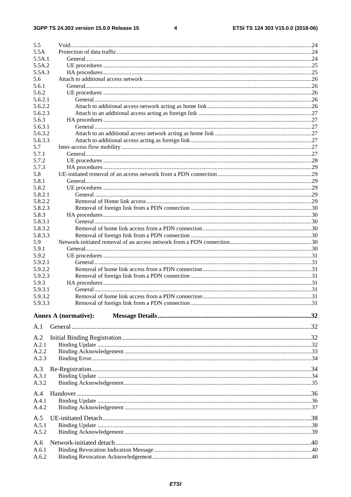$\overline{\mathbf{4}}$ 

| 5.5                |                             |  |
|--------------------|-----------------------------|--|
| 5.5A               |                             |  |
| 5.5A.1             |                             |  |
| 5.5A.2             |                             |  |
| 5.5A.3             |                             |  |
| 5.6                |                             |  |
| 5.6.1              |                             |  |
| 5.6.2              |                             |  |
| 5.6.2.1            |                             |  |
| 5.6.2.2            |                             |  |
| 5.6.2.3<br>5.6.3   |                             |  |
| 5.6.3.1            |                             |  |
| 5.6.3.2            |                             |  |
| 5.6.3.3            |                             |  |
| 5.7                |                             |  |
| 5.7.1              |                             |  |
| 5.7.2              |                             |  |
| 5.7.3              |                             |  |
| 5.8                |                             |  |
| 5.8.1              |                             |  |
| 5.8.2              |                             |  |
| 5.8.2.1            |                             |  |
| 5.8.2.2            |                             |  |
| 5.8.2.3            |                             |  |
| 5.8.3              |                             |  |
| 5.8.3.1            |                             |  |
| 5.8.3.2            |                             |  |
| 5.8.3.3            |                             |  |
| 5.9                |                             |  |
| 5.9.1              |                             |  |
| 5.9.2              |                             |  |
| 5.9.2.1            |                             |  |
| 5.9.2.2            |                             |  |
| 5.9.2.3            |                             |  |
| 5.9.3              |                             |  |
| 5.9.3.1<br>5.9.3.2 |                             |  |
|                    |                             |  |
| 5.9.3.3            |                             |  |
|                    | <b>Annex A (normative):</b> |  |
|                    |                             |  |
| A.1                |                             |  |
| A.2                |                             |  |
| A.2.1              |                             |  |
| A.2.2              |                             |  |
| A.2.3              |                             |  |
|                    |                             |  |
| A.3                |                             |  |
| A.3.1              |                             |  |
| A.3.2              |                             |  |
| A.4                |                             |  |
| A.4.1              |                             |  |
| A.4.2              |                             |  |
|                    |                             |  |
| A.5                |                             |  |
| A.5.1              |                             |  |
| A.5.2              |                             |  |
| A.6                |                             |  |
| A.6.1              |                             |  |
| A.6.2              |                             |  |
|                    |                             |  |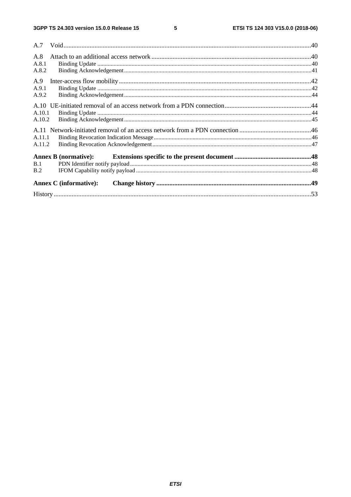| A.8    |                               |  |
|--------|-------------------------------|--|
| A.8.1  |                               |  |
| A.8.2  |                               |  |
| A.9    |                               |  |
| A.9.1  |                               |  |
| A.9.2  |                               |  |
|        |                               |  |
| A.10.1 |                               |  |
| A.10.2 |                               |  |
|        |                               |  |
| A.11.1 |                               |  |
| A.11.2 |                               |  |
|        | <b>Annex B</b> (normative):   |  |
| B.1    |                               |  |
| B.2    |                               |  |
|        | <b>Annex C</b> (informative): |  |
|        |                               |  |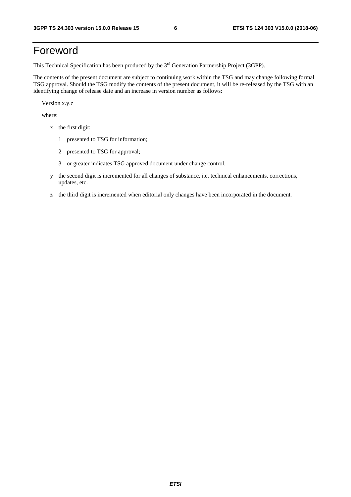## Foreword

This Technical Specification has been produced by the 3rd Generation Partnership Project (3GPP).

The contents of the present document are subject to continuing work within the TSG and may change following formal TSG approval. Should the TSG modify the contents of the present document, it will be re-released by the TSG with an identifying change of release date and an increase in version number as follows:

Version x.y.z

where:

- x the first digit:
	- 1 presented to TSG for information;
	- 2 presented to TSG for approval;
	- 3 or greater indicates TSG approved document under change control.
- y the second digit is incremented for all changes of substance, i.e. technical enhancements, corrections, updates, etc.
- z the third digit is incremented when editorial only changes have been incorporated in the document.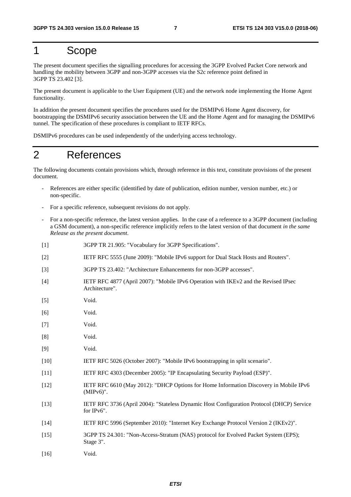## 1 Scope

The present document specifies the signalling procedures for accessing the 3GPP Evolved Packet Core network and handling the mobility between 3GPP and non-3GPP accesses via the S2c reference point defined in 3GPP TS 23.402 [3].

The present document is applicable to the User Equipment (UE) and the network node implementing the Home Agent functionality.

In addition the present document specifies the procedures used for the DSMIPv6 Home Agent discovery, for bootstrapping the DSMIPv6 security association between the UE and the Home Agent and for managing the DSMIPv6 tunnel. The specification of these procedures is compliant to IETF RFCs.

DSMIPv6 procedures can be used independently of the underlying access technology.

## 2 References

The following documents contain provisions which, through reference in this text, constitute provisions of the present document.

- References are either specific (identified by date of publication, edition number, version number, etc.) or non-specific.
- For a specific reference, subsequent revisions do not apply.
- For a non-specific reference, the latest version applies. In the case of a reference to a 3GPP document (including a GSM document), a non-specific reference implicitly refers to the latest version of that document *in the same Release as the present document*.
- [1] 3GPP TR 21.905: "Vocabulary for 3GPP Specifications".
- [2] IETF RFC 5555 (June 2009): "Mobile IPv6 support for Dual Stack Hosts and Routers".
- [3] 3GPP TS 23.402: "Architecture Enhancements for non-3GPP accesses".
- [4] IETF RFC 4877 (April 2007): "Mobile IPv6 Operation with IKEv2 and the Revised IPsec Architecture".
- [5] Void.
- [6] Void.
- [7] Void.
- [8] Void.
- [9] Void.
- [10] IETF RFC 5026 (October 2007): "Mobile IPv6 bootstrapping in split scenario".
- [11] IETF RFC 4303 (December 2005): "IP Encapsulating Security Payload (ESP)".
- [12] IETF RFC 6610 (May 2012): "DHCP Options for Home Information Discovery in Mobile IPv6 (MIPv6)".
- [13] IETF RFC 3736 (April 2004): "Stateless Dynamic Host Configuration Protocol (DHCP) Service for IPv6".
- [14] IETF RFC 5996 (September 2010): "Internet Key Exchange Protocol Version 2 (IKEv2)".
- [15] 3GPP TS 24.301: "Non-Access-Stratum (NAS) protocol for Evolved Packet System (EPS); Stage 3".
- [16] Void.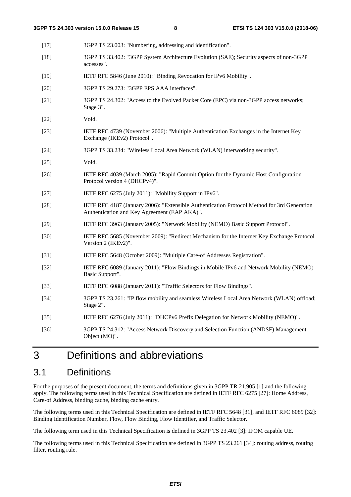[17] 3GPP TS 23.003: "Numbering, addressing and identification". [18] 3GPP TS 33.402: "3GPP System Architecture Evolution (SAE); Security aspects of non-3GPP accesses". [19] IETF RFC 5846 (June 2010): "Binding Revocation for IPv6 Mobility". [20] 3GPP TS 29.273: "3GPP EPS AAA interfaces". [21] 3GPP TS 24.302: "Access to the Evolved Packet Core (EPC) via non-3GPP access networks; Stage 3". [22] Void. [23] IETF RFC 4739 (November 2006): "Multiple Authentication Exchanges in the Internet Key Exchange (IKEv2) Protocol". [24] 3GPP TS 33.234: "Wireless Local Area Network (WLAN) interworking security". [25] Void. [26] IETF RFC 4039 (March 2005): "Rapid Commit Option for the Dynamic Host Configuration Protocol version 4 (DHCPv4)". [27] IETF RFC 6275 (July 2011): "Mobility Support in IPv6". [28] IETF RFC 4187 (January 2006): "Extensible Authentication Protocol Method for 3rd Generation Authentication and Key Agreement (EAP AKA)". [29] IETF RFC 3963 (January 2005): "Network Mobility (NEMO) Basic Support Protocol". [30] IETF RFC 5685 (November 2009): "Redirect Mechanism for the Internet Key Exchange Protocol Version 2 (IKEv2)". [31] IETF RFC 5648 (October 2009): "Multiple Care-of Addresses Registration". [32] IETF RFC 6089 (January 2011): "Flow Bindings in Mobile IPv6 and Network Mobility (NEMO) Basic Support". [33] IETF RFC 6088 (January 2011): "Traffic Selectors for Flow Bindings". [34] 3GPP TS 23.261: "IP flow mobility and seamless Wireless Local Area Network (WLAN) offload; Stage 2". [35] IETF RFC 6276 (July 2011): "DHCPv6 Prefix Delegation for Network Mobility (NEMO)". [36] 3GPP TS 24.312: "Access Network Discovery and Selection Function (ANDSF) Management Object (MO)".

## 3 Definitions and abbreviations

## 3.1 Definitions

For the purposes of the present document, the terms and definitions given in 3GPP TR 21.905 [1] and the following apply. The following terms used in this Technical Specification are defined in IETF RFC 6275 [27]: Home Address, Care-of Address, binding cache, binding cache entry.

The following terms used in this Technical Specification are defined in IETF RFC 5648 [31], and IETF RFC 6089 [32]: Binding Identification Number, Flow, Flow Binding, Flow Identifier, and Traffic Selector.

The following term used in this Technical Specification is defined in 3GPP TS 23.402 [3]: IFOM capable UE.

The following terms used in this Technical Specification are defined in 3GPP TS 23.261 [34]: routing address, routing filter, routing rule.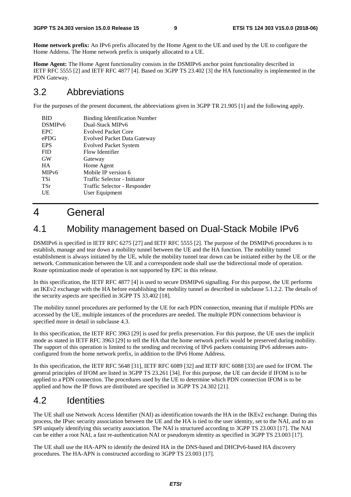**Home network prefix:** An IPv6 prefix allocated by the Home Agent to the UE and used by the UE to configure the Home Address. The Home network prefix is uniquely allocated to a UE.

**Home Agent:** The Home Agent functionality consists in the DSMIPv6 anchor point functionality described in IETF RFC 5555 [2] and IETF RFC 4877 [4]. Based on 3GPP TS 23.402 [3] the HA functionality is implemented in the PDN Gateway.

## 3.2 Abbreviations

For the purposes of the present document, the abbreviations given in 3GPP TR 21.905 [1] and the following apply.

| BID<br>DSMIP <sub>v6</sub><br><b>EPC</b><br>ePDG | <b>Binding Identification Number</b><br>Dual-Stack MIPv6<br><b>Evolved Packet Core</b><br>Evolved Packet Data Gateway |
|--------------------------------------------------|-----------------------------------------------------------------------------------------------------------------------|
| <b>EPS</b>                                       | <b>Evolved Packet System</b>                                                                                          |
| <b>FID</b>                                       | Flow Identifier                                                                                                       |
| <b>GW</b>                                        | Gateway                                                                                                               |
| <b>HA</b>                                        | Home Agent                                                                                                            |
| MIP <sub>v</sub> 6                               | Mobile IP version 6                                                                                                   |
| TSi                                              | Traffic Selector - Initiator                                                                                          |
| TSr                                              | Traffic Selector - Responder                                                                                          |
| UE                                               | User Equipment                                                                                                        |

## 4 General

## 4.1 Mobility management based on Dual-Stack Mobile IPv6

DSMIPv6 is specified in IETF RFC 6275 [27] and IETF RFC 5555 [2]. The purpose of the DSMIPv6 procedures is to establish, manage and tear down a mobility tunnel between the UE and the HA function. The mobility tunnel establishment is always initiated by the UE, while the mobility tunnel tear down can be initiated either by the UE or the network. Communication between the UE and a correspondent node shall use the bidirectional mode of operation. Route optimization mode of operation is not supported by EPC in this release.

In this specification, the IETF RFC 4877 [4] is used to secure DSMIPv6 signalling. For this purpose, the UE performs an IKEv2 exchange with the HA before establishing the mobility tunnel as described in subclause 5.1.2.2. The details of the security aspects are specified in 3GPP TS 33.402 [18].

The mobility tunnel procedures are performed by the UE for each PDN connection, meaning that if multiple PDNs are accessed by the UE, multiple instances of the procedures are needed. The multiple PDN connections behaviour is specified more in detail in subclause 4.3.

In this specification, the IETF RFC 3963 [29] is used for prefix preservation. For this purpose, the UE uses the implicit mode as stated in IETF RFC 3963 [29] to tell the HA that the home network prefix would be preserved during mobility. The support of this operation is limited to the sending and receiving of IPv6 packets containing IPv6 addresses autoconfigured from the home network prefix, in addition to the IPv6 Home Address.

In this specification, the IETF RFC 5648 [31], IETF RFC 6089 [32] and IETF RFC 6088 [33] are used for IFOM. The general principles of IFOM are listed in 3GPP TS 23.261 [34]. For this purpose, the UE can decide if IFOM is to be applied to a PDN connection. The procedures used by the UE to determine which PDN connection IFOM is to be applied and how the IP flows are distributed are specified in 3GPP TS 24.302 [21].

## 4.2 Identities

The UE shall use Network Access Identifier (NAI) as identification towards the HA in the IKEv2 exchange. During this process, the IPsec security association between the UE and the HA is tied to the user identity, set to the NAI, and to an SPI uniquely identifying this security association. The NAI is structured according to 3GPP TS 23.003 [17]. The NAI can be either a root NAI, a fast re-authentication NAI or pseudonym identity as specified in 3GPP TS 23.003 [17].

The UE shall use the HA-APN to identify the desired HA in the DNS-based and DHCPv6-based HA discovery procedures. The HA-APN is constructed according to 3GPP TS 23.003 [17].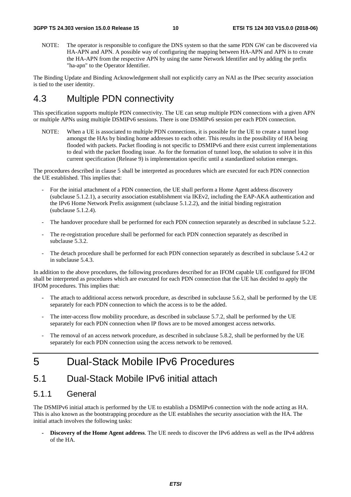NOTE: The operator is responsible to configure the DNS system so that the same PDN GW can be discovered via HA-APN and APN. A possible way of configuring the mapping between HA-APN and APN is to create the HA-APN from the respective APN by using the same Network Identifier and by adding the prefix "ha-apn" to the Operator Identifier.

The Binding Update and Binding Acknowledgement shall not explicitly carry an NAI as the IPsec security association is tied to the user identity.

## 4.3 Multiple PDN connectivity

This specification supports multiple PDN connectivity. The UE can setup multiple PDN connections with a given APN or multiple APNs using multiple DSMIPv6 sessions. There is one DSMIPv6 session per each PDN connection.

NOTE: When a UE is associated to multiple PDN connections, it is possible for the UE to create a tunnel loop amongst the HAs by binding home addresses to each other. This results in the possibility of HA being flooded with packets. Packet flooding is not specific to DSMIPv6 and there exist current implementations to deal with the packet flooding issue. As for the formation of tunnel loop, the solution to solve it in this current specification (Release 9) is implementation specific until a standardized solution emerges.

The procedures described in clause 5 shall be interpreted as procedures which are executed for each PDN connection the UE established. This implies that:

- For the initial attachment of a PDN connection, the UE shall perform a Home Agent address discovery (subclause 5.1.2.1), a security association establishment via IKEv2, including the EAP-AKA authentication and the IPv6 Home Network Prefix assignment (subclause 5.1.2.2), and the initial binding registration (subclause 5.1.2.4).
- The handover procedure shall be performed for each PDN connection separately as described in subclause 5.2.2.
- The re-registration procedure shall be performed for each PDN connection separately as described in subclause 5.3.2.
- The detach procedure shall be performed for each PDN connection separately as described in subclause 5.4.2 or in subclause 5.4.3.

In addition to the above procedures, the following procedures described for an IFOM capable UE configured for IFOM shall be interpreted as procedures which are executed for each PDN connection that the UE has decided to apply the IFOM procedures. This implies that:

- The attach to additional access network procedure, as described in subclause 5.6.2, shall be performed by the UE separately for each PDN connection to which the access is to be the added.
- The inter-access flow mobility procedure, as described in subclause 5.7.2, shall be performed by the UE separately for each PDN connection when IP flows are to be moved amongest access networks.
- The removal of an access network procedure, as described in subclause 5.8.2, shall be performed by the UE separately for each PDN connection using the access network to be removed.

## 5 Dual-Stack Mobile IPv6 Procedures

## 5.1 Dual-Stack Mobile IPv6 initial attach

### 5.1.1 General

The DSMIPv6 initial attach is performed by the UE to establish a DSMIPv6 connection with the node acting as HA. This is also known as the bootstrapping procedure as the UE establishes the security association with the HA. The initial attach involves the following tasks:

**- Discovery of the Home Agent address**. The UE needs to discover the IPv6 address as well as the IPv4 address of the HA.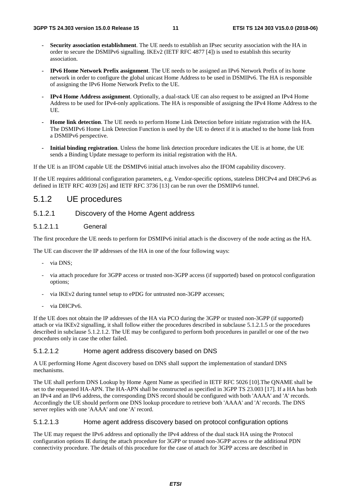- **Security association establishment**. The UE needs to establish an IPsec security association with the HA in order to secure the DSMIPv6 signalling. IKEv2 (IETF RFC 4877 [4]) is used to establish this security association.
- **IPv6 Home Network Prefix assignment**. The UE needs to be assigned an IPv6 Network Prefix of its home network in order to configure the global unicast Home Address to be used in DSMIPv6. The HA is responsible of assigning the IPv6 Home Network Prefix to the UE.
- **IPv4 Home Address assignment**. Optionally, a dual-stack UE can also request to be assigned an IPv4 Home Address to be used for IPv4-only applications. The HA is responsible of assigning the IPv4 Home Address to the UE.
- **Home link detection**. The UE needs to perform Home Link Detection before initiate registration with the HA. The DSMIPv6 Home Link Detection Function is used by the UE to detect if it is attached to the home link from a DSMIPv6 perspective.
- **Initial binding registration**. Unless the home link detection procedure indicates the UE is at home, the UE sends a Binding Update message to perform its initial registration with the HA.

If the UE is an IFOM capable UE the DSMIPv6 initial attach involves also the IFOM capability discovery.

If the UE requires additional configuration parameters, e.g. Vendor-specific options, stateless DHCPv4 and DHCPv6 as defined in IETF RFC 4039 [26] and IETF RFC 3736 [13] can be run over the DSMIPv6 tunnel.

### 5.1.2 UE procedures

### 5.1.2.1 Discovery of the Home Agent address

#### 5.1.2.1.1 General

The first procedure the UE needs to perform for DSMIPv6 initial attach is the discovery of the node acting as the HA.

The UE can discover the IP addresses of the HA in one of the four following ways:

- via DNS:
- via attach procedure for 3GPP access or trusted non-3GPP access (if supported) based on protocol configuration options;
- via IKEv2 during tunnel setup to ePDG for untrusted non-3GPP accesses;
- via DHCPv6.

If the UE does not obtain the IP addresses of the HA via PCO during the 3GPP or trusted non-3GPP (if supported) attach or via IKEv2 signalling, it shall follow either the procedures described in subclause 5.1.2.1.5 or the procedures described in subclause 5.1.2.1.2. The UE may be configured to perform both procedures in parallel or one of the two procedures only in case the other failed.

#### 5.1.2.1.2 Home agent address discovery based on DNS

A UE performing Home Agent discovery based on DNS shall support the implementation of standard DNS mechanisms.

The UE shall perform DNS Lookup by Home Agent Name as specified in IETF RFC 5026 [10].The QNAME shall be set to the requested HA-APN. The HA-APN shall be constructed as specified in 3GPP TS 23.003 [17]. If a HA has both an IPv4 and an IPv6 address, the corresponding DNS record should be configured with both 'AAAA' and 'A' records. Accordingly the UE should perform one DNS lookup procedure to retrieve both 'AAAA' and 'A' records. The DNS server replies with one 'AAAA' and one 'A' record.

#### 5.1.2.1.3 Home agent address discovery based on protocol configuration options

The UE may request the IPv6 address and optionally the IPv4 address of the dual stack HA using the Protocol configuration options IE during the attach procedure for 3GPP or trusted non-3GPP access or the additional PDN connectivity procedure. The details of this procedure for the case of attach for 3GPP access are described in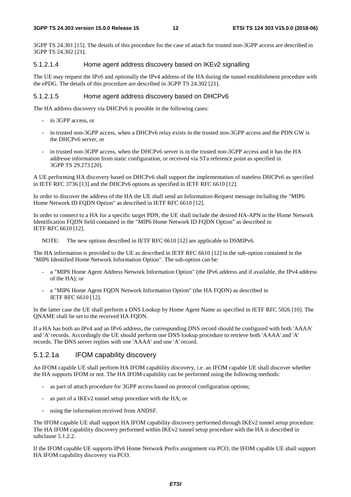3GPP TS 24.301 [15]. The details of this procedure for the case of attach for trusted non-3GPP access are described in 3GPP TS 24.302 [21].

#### 5.1.2.1.4 Home agent address discovery based on IKEv2 signalling

The UE may request the IPv6 and optionally the IPv4 address of the HA during the tunnel establishment procedure with the ePDG. The details of this procedure are described in 3GPP TS 24.302 [21].

#### 5.1.2.1.5 Home agent address discovery based on DHCPv6

The HA address discovery via DHCPv6 is possible in the following cases:

- in 3GPP access, or
- in trusted non-3GPP access, when a DHCPv6 relay exists in the trusted non-3GPP access and the PDN GW is the DHCPv6 server, or
- in trusted non-3GPP access, when the DHCPv6 server is in the trusted non-3GPP access and it has the HA addresse information from static configuration, or received via STa reference point as specified in 3GPP TS 29.273 [20].

A UE performing HA discovery based on DHCPv6 shall support the implementation of stateless DHCPv6 as specified in IETF RFC 3736 [13] and the DHCPv6 options as specified in IETF RFC 6610 [12].

In order to discover the address of the HA the UE shall send an Information-Request message including the "MIP6 Home Network ID FQDN Option" as described in IETF RFC 6610 [12].

In order to connect to a HA for a specific target PDN, the UE shall include the desired HA-APN in the Home Network Identification FQDN field contained in the "MIP6 Home Network ID FQDN Option" as described in IETF RFC 6610 [12].

NOTE: The new options described in IETF RFC 6610 [12] are applicable to DSMIPv6.

The HA information is provided to the UE as described in IETF RFC 6610 [12] in the sub-option contained in the "MIP6 Identified Home Network Information Option". The sub-option can be:

- a "MIP6 Home Agent Address Network Information Option" (the IPv6 address and if available, the IPv4 address of the HA); or
- a "MIP6 Home Agent FQDN Network Information Option" (the HA FQDN) as described in IETF RFC 6610 [12].

In the latter case the UE shall perform a DNS Lookup by Home Agent Name as specified in IETF RFC 5026 [10]. The QNAME shall be set to the received HA FQDN.

If a HA has both an IPv4 and an IPv6 address, the corresponding DNS record should be configured with both 'AAAA' and 'A' records. Accordingly the UE should perform one DNS lookup procedure to retrieve both 'AAAA' and 'A' records. The DNS server replies with one 'AAAA' and one 'A' record.

### 5.1.2.1a IFOM capability discovery

An IFOM capable UE shall perform HA IFOM capability discovery, i.e. an IFOM capable UE shall discover whether the HA supports IFOM or not. The HA IFOM capability can be performed using the following methods:

- as part of attach procedure for 3GPP access based on protocol configuration options;
- as part of a IKEv2 tunnel setup procedure with the HA; or
- using the information received from ANDSF.

The IFOM capable UE shall support HA IFOM capability discovery performed through IKEv2 tunnel setup procedure. The HA IFOM capability discovery performed within IKEv2 tunnel setup procedure with the HA is described in subclause 5.1.2.2.

If the IFOM capable UE supports IPv6 Home Network Prefix assignment via PCO, the IFOM capable UE shall support HA IFOM capability discovery via PCO.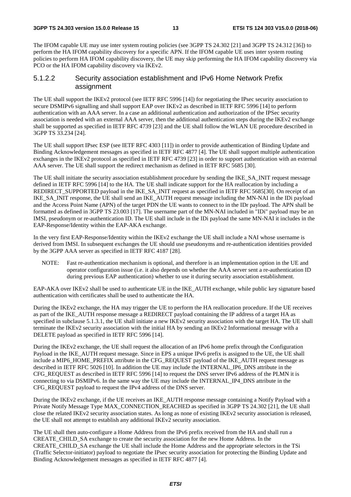The IFOM capable UE may use inter system routing policies (see 3GPP TS 24.302 [21] and 3GPP TS 24.312 [36]) to perform the HA IFOM capability discovery for a specific APN. If the IFOM capable UE uses inter system routing policies to perform HA IFOM capability discovery, the UE may skip performing the HA IFOM capability discovery via PCO or the HA IFOM capability discovery via IKEv2.

### 5.1.2.2 Security association establishment and IPv6 Home Network Prefix assignment

The UE shall support the IKEv2 protocol (see IETF RFC 5996 [14]) for negotiating the IPsec security association to secure DSMIPv6 signalling and shall support EAP over IKEv2 as described in IETF RFC 5996 [14] to perform authentication with an AAA server. In a case an additional authentication and authorization of the IPSec security association is needed with an external AAA server, then the additional authentication steps during the IKEv2 exchange shall be supported as specified in IETF RFC 4739 [23] and the UE shall follow the WLAN UE procedure described in 3GPP TS 33.234 [24].

The UE shall support IPsec ESP (see IETF RFC 4303 [11]) in order to provide authentication of Binding Update and Binding Acknowledgement messages as specified in IETF RFC 4877 [4]. The UE shall support multiple authentication exchanges in the IKEv2 protocol as specified in IETF RFC 4739 [23] in order to support authentication with an external AAA server. The UE shall support the redirect mechanism as defined in IETF RFC 5685 [30].

The UE shall initiate the security association establishment procedure by sending the IKE\_SA\_INIT request message defined in IETF RFC 5996 [14] to the HA. The UE shall indicate support for the HA reallocation by including a REDIRECT\_SUPPORTED payload in the IKE\_SA\_INIT request as specified in IETF RFC 5685[30]. On receipt of an IKE\_SA\_INIT response, the UE shall send an IKE\_AUTH request message including the MN-NAI in the IDi payload and the Access Point Name (APN) of the target PDN the UE wants to connect to in the IDr payload. The APN shall be formatted as defined in 3GPP TS 23.003 [17]. The username part of the MN-NAI included in "IDi" payload may be an IMSI, pseudonym or re-authentication ID. The UE shall include in the IDi payload the same MN-NAI it includes in the EAP-Response/Identity within the EAP-AKA exchange.

In the very first EAP-Response/Identity within the IKEv2 exchange the UE shall include a NAI whose username is derived from IMSI. In subsequent exchanges the UE should use pseudonyms and re-authentication identities provided by the 3GPP AAA server as specified in IETF RFC 4187 [28].

NOTE: Fast re-authentication mechanism is optional, and therefore is an implementation option in the UE and operator configuration issue (i.e. it also depends on whether the AAA server sent a re-authentication ID during previous EAP authentication) whether to use it during security association establishment.

EAP-AKA over IKEv2 shall be used to authenticate UE in the IKE\_AUTH exchange, while public key signature based authentication with certificates shall be used to authenticate the HA.

During the IKEv2 exchange, the HA may trigger the UE to perform the HA reallocation procedure. If the UE receives as part of the IKE\_AUTH response message a REDIRECT payload containing the IP address of a target HA as specified in subclause 5.1.3.1, the UE shall initiate a new IKEv2 security association with the target HA. The UE shall terminate the IKEv2 security association with the initial HA by sending an IKEv2 Informational message with a DELETE payload as specified in IETF RFC 5996 [14].

During the IKEv2 exchange, the UE shall request the allocation of an IPv6 home prefix through the Configuration Payload in the IKE\_AUTH request message. Since in EPS a unique IPv6 prefix is assigned to the UE, the UE shall include a MIP6\_HOME\_PREFIX attribute in the CFG\_REQUEST payload of the IKE\_AUTH request message as described in IETF RFC 5026 [10]. In addition the UE may include the INTERNAL\_IP6\_DNS attribute in the CFG\_REQUEST as described in IETF RFC 5996 [14] to request the DNS server IPv6 address of the PLMN it is connecting to via DSMIPv6. In the same way the UE may include the INTERNAL\_IP4\_DNS attribute in the CFG\_REQUEST payload to request the IPv4 address of the DNS server.

During the IKEv2 exchange, if the UE receives an IKE\_AUTH response message containing a Notify Payload with a Private Notify Message Type MAX\_CONNECTION\_REACHED as specified in 3GPP TS 24.302 [21], the UE shall close the related IKEv2 security association states. As long as none of existing IKEv2 security association is released, the UE shall not attempt to establish any additional IKEv2 security association.

The UE shall then auto-configure a Home Address from the IPv6 prefix received from the HA and shall run a CREATE\_CHILD\_SA exchange to create the security association for the new Home Address. In the CREATE\_CHILD\_SA exchange the UE shall include the Home Address and the appropriate selectors in the TSi (Traffic Selector-initiator) payload to negotiate the IPsec security association for protecting the Binding Update and Binding Acknowledgement messages as specified in IETF RFC 4877 [4].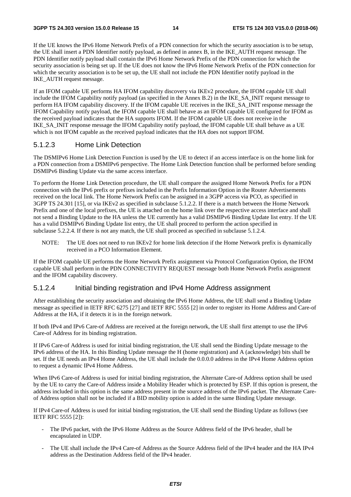#### **3GPP TS 24.303 version 15.0.0 Release 15 14 ETSI TS 124 303 V15.0.0 (2018-06)**

If the UE knows the IPv6 Home Network Prefix of a PDN connection for which the security association is to be setup, the UE shall insert a PDN Identifier notify payload, as defined in annex B, in the IKE\_AUTH request message. The PDN Identifier notify payload shall contain the IPv6 Home Network Prefix of the PDN connection for which the security association is being set up. If the UE does not know the IPv6 Home Network Prefix of the PDN connection for which the security association is to be set up, the UE shall not include the PDN Identifier notify payload in the IKE\_AUTH request message.

If an IFOM capable UE performs HA IFOM capability discovery via IKEv2 procedure, the IFOM capable UE shall include the IFOM Capability notify payload (as specified in the Annex B.2) in the IKE\_SA\_INIT request message to perform HA IFOM capability discovery. If the IFOM capable UE receives in the IKE\_SA\_INIT response message the IFOM Capability notify payload, the IFOM capable UE shall behave as an IFOM capable UE configured for IFOM as the received payload indicates that the HA supports IFOM. If the IFOM capable UE does not receive in the IKE\_SA\_INIT response message the IFOM Capability notify payload, the IFOM capable UE shall behave as a UE which is not IFOM capable as the received payload indicates that the HA does not support IFOM.

### 5.1.2.3 Home Link Detection

The DSMIPv6 Home Link Detection Function is used by the UE to detect if an access interface is on the home link for a PDN connection from a DSMIPv6 perspective. The Home Link Detection function shall be performed before sending DSMIPv6 Binding Update via the same access interface.

To perform the Home Link Detection procedure, the UE shall compare the assigned Home Network Prefix for a PDN connection with the IPv6 prefix or prefixes included in the Prefix Information Option in the Router Advertisements received on the local link. The Home Network Prefix can be assigned in a 3GPP access via PCO, as specified in 3GPP TS 24.301 [15], or via IKEv2 as specified in subclause 5.1.2.2. If there is a match between the Home Network Prefix and one of the local prefixes, the UE is attached on the home link over the respective access interface and shall not send a Binding Update to the HA unless the UE currently has a valid DSMIPv6 Binding Update list entry. If the UE has a valid DSMIPv6 Binding Update list entry, the UE shall proceed to perform the action specified in subclause 5.2.2.4. If there is not any match, the UE shall proceed as specified in subclause 5.1.2.4.

NOTE: The UE does not need to run IKEv2 for home link detection if the Home Network prefix is dynamically received in a PCO Information Element.

If the IFOM capable UE performs the Home Network Prefix assignment via Protocol Configuration Option, the IFOM capable UE shall perform in the PDN CONNECTIVITY REQUEST message both Home Network Prefix assignment and the IFOM capability discovery.

### 5.1.2.4 Initial binding registration and IPv4 Home Address assignment

After establishing the security association and obtaining the IPv6 Home Address, the UE shall send a Binding Update message as specified in IETF RFC 6275 [27] and IETF RFC 5555 [2] in order to register its Home Address and Care-of Address at the HA, if it detects it is in the foreign network.

If both IPv4 and IPv6 Care-of Address are received at the foreign network, the UE shall first attempt to use the IPv6 Care-of Address for its binding registration.

If IPv6 Care-of Address is used for initial binding registration, the UE shall send the Binding Update message to the IPv6 address of the HA. In this Binding Update message the H (home registration) and A (acknowledge) bits shall be set. If the UE needs an IPv4 Home Address, the UE shall include the 0.0.0.0 address in the IPv4 Home Address option to request a dynamic IPv4 Home Address.

When IPv6 Care-of Address is used for initial binding registration, the Alternate Care-of Address option shall be used by the UE to carry the Care-of Address inside a Mobility Header which is protected by ESP. If this option is present, the address included in this option is the same address present in the source address of the IPv6 packet. The Alternate Careof Address option shall not be included if a BID mobility option is added in the same Binding Update message.

If IPv4 Care-of Address is used for initial binding registration, the UE shall send the Binding Update as follows (see IETF RFC 5555 [2]):

- The IPv6 packet, with the IPv6 Home Address as the Source Address field of the IPv6 header, shall be encapsulated in UDP.
- The UE shall include the IPv4 Care-of Address as the Source Address field of the IPv4 header and the HA IPv4 address as the Destination Address field of the IPv4 header.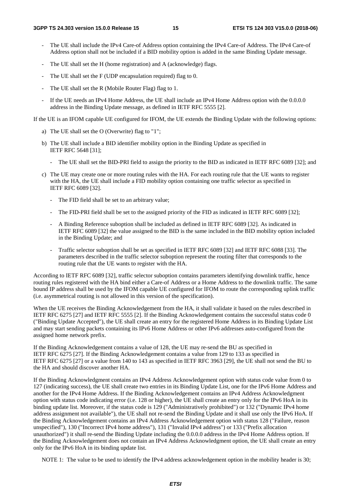- The UE shall include the IPv4 Care-of Address option containing the IPv4 Care-of Address. The IPv4 Care-of Address option shall not be included if a BID mobility option is added in the same Binding Update message.
- The UE shall set the H (home registration) and A (acknowledge) flags.
- The UE shall set the F (UDP encapsulation required) flag to 0.
- The UE shall set the R (Mobile Router Flag) flag to 1.
- If the UE needs an IPv4 Home Address, the UE shall include an IPv4 Home Address option with the 0.0.0.0 address in the Binding Update message, as defined in IETF RFC 5555 [2].

If the UE is an IFOM capable UE configured for IFOM, the UE extends the Binding Update with the following options:

- a) The UE shall set the O (Overwrite) flag to "1";
- b) The UE shall include a BID identifier mobility option in the Binding Update as specified in IETF RFC 5648 [31];
	- The UE shall set the BID-PRI field to assign the priority to the BID as indicated in IETF RFC 6089 [32]; and
- c) The UE may create one or more routing rules with the HA. For each routing rule that the UE wants to register with the HA, the UE shall include a FID mobility option containing one traffic selector as specified in IETF RFC 6089 [32].
	- The FID field shall be set to an arbitrary value;
	- The FID-PRI field shall be set to the assigned priority of the FID as indicated in IETF RFC 6089 [32];
	- A Binding Reference suboption shall be included as defined in IETF RFC 6089 [32]. As indicated in IETF RFC 6089 [32] the value assigned to the BID is the same included in the BID mobility option included in the Binding Update; and
	- Traffic selector suboption shall be set as specified in IETF RFC 6089 [32] and IETF RFC 6088 [33]. The parameters described in the traffic selector suboption represent the routing filter that corresponds to the routing rule that the UE wants to register with the HA.

According to IETF RFC 6089 [32], traffic selector suboption contains parameters identifying downlink traffic, hence routing rules registered with the HA bind either a Care-of Address or a Home Address to the downlink traffic. The same bound IP address shall be used by the IFOM capable UE configured for IFOM to route the corresponding uplink traffic (i.e. asymmetrical routing is not allowed in this version of the specification).

When the UE receives the Binding Acknowledgement from the HA, it shall validate it based on the rules described in IETF RFC 6275 [27] and IETF RFC 5555 [2]. If the Binding Acknowledgement contains the successful status code 0 ("Binding Update Accepted"), the UE shall create an entry for the registered Home Address in its Binding Update List and may start sending packets containing its IPv6 Home Address or other IPv6 addresses auto-configured from the assigned home network prefix.

If the Binding Acknowledgement contains a value of 128, the UE may re-send the BU as specified in IETF RFC 6275 [27]. If the Binding Acknowledgement contains a value from 129 to 133 as specified in IETF RFC 6275 [27] or a value from 140 to 143 as specified in IETF RFC 3963 [29], the UE shall not send the BU to the HA and should discover another HA.

If the Binding Acknowledgment contains an IPv4 Address Acknowledgement option with status code value from 0 to 127 (indicating success), the UE shall create two entries in its Binding Update List, one for the IPv6 Home Address and another for the IPv4 Home Address. If the Binding Acknowledgement contains an IPv4 Address Acknowledgment option with status code indicating error (i.e. 128 or higher), the UE shall create an entry only for the IPv6 HoA in its binding update list. Moreover, if the status code is 129 ("Administratively prohibited") or 132 ("Dynamic IPv4 home address assignment not available"), the UE shall not re-send the Binding Update and it shall use only the IPv6 HoA. If the Binding Acknowledgement contains an IPv4 Address Acknowledgement option with status 128 ("Failure, reason unspecified"), 130 ("Incorrect IPv4 home address"), 131 ("Invalid IPv4 address") or 133 ("Prefix allocation unauthorized") it shall re-send the Binding Update including the 0.0.0.0 address in the IPv4 Home Address option. If the Binding Acknowledgement does not contain an IPv4 Address Acknowledgment option, the UE shall create an entry only for the IPv6 HoA in its binding update list.

NOTE 1: The value to be used to identify the IPv4 address acknowledgement option in the mobility header is 30;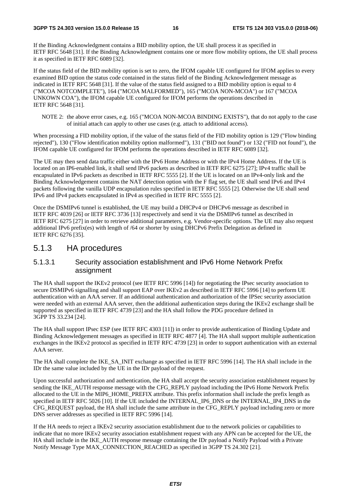If the Binding Acknowledgment contains a BID mobility option, the UE shall process it as specified in IETF RFC 5648 [31]. If the Binding Acknowledgment contains one or more flow mobility options, the UE shall process it as specified in IETF RFC 6089 [32].

If the status field of the BID mobility option is set to zero, the IFOM capable UE configured for IFOM applies to every examined BID option the status code contained in the status field of the Binding Acknowledgement message as indicated in IETF RFC 5648 [31]. If the value of the status field assigned to a BID mobility option is equal to 4 ("MCOA NOTCOMPLETE"), 164 ("MCOA MALFORMED"), 165 ("MCOA NON-MCOA") or 167 ("MCOA UNKOWN COA"), the IFOM capable UE configured for IFOM performs the operations described in IETF RFC 5648 [31].

NOTE 2: the above error cases, e.g. 165 ("MCOA NON-MCOA BINDING EXISTS"), that do not apply to the case of initial attach can apply to other use cases (e.g. attach to additional access).

When processing a FID mobility option, if the value of the status field of the FID mobility option is 129 ("Flow binding rejected"), 130 ("Flow identification mobility option malformed"), 131 ("BID not found") or 132 ("FID not found"), the IFOM capable UE configured for IFOM performs the operations described in IETF RFC 6089 [32].

The UE may then send data traffic either with the IPv6 Home Address or with the IPv4 Home Address. If the UE is located on an IP6-enabled link, it shall send IPv6 packets as described in IETF RFC 6275 [27]; IPv4 traffic shall be encapsulated in IPv6 packets as described in IETF RFC 5555 [2]. If the UE is located on an IPv4-only link and the Binding Acknowledgement contains the NAT detection option with the F flag set, the UE shall send IPv6 and IPv4 packets following the vanilla UDP encapsulation rules specified in IETF RFC 5555 [2]. Otherwise the UE shall send IPv6 and IPv4 packets encapsulated in IPv4 as specified in IETF RFC 5555 [2].

Once the DSMIPv6 tunnel is established, the UE may build a DHCPv4 or DHCPv6 message as described in IETF RFC 4039 [26] or IETF RFC 3736 [13] respectively and send it via the DSMIPv6 tunnel as described in IETF RFC 6275 [27] in order to retrieve additional parameters, e.g. Vendor-specific options. The UE may also request additional IPv6 prefix(es) with length of /64 or shorter by using DHCPv6 Prefix Delegation as defined in IETF RFC 6276 [35].

### 5.1.3 HA procedures

### 5.1.3.1 Security association establishment and IPv6 Home Network Prefix assignment

The HA shall support the IKEv2 protocol (see IETF RFC 5996 [14]) for negotiating the IPsec security association to secure DSMIPv6 signalling and shall support EAP over IKEv2 as described in IETF RFC 5996 [14] to perform UE authentication with an AAA server. If an additional authentication and authorization of the IPSec security association were needed with an external AAA server, then the additional authentication steps during the IKEv2 exchange shall be supported as specified in IETF RFC 4739 [23] and the HA shall follow the PDG procedure defined in 3GPP TS 33.234 [24].

The HA shall support IPsec ESP (see IETF RFC 4303 [11]) in order to provide authentication of Binding Update and Binding Acknowledgement messages as specified in IETF RFC 4877 [4]. The HA shall support multiple authentication exchanges in the IKEv2 protocol as specified in IETF RFC 4739 [23] in order to support authentication with an external AAA server.

The HA shall complete the IKE\_SA\_INIT exchange as specified in IETF RFC 5996 [14]. The HA shall include in the IDr the same value included by the UE in the IDr payload of the request.

Upon successful authorization and authentication, the HA shall accept the security association establishment request by sending the IKE\_AUTH response message with the CFG\_REPLY payload including the IPv6 Home Network Prefix allocated to the UE in the MIP6\_HOME\_PREFIX attribute. This prefix information shall include the prefix length as specified in IETF RFC 5026 [10]. If the UE included the INTERNAL IP6 DNS or the INTERNAL IP4 DNS in the CFG\_REQUEST payload, the HA shall include the same attribute in the CFG\_REPLY payload including zero or more DNS server addresses as specified in IETF RFC 5996 [14].

If the HA needs to reject a IKEv2 security association establishment due to the network policies or capabilities to indicate that no more IKEv2 security association establishment request with any APN can be accepted for the UE, the HA shall include in the IKE\_AUTH response message containing the IDr payload a Notify Payload with a Private Notify Message Type MAX\_CONNECTION\_REACHED as specified in 3GPP TS 24.302 [21].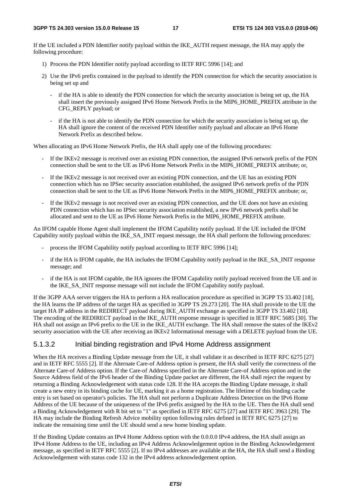If the UE included a PDN Identifier notify payload within the IKE\_AUTH request message, the HA may apply the following procedure:

- 1) Process the PDN Identifier notify payload according to IETF RFC 5996 [14]; and
- 2) Use the IPv6 prefix contained in the payload to identify the PDN connection for which the security association is being set up and
	- if the HA is able to identify the PDN connection for which the security association is being set up, the HA shall insert the previously assigned IPv6 Home Network Prefix in the MIP6\_HOME\_PREFIX attribute in the CFG\_REPLY payload; or
	- if the HA is not able to identify the PDN connection for which the security association is being set up, the HA shall ignore the content of the received PDN Identifier notify payload and allocate an IPv6 Home Network Prefix as described below.

When allocating an IPv6 Home Network Prefix, the HA shall apply one of the following procedures:

- If the IKEv2 message is received over an existing PDN connection, the assigned IPv6 network prefix of the PDN connection shall be sent to the UE as IPv6 Home Network Prefix in the MIP6\_HOME\_PREFIX attribute; or,
- If the IKEv2 message is not received over an existing PDN connection, and the UE has an existing PDN connection which has no IPSec security association established, the assigned IPv6 network prefix of the PDN connection shall be sent to the UE as IPv6 Home Network Prefix in the MIP6\_HOME\_PREFIX attribute; or,
- If the IKEv2 message is not received over an existing PDN connection, and the UE does not have an existing PDN connection which has no IPSec security association established, a new IPv6 network prefix shall be allocated and sent to the UE as IPv6 Home Network Prefix in the MIP6\_HOME\_PREFIX attribute.

An IFOM capable Home Agent shall implement the IFOM Capability notify payload. If the UE included the IFOM Capability notify payload within the IKE\_SA\_INIT request message, the HA shall perform the following procedures:

- process the IFOM Capability notify payload according to IETF RFC 5996 [14];
- if the HA is IFOM capable, the HA includes the IFOM Capability notify payload in the IKE\_SA\_INIT response message; and
- if the HA is not IFOM capable, the HA ignores the IFOM Capability notify payload received from the UE and in the IKE\_SA\_INIT response message will not include the IFOM Capability notify payload.

If the 3GPP AAA server triggers the HA to perform a HA reallocation procedure as specified in 3GPP TS 33.402 [18], the HA learns the IP address of the target HA as specified in 3GPP TS 29.273 [20]. The HA shall provide to the UE the target HA IP address in the REDIRECT payload during IKE\_AUTH exchange as specified in 3GPP TS 33.402 [18]. The encoding of the REDIRECT payload in the IKE\_AUTH response message is specified in IETF RFC 5685 [30]. The HA shall not assign an IPv6 prefix to the UE in the IKE\_AUTH exchange. The HA shall remove the states of the IKEv2 security association with the UE after receiving an IKEv2 Informational message with a DELETE payload from the UE.

### 5.1.3.2 Initial binding registration and IPv4 Home Address assignment

When the HA receives a Binding Update message from the UE, it shall validate it as described in IETF RFC 6275 [27] and in IETF RFC 5555 [2]. If the Alternate Care-of Address option is present, the HA shall verify the correctness of the Alternate Care-of Address option. If the Care-of Address specified in the Alternate Care-of Address option and in the Source Address field of the IPv6 header of the Binding Update packet are different, the HA shall reject the request by returning a Binding Acknowledgement with status code 128. If the HA accepts the Binding Update message, it shall create a new entry in its binding cache for UE, marking it as a home registration. The lifetime of this binding cache entry is set based on operator's policies. The HA shall not perform a Duplicate Address Detection on the IPv6 Home Address of the UE because of the uniqueness of the IPv6 prefix assigned by the HA to the UE. Then the HA shall send a Binding Acknowledgement with R bit set to "1" as specified in IETF RFC 6275 [27] and IETF RFC 3963 [29]. The HA may include the Binding Refresh Advice mobility option following rules defined in IETF RFC 6275 [27] to indicate the remaining time until the UE should send a new home binding update.

If the Binding Update contains an IPv4 Home Address option with the 0.0.0.0 IPv4 address, the HA shall assign an IPv4 Home Address to the UE, including an IPv4 Address Acknowledgement option in the Binding Acknowledgement message, as specified in IETF RFC 5555 [2]. If no IPv4 addresses are available at the HA, the HA shall send a Binding Acknowledgement with status code 132 in the IPv4 address acknowledgement option.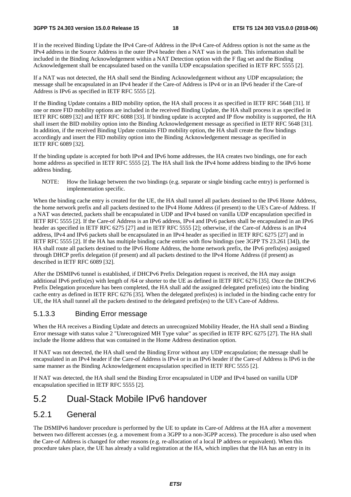If in the received Binding Update the IPv4 Care-of Address in the IPv4 Care-of Address option is not the same as the IPv4 address in the Source Address in the outer IPv4 header then a NAT was in the path. This information shall be included in the Binding Acknowledgement within a NAT Detection option with the F flag set and the Binding Acknowledgement shall be encapsulated based on the vanilla UDP encapsulation specified in IETF RFC 5555 [2].

If a NAT was not detected, the HA shall send the Binding Acknowledgement without any UDP encapsulation; the message shall be encapsulated in an IPv4 header if the Care-of Address is IPv4 or in an IPv6 header if the Care-of Address is IPv6 as specified in IETF RFC 5555 [2].

If the Binding Update contains a BID mobility option, the HA shall process it as specified in IETF RFC 5648 [31]. If one or more FID mobility options are included in the received Binding Update, the HA shall process it as specified in IETF RFC 6089 [32] and IETF RFC 6088 [33]. If binding update is accepted and IP flow mobility is supported, the HA shall insert the BID mobility option into the Binding Acknowledgement message as specified in IETF RFC 5648 [31]. In addition, if the received Binding Update contains FID mobility option, the HA shall create the flow bindings accordingly and insert the FID mobility option into the Binding Acknowledgement message as specified in IETF RFC 6089 [32].

If the binding update is accepted for both IPv4 and IPv6 home addresses, the HA creates two bindings, one for each home address as specified in IETF RFC 5555 [2]. The HA shall link the IPv4 home address binding to the IPv6 home address binding.

NOTE: How the linkage between the two bindings (e.g. separate or single binding cache entry) is performed is implementation specific.

When the binding cache entry is created for the UE, the HA shall tunnel all packets destined to the IPv6 Home Address, the home network prefix and all packets destined to the IPv4 Home Address (if present) to the UE's Care-of Address. If a NAT was detected, packets shall be encapsulated in UDP and IPv4 based on vanilla UDP encapsulation specified in IETF RFC 5555 [2]. If the Care-of Address is an IPv6 address, IPv4 and IPv6 packets shall be encapsulated in an IPv6 header as specified in IETF RFC 6275 [27] and in IETF RFC 5555 [2]; otherwise, if the Care-of Address is an IPv4 address, IPv4 and IPv6 packets shall be encapsulated in an IPv4 header as specified in IETF RFC 6275 [27] and in IETF RFC 5555 [2]. If the HA has multiple binding cache entries with flow bindings (see 3GPP TS 23.261 [34]), the HA shall route all packets destined to the IPv6 Home Address, the home network prefix, the IPv6 prefix(es) assigned through DHCP prefix delegation (if present) and all packets destined to the IPv4 Home Address (if present) as described in IETF RFC 6089 [32].

After the DSMIPv6 tunnel is established, if DHCPv6 Prefix Delegation request is received, the HA may assign additional IPv6 prefix(es) with length of /64 or shorter to the UE as defined in IETF RFC 6276 [35]. Once the DHCPv6 Prefix Delegation procedure has been completed, the HA shall add the assigned delegated prefix(es) into the binding cache entry as defined in IETF RFC 6276 [35]. When the delegated prefix(es) is included in the binding cache entry for UE, the HA shall tunnel all the packets destined to the delegated prefix(es) to the UE's Care-of Address.

### 5.1.3.3 Binding Error message

When the HA receives a Binding Update and detects an unrecognized Mobility Header, the HA shall send a Binding Error message with status value 2 "Unrecognized MH Type value" as specified in IETF RFC 6275 [27]. The HA shall include the Home address that was contained in the Home Address destination option.

If NAT was not detected, the HA shall send the Binding Error without any UDP encapsulation; the message shall be encapsulated in an IPv4 header if the Care-of Address is IPv4 or in an IPv6 header if the Care-of Address is IPv6 in the same manner as the Binding Acknowledgement encapsulation specified in IETF RFC 5555 [2].

If NAT was detected, the HA shall send the Binding Error encapsulated in UDP and IPv4 based on vanilla UDP encapsulation specified in IETF RFC 5555 [2].

## 5.2 Dual-Stack Mobile IPv6 handover

### 5.2.1 General

The DSMIPv6 handover procedure is performed by the UE to update its Care-of Address at the HA after a movement between two different accesses (e.g. a movement from a 3GPP to a non-3GPP access). The procedure is also used when the Care-of Address is changed for other reasons (e.g. re-allocation of a local IP address or equivalent). When this procedure takes place, the UE has already a valid registration at the HA, which implies that the HA has an entry in its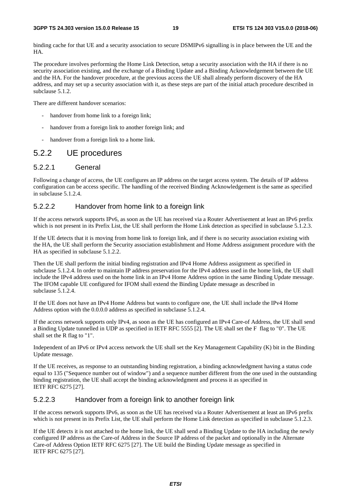binding cache for that UE and a security association to secure DSMIPv6 signalling is in place between the UE and the HA.

The procedure involves performing the Home Link Detection, setup a security association with the HA if there is no security association existing, and the exchange of a Binding Update and a Binding Acknowledgement between the UE and the HA. For the handover procedure, at the previous access the UE shall already perform discovery of the HA address, and may set up a security association with it, as these steps are part of the initial attach procedure described in subclause 5.1.2.

There are different handover scenarios:

- handover from home link to a foreign link;
- handover from a foreign link to another foreign link; and
- handover from a foreign link to a home link.

### 5.2.2 UE procedures

### 5.2.2.1 General

Following a change of access, the UE configures an IP address on the target access system. The details of IP address configuration can be access specific. The handling of the received Binding Acknowledgement is the same as specified in subclause 5.1.2.4.

### 5.2.2.2 Handover from home link to a foreign link

If the access network supports IPv6, as soon as the UE has received via a Router Advertisement at least an IPv6 prefix which is not present in its Prefix List, the UE shall perform the Home Link detection as specified in subclause 5.1.2.3.

If the UE detects that it is moving from home link to foreign link, and if there is no security association existing with the HA, the UE shall perform the Security association establishment and Home Address assignment procedure with the HA as specified in subclause 5.1.2.2.

Then the UE shall perform the initial binding registration and IPv4 Home Address assignment as specified in subclause 5.1.2.4. In order to maintain IP address preservation for the IPv4 address used in the home link, the UE shall include the IPv4 address used on the home link in an IPv4 Home Address option in the same Binding Update message. The IFOM capable UE configured for IFOM shall extend the Binding Update message as described in subclause 5.1.2.4.

If the UE does not have an IPv4 Home Address but wants to configure one, the UE shall include the IPv4 Home Address option with the 0.0.0.0 address as specified in subclause 5.1.2.4.

If the access network supports only IPv4, as soon as the UE has configured an IPv4 Care-of Address, the UE shall send a Binding Update tunnelled in UDP as specified in IETF RFC 5555 [2]. The UE shall set the F flag to "0". The UE shall set the R flag to "1".

Independent of an IPv6 or IPv4 access network the UE shall set the Key Management Capability (K) bit in the Binding Update message.

If the UE receives, as response to an outstanding binding registration, a binding acknowledgment having a status code equal to 135 ("Sequence number out of window") and a sequence number different from the one used in the outstanding binding registration, the UE shall accept the binding acknowledgment and process it as specified in IETF RFC 6275 [27].

### 5.2.2.3 Handover from a foreign link to another foreign link

If the access network supports IPv6, as soon as the UE has received via a Router Advertisement at least an IPv6 prefix which is not present in its Prefix List, the UE shall perform the Home Link detection as specified in subclause 5.1.2.3.

If the UE detects it is not attached to the home link, the UE shall send a Binding Update to the HA including the newly configured IP address as the Care-of Address in the Source IP address of the packet and optionally in the Alternate Care-of Address Option IETF RFC 6275 [27]. The UE build the Binding Update message as specified in IETF RFC 6275 [27].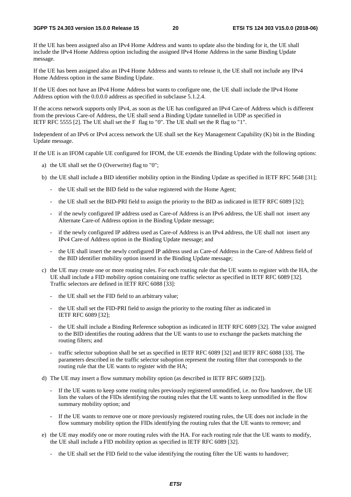#### **3GPP TS 24.303 version 15.0.0 Release 15 20 ETSI TS 124 303 V15.0.0 (2018-06)**

If the UE has been assigned also an IPv4 Home Address and wants to update also the binding for it, the UE shall include the IPv4 Home Address option including the assigned IPv4 Home Address in the same Binding Update message.

If the UE has been assigned also an IPv4 Home Address and wants to release it, the UE shall not include any IPv4 Home Address option in the same Binding Update.

If the UE does not have an IPv4 Home Address but wants to configure one, the UE shall include the IPv4 Home Address option with the 0.0.0.0 address as specified in subclause 5.1.2.4.

If the access network supports only IPv4, as soon as the UE has configured an IPv4 Care-of Address which is different from the previous Care-of Address, the UE shall send a Binding Update tunnelled in UDP as specified in IETF RFC 5555 [2]. The UE shall set the F flag to "0". The UE shall set the R flag to "1".

Independent of an IPv6 or IPv4 access network the UE shall set the Key Management Capability (K) bit in the Binding Update message.

If the UE is an IFOM capable UE configured for IFOM, the UE extends the Binding Update with the following options:

- a) the UE shall set the O (Overwrite) flag to "0";
- b) the UE shall include a BID identifier mobility option in the Binding Update as specified in IETF RFC 5648 [31];
	- the UE shall set the BID field to the value registered with the Home Agent;
	- the UE shall set the BID-PRI field to assign the priority to the BID as indicated in IETF RFC 6089 [32];
	- if the newly configured IP address used as Care-of Address is an IPv6 address, the UE shall not insert any Alternate Care-of Address option in the Binding Update message;
	- if the newly configured IP address used as Care-of Address is an IPv4 address, the UE shall not insert any IPv4 Care-of Address option in the Binding Update message; and
	- the UE shall insert the newly configured IP address used as Care-of Address in the Care-of Address field of the BID identifier mobility option insertd in the Binding Update message;
- c) the UE may create one or more routing rules. For each routing rule that the UE wants to register with the HA, the UE shall include a FID mobility option containing one traffic selector as specified in IETF RFC 6089 [32]. Traffic selectors are defined in IETF RFC 6088 [33]:
	- the UE shall set the FID field to an arbitrary value;
	- the UE shall set the FID-PRI field to assign the priority to the routing filter as indicated in IETF RFC 6089 [32];
	- the UE shall include a Binding Reference suboption as indicated in IETF RFC 6089 [32]. The value assigned to the BID identifies the routing address that the UE wants to use to exchange the packets matching the routing filters; and
	- traffic selector suboption shall be set as specified in IETF RFC 6089 [32] and IETF RFC 6088 [33]. The parameters described in the traffic selector suboption represent the routing filter that corresponds to the routing rule that the UE wants to register with the HA;
- d) The UE may insert a flow summary mobility option (as described in IETF RFC 6089 [32]).
	- If the UE wants to keep some routing rules previously registered unmodified, i.e. no flow handover, the UE lists the values of the FIDs identifying the routing rules that the UE wants to keep unmodified in the flow summary mobility option; and
	- If the UE wants to remove one or more previously registered routing rules, the UE does not include in the flow summary mobility option the FIDs identifying the routing rules that the UE wants to remove; and
- e) the UE may modify one or more routing rules with the HA. For each routing rule that the UE wants to modify, the UE shall include a FID mobility option as specified in IETF RFC 6089 [32].
	- the UE shall set the FID field to the value identifying the routing filter the UE wants to handover;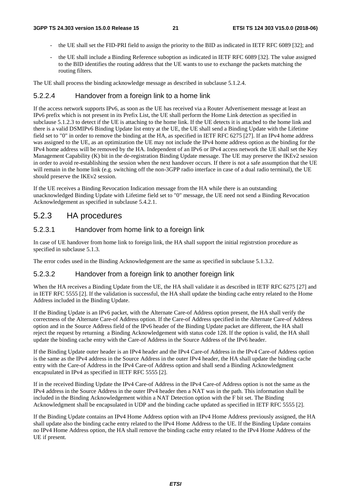- the UE shall set the FID-PRI field to assign the priority to the BID as indicated in IETF RFC 6089 [32]; and
- the UE shall include a Binding Reference suboption as indicated in IETF RFC 6089 [32]. The value assigned to the BID identifies the routing address that the UE wants to use to exchange the packets matching the routing filters.

The UE shall process the binding acknowledge message as described in subclause 5.1.2.4.

## 5.2.2.4 Handover from a foreign link to a home link

If the access network supports IPv6, as soon as the UE has received via a Router Advertisement message at least an IPv6 prefix which is not present in its Prefix List, the UE shall perform the Home Link detection as specified in subclause 5.1.2.3 to detect if the UE is attaching to the home link. If the UE detects it is attached to the home link and there is a valid DSMIPv6 Binding Update list entry at the UE, the UE shall send a Binding Update with the Lifetime field set to "0" in order to remove the binding at the HA, as specified in IETF RFC 6275 [27]. If an IPv4 home address was assigned to the UE, as an optimization the UE may not include the IPv4 home address option as the binding for the IPv4 home address will be removed by the HA. Independent of an IPv6 or IPv4 access network the UE shall set the Key Management Capability (K) bit in the de-registration Binding Update message. The UE may preserve the IKEv2 session in order to avoid re-establishing the session when the next handover occurs. If there is not a safe assumption that the UE will remain in the home link (e.g. switching off the non-3GPP radio interface in case of a dual radio terminal), the UE should preserve the IKEv2 session.

If the UE receives a Binding Revocation Indication message from the HA while there is an outstanding unacknowledged Binding Update with Lifetime field set to "0" message, the UE need not send a Binding Revocation Acknowledgement as specified in subclause 5.4.2.1.

## 5.2.3 HA procedures

### 5.2.3.1 Handover from home link to a foreign link

In case of UE handover from home link to foreign link, the HA shall support the initial registrstion procedure as specified in subclause 5.1.3.

The error codes used in the Binding Acknowledgement are the same as specified in subclause 5.1.3.2.

### 5.2.3.2 Handover from a foreign link to another foreign link

When the HA receives a Binding Update from the UE, the HA shall validate it as described in IETF RFC 6275 [27] and in IETF RFC 5555 [2]. If the validation is successful, the HA shall update the binding cache entry related to the Home Address included in the Binding Update.

If the Binding Update is an IPv6 packet, with the Alternate Care-of Address option present, the HA shall verify the correctness of the Alternate Care-of Address option. If the Care-of Address specified in the Alternate Care-of Address option and in the Source Address field of the IPv6 header of the Binding Update packet are different, the HA shall reject the request by returning a Binding Acknowledgement with status code 128. If the option is valid, the HA shall update the binding cache entry with the Care-of Address in the Source Address of the IPv6 header.

If the Binding Update outer header is an IPv4 header and the IPv4 Care-of Address in the IPv4 Care-of Address option is the same as the IPv4 address in the Source Address in the outer IPv4 header, the HA shall update the binding cache entry with the Care-of Address in the IPv4 Care-of Address option and shall send a Binding Acknowledgment encapsulated in IPv4 as specified in IETF RFC 5555 [2].

If in the received Binding Update the IPv4 Care-of Address in the IPv4 Care-of Address option is not the same as the IPv4 address in the Source Address in the outer IPv4 header then a NAT was in the path. This information shall be included in the Binding Acknowledgement within a NAT Detection option with the F bit set. The Binding Acknowledgment shall be encapsulated in UDP and the binding cache updated as specified in IETF RFC 5555 [2].

If the Binding Update contains an IPv4 Home Address option with an IPv4 Home Address previously assigned, the HA shall update also the binding cache entry related to the IPv4 Home Address to the UE. If the Binding Update contains no IPv4 Home Address option, the HA shall remove the binding cache entry related to the IPv4 Home Address of the UE if present.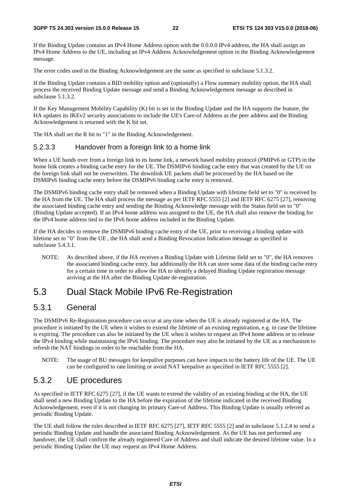If the Binding Update contains an IPv4 Home Address option with the 0.0.0.0 IPv4 address, the HA shall assign an IPv4 Home Address to the UE, including an IPv4 Address Acknowledgement option in the Binding Acknowledgement message.

The error codes used in the Binding Acknowledgement are the same as specified in subclause 5.1.3.2.

If the Binding Update contains a BID mobility option and (optionally) a Flow summary mobility option, the HA shall process the received Binding Update message and send a Binding Acknowledgement message as described in subclause 5.1.3.2.

If the Key Management Mobility Capability (K) bit is set in the Binding Update and the HA supports the feature, the HA updates its IKEv2 security associations to include the UE's Care-of Address as the peer address and the Binding Acknowledgement is returned with the K bit set.

The HA shall set the R bit to "1" in the Binding Acknowledgement.

### 5.2.3.3 Handover from a foreign link to a home link

When a UE hands over from a foreign link to its home link, a network based mobility protocol (PMIPv6 or GTP) in the home link creates a binding cache entry for the UE. The DSMIPv6 binding cache entry that was created by the UE on the foreign link shall not be overwritten. The downlink UE packets shall be processed by the HA based on the DSMIPv6 binding cache entry before the DSMIPv6 binding cache entry is removed.

The DSMIPv6 binding cache entry shall be removed when a Binding Update with lifetime field set to "0" is received by the HA from the UE. The HA shall process the message as per IETF RFC 5555 [2] and IETF RFC 6275 [27], removing the associated binding cache entry and sending the Binding Acknowledge message with the Status field set to "0" (Binding Update accepted). If an IPv4 home address was assigned to the UE, the HA shall also remove the binding for the IPv4 home address tied to the IPv6 home address included in the Binding Update.

If the HA decides to remove the DSMIPv6 binding cache entry of the UE, prior to receiving a binding update with lifetime set to "0" from the UE , the HA shall send a Binding Revocation Indication message as specified in subclause 5.4.3.1.

NOTE: As described above, if the HA receives a Binding Update with Lifetime field set to "0", the HA removes the associated binding cache entry, but additionally the HA can store some data of the binding cache entry for a certain time in order to allow the HA to identify a delayed Binding Update registration message arriving at the HA after the Binding Update de-registration.

## 5.3 Dual Stack Mobile IPv6 Re-Registration

### 5.3.1 General

The DSMIPv6 Re-Registration procedure can occur at any time when the UE is already registered at the HA. The procedure is initiated by the UE when it wishes to extend the lifetime of an existing registration, e.g. in case the lifetime is expiring. The procedure can also be initiated by the UE when it wishes to request an IPv4 home address or to release the IPv4 binding while maintaining the IPv6 binding. The procedure may also be initiated by the UE as a mechanism to refresh the NAT bindings in order to be reachable from the HA.

NOTE: The usage of BU messages for keepalive purposes can have impacts to the battery life of the UE. The UE can be configured to rate limiting or avoid NAT keepalive as specified in IETF RFC 5555 [2].

### 5.3.2 UE procedures

As specified in IETF RFC 6275 [27], if the UE wants to extend the validity of an existing binding at the HA, the UE shall send a new Binding Update to the HA before the expiration of the lifetime indicated in the received Binding Acknowledgement, even if it is not changing its primary Care-of Address. This Binding Update is usually referred as periodic Binding Update.

The UE shall follow the rules described in IETF RFC 6275 [27], IETF RFC 5555 [2] and in subclause 5.1.2.4 to send a periodic Binding Update and handle the associated Binding Acknowledgement. As the UE has not performed any handover, the UE shall confirm the already registered Care of Address and shall indicate the desired lifetime value. In a periodic Binding Update the UE may request an IPv4 Home Address.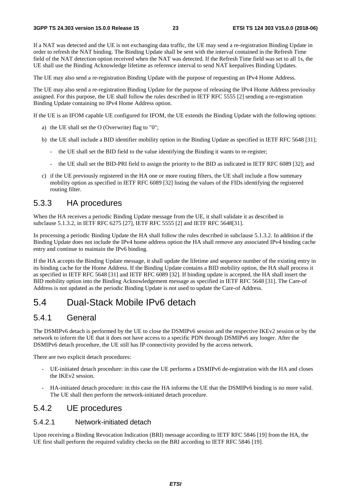If a NAT was detected and the UE is not exchanging data traffic, the UE may send a re-registration Binding Update in order to refresh the NAT binding. The Binding Update shall be sent with the interval contained in the Refresh Time field of the NAT detection option received when the NAT was detected. If the Refresh Time field was set to all 1s, the UE shall use the Binding Acknowledge lifetime as reference interval to send NAT keepalives Binding Updates.

The UE may also send a re-registration Binding Update with the purpose of requesting an IPv4 Home Address.

The UE may also send a re-registration Binding Update for the purpose of releasing the IPv4 Home Address previoulsy assigned. For this purpose, the UE shall follow the rules described in IETF RFC 5555 [2] sending a re-registration Binding Update containing no IPv4 Home Address option.

If the UE is an IFOM capable UE configured for IFOM, the UE extends the Binding Update with the following options:

- a) the UE shall set the O (Overwrite) flag to "0";
- b) the UE shall include a BID identifier mobility option in the Binding Update as specified in IETF RFC 5648 [31];
	- the UE shall set the BID field to the value identifying the Binding it wants to re-register;
	- the UE shall set the BID-PRI field to assign the priority to the BID as indicated in IETF RFC 6089 [32]; and
- c) if the UE previously registered in the HA one or more routing filters, the UE shall include a flow summary mobility option as specified in IETF RFC 6089 [32] listing the values of the FIDs identifying the registered routing filter.

### 5.3.3 HA procedures

When the HA receives a periodic Binding Update message from the UE, it shall validate it as described in subclause 5.1.3.2, in IETF RFC 6275 [27], IETF RFC 5555 [2] and IETF RFC 5648[31].

In processing a periodic Binding Update the HA shall follow the rules described in subclause 5.1.3.2. In addition if the Binding Update does not include the IPv4 home address option the HA shall remove any associated IPv4 binding cache entry and continue to maintain the IPv6 binding.

If the HA accepts the Binding Update message, it shall update the lifetime and sequence number of the existing entry in its binding cache for the Home Address. If the Binding Update contains a BID mobility option, the HA shall process it as specified in IETF RFC 5648 [31] and IETF RFC 6089 [32]. If binding update is accepted, the HA shall insert the BID mobility option into the Binding Acknowledgement message as specified in IETF RFC 5648 [31]. The Care-of Address is not updated as the periodic Binding Update is not used to update the Care-of Address.

## 5.4 Dual-Stack Mobile IPv6 detach

### 5.4.1 General

The DSMIPv6 detach is performed by the UE to close the DSMIPv6 session and the respective IKEv2 session or by the network to inform the UE that it does not have access to a specific PDN through DSMIPv6 any longer. After the DSMIPv6 detach procedure, the UE still has IP connectivity provided by the access network.

There are two explicit detach procedures:

- UE-initiated detach procedure: in this case the UE performs a DSMIPv6 de-registration with the HA and closes the IKEv2 session.
- HA-initiated detach procedure: in this case the HA informs the UE that the DSMIPv6 binding is no more valid. The UE shall then perform the network-initiated detach procedure.

### 5.4.2 UE procedures

### 5.4.2.1 Network-initiated detach

Upon receiving a Binding Revocation Indication (BRI) message according to IETF RFC 5846 [19] from the HA, the UE first shall perform the required validity checks on the BRI according to IETF RFC 5846 [19].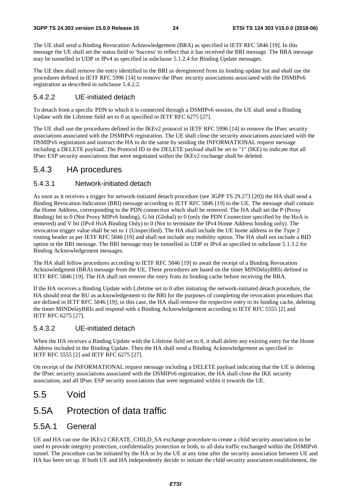The UE shall send a Binding Revocation Acknowledgement (BRA) as specified in IETF RFC 5846 [19]. In this message the UE shall set the status field to 'Success' to reflect that it has received the BRI message. The BRA message may be tunnelled in UDP or IPv4 as specified in subclause 5.1.2.4 for Binding Update messages.

The UE then shall remove the entry identified in the BRI as deregistered from its binding update list and shall use the procedures defined in IETF RFC 5996 [14] to remove the IPsec security associations associated with the DSMIPv6 registration as described in subclause 5.4.2.2.

### 5.4.2.2 UE-initiated detach

To detach from a specific PDN to which it is connected through a DSMIPv6 session, the UE shall send a Binding Update with the Lifetime field set to 0 as specified in IETF RFC 6275 [27].

The UE shall use the procedures defined in the IKEv2 protocol in IETF RFC 5996 [14] to remove the IPsec security associations associated with the DSMIPv6 registration. The UE shall close the security associations associated with the DSMIPv6 registration and instruct the HA to do the same by sending the INFORMATIONAL request message including a DELETE payload. The Protocol ID in the DELETE payload shall be set to "1" (IKE) to indicate that all IPsec ESP security associations that were negotiated within the IKEv2 exchange shall be deleted.

### 5.4.3 HA procedures

### 5.4.3.1 Network-initiated detach

As soon as it receives a trigger for network-initiated detach procedure (see 3GPP TS 29.273 [20]) the HA shall send a Binding Revocation Indication (BRI) message according to IETF RFC 5846 [19] to the UE. The message shall contain the Home Address, corresponding to the PDN connection which shall be removed. The HA shall set the P (Proxy Binding) bit to 0 (Not Proxy MIPv6 binding), G bit (Global) to 0 (only the PDN Connection specified by the HoA is removed) and V bit (IPv4 HoA Binding Only) to 0 (Not to terminate the IPv4 Home Address binding only). The revocation trigger value shall be set to 1 (Unspecified). The HA shall include the UE home address in the Type 2 routing header as per IETF RFC 5846 [19] and shall not include any mobility option. The HA shall not include a BID option in the BRI message. The BRI message may be tunnelled in UDP or IPv4 as specified in subclause 5.1.3.2 for Binding Acknowledgement messages.

The HA shall follow procedures according to IETF RFC 5846 [19] to await the receipt of a Binding Revocation Acknowledgment (BRA) message from the UE. These procedures are based on the timer MINDelayBRIs defined in IETF RFC 5846 [19]. The HA shall not remove the entry from its binding cache before receiving the BRA.

If the HA receives a Binding Update with Lifetime set to 0 after initiating the network-initiated detach procedure, the HA should treat the BU as acknowledgement to the BRI for the purposes of completing the revocation procedures that are defined in IETF RFC 5846 [19]; in this case, the HA shall remove the respective entry in its binding cache, deleting the timer MINDelayBRIs and respond with a Binding Acknowledgement according to IETF RFC 5555 [2] and IETF RFC 6275 [27].

### 5.4.3.2 UE-initiated detach

When the HA receives a Binding Update with the Lifetime field set to 0, it shall delete any existing entry for the Home Address included in the Binding Update. Then the HA shall send a Binding Acknowledgement as specified in IETF RFC 5555 [2] and IETF RFC 6275 [27].

On receipt of the INFORMATIONAL request message including a DELETE payload indicating that the UE is deleting the IPsec security associations associated with the DSMIPv6 registration, the HA shall close the IKE security association, and all IPsec ESP security associations that were negotiated within it towards the UE.

## 5.5 Void

## 5.5A Protection of data traffic

### 5.5A.1 General

UE and HA can use the IKEv2 CREATE\_CHILD\_SA exchange procedure to create a child security association to be used to provide integrity protection, confidentiality protection or both, to all data traffic exchanged within the DSMIPv6 tunnel. The procedure can be initiated by the HA or by the UE at any time after the security association between UE and HA has been set up. If both UE and HA independently decide to initiate the child security association establishment, the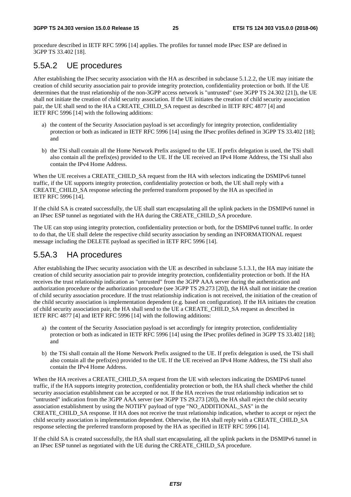procedure described in IETF RFC 5996 [14] applies. The profiles for tunnel mode IPsec ESP are defined in 3GPP TS 33.402 [18].

## 5.5A.2 UE procedures

After establishing the IPsec security association with the HA as described in subclause 5.1.2.2, the UE may initiate the creation of child security association pair to provide integrity protection, confidentiality protection or both. If the UE determines that the trust relationship of the non-3GPP access network is "untrusted" (see 3GPP TS 24.302 [21]), the UE shall not initiate the creation of child security association. If the UE initiates the creation of child security association pair, the UE shall send to the HA a CREATE\_CHILD\_SA request as described in IETF RFC 4877 [4] and IETF RFC 5996 [14] with the following additions:

- a) the content of the Security Association payload is set accordingly for integrity protection, confidentiality protection or both as indicated in IETF RFC 5996 [14] using the IPsec profiles defined in 3GPP TS 33.402 [18]; and
- b) the TSi shall contain all the Home Network Prefix assigned to the UE. If prefix delegation is used, the TSi shall also contain all the prefix(es) provided to the UE. If the UE received an IPv4 Home Address, the TSi shall also contain the IPv4 Home Address.

When the UE receives a CREATE\_CHILD\_SA request from the HA with selectors indicating the DSMIPv6 tunnel traffic, if the UE supports integrity protection, confidentiality protection or both, the UE shall reply with a CREATE\_CHILD\_SA response selecting the preferred transform proposed by the HA as specified in IETF RFC 5996 [14].

If the child SA is created successfully, the UE shall start encapsulating all the uplink packets in the DSMIPv6 tunnel in an IPsec ESP tunnel as negotiated with the HA during the CREATE\_CHILD\_SA procedure.

The UE can stop using integrity protection, confidentiality protection or both, for the DSMIPv6 tunnel traffic. In order to do that, the UE shall delete the respective child security association by sending an INFORMATIONAL request message including the DELETE payload as specified in IETF RFC 5996 [14].

## 5.5A.3 HA procedures

After establishing the IPsec security association with the UE as described in subclause 5.1.3.1, the HA may initiate the creation of child security association pair to provide integrity protection, confidentiality protection or both. If the HA receives the trust relationship indication as "untrusted" from the 3GPP AAA server during the authentication and authorization procedure or the authorization procedure (see 3GPP TS 29.273 [20]), the HA shall not initiate the creation of child security association procedure. If the trust relationship indication is not received, the initiation of the creation of the child security association is implementation dependent (e.g. based on configuration). If the HA initiates the creation of child security association pair, the HA shall send to the UE a CREATE\_CHILD\_SA request as described in IETF RFC 4877 [4] and IETF RFC 5996 [14] with the following additions:

- a) the content of the Security Association payload is set accordingly for integrity protection, confidentiality protection or both as indicated in IETF RFC 5996 [14] using the IPsec profiles defined in 3GPP TS 33.402 [18]; and
- b) the TSi shall contain all the Home Network Prefix assigned to the UE. If prefix delegation is used, the TSi shall also contain all the prefix(es) provided to the UE. If the UE received an IPv4 Home Address, the TSi shall also contain the IPv4 Home Address.

When the HA receives a CREATE\_CHILD\_SA request from the UE with selectors indicating the DSMIPv6 tunnel traffic, if the HA supports integrity protection, confidentiality protection or both, the HA shall check whether the child security association establishment can be accepted or not. If the HA receives the trust relationship indication set to "untrusted" indication from the 3GPP AAA server (see 3GPP TS 29.273 [20]), the HA shall reject the child security association establishment by using the NOTIFY payload of type "NO\_ADDITIONAL\_SAS" in the CREATE\_CHILD\_SA response. If HA does not receive the trust relationship indication, whether to accept or reject the child security association is implementation dependent. Otherwise, the HA shall reply with a CREATE\_CHILD\_SA response selecting the preferred transform proposed by the HA as specified in IETF RFC 5996 [14].

If the child SA is created successfully, the HA shall start encapsulating, all the uplink packets in the DSMIPv6 tunnel in an IPsec ESP tunnel as negotiated with the UE during the CREATE\_CHILD\_SA procedure.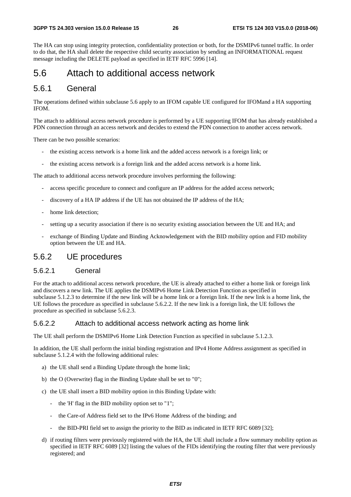The HA can stop using integrity protection, confidentiality protection or both, for the DSMIPv6 tunnel traffic. In order to do that, the HA shall delete the respective child security association by sending an INFORMATIONAL request message including the DELETE payload as specified in IETF RFC 5996 [14].

## 5.6 Attach to additional access network

### 5.6.1 General

The operations defined within subclause 5.6 apply to an IFOM capable UE configured for IFOMand a HA supporting IFOM.

The attach to additional access network procedure is performed by a UE supporting IFOM that has already established a PDN connection through an access network and decides to extend the PDN connection to another access network.

There can be two possible scenarios:

- the existing access network is a home link and the added access network is a foreign link; or
- the existing access network is a foreign link and the added access network is a home link.

The attach to additional access network procedure involves performing the following:

- access specific procedure to connect and configure an IP address for the added access network;
- discovery of a HA IP address if the UE has not obtained the IP address of the HA;
- home link detection:
- setting up a security association if there is no security existing association between the UE and HA; and
- exchange of Binding Update and Binding Acknowledgement with the BID mobility option and FID mobility option between the UE and HA.

### 5.6.2 UE procedures

### 5.6.2.1 General

For the attach to additional access network procedure, the UE is already attached to either a home link or foreign link and discovers a new link. The UE applies the DSMIPv6 Home Link Detection Function as specified in subclause 5.1.2.3 to determine if the new link will be a home link or a foreign link. If the new link is a home link, the UE follows the procedure as specified in subclause 5.6.2.2. If the new link is a foreign link, the UE follows the procedure as specified in subclause 5.6.2.3.

### 5.6.2.2 Attach to additional access network acting as home link

The UE shall perform the DSMIPv6 Home Link Detection Function as specified in subclause 5.1.2.3.

In addition, the UE shall perform the initial binding registration and IPv4 Home Address assignment as specified in subclause 5.1.2.4 with the following additional rules:

- a) the UE shall send a Binding Update through the home link;
- b) the O (Overwrite) flag in the Binding Update shall be set to "0";
- c) the UE shall insert a BID mobility option in this Binding Update with:
	- the 'H' flag in the BID mobility option set to "1";
	- the Care-of Address field set to the IPv6 Home Address of the binding; and
	- the BID-PRI field set to assign the priority to the BID as indicated in IETF RFC 6089 [32];
- d) if routing filters were previously registered with the HA, the UE shall include a flow summary mobility option as specified in IETF RFC 6089 [32] listing the values of the FIDs identifying the routing filter that were previously registered; and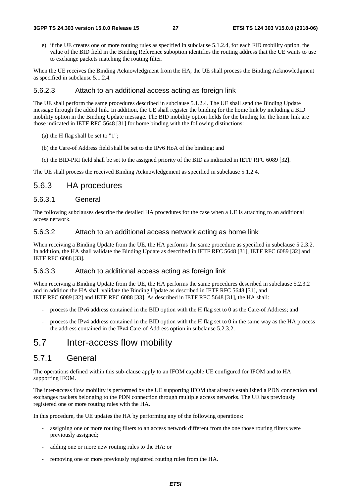e) if the UE creates one or more routing rules as specified in subclause 5.1.2.4, for each FID mobility option, the value of the BID field in the Binding Reference suboption identifies the routing address that the UE wants to use to exchange packets matching the routing filter.

When the UE receives the Binding Acknowledgment from the HA, the UE shall process the Binding Acknowledgment as specified in subclause 5.1.2.4.

#### 5.6.2.3 Attach to an additional access acting as foreign link

The UE shall perform the same procedures described in subclause 5.1.2.4. The UE shall send the Binding Update message through the added link. In addition, the UE shall register the binding for the home link by including a BID mobility option in the Binding Update message. The BID mobility option fields for the binding for the home link are those indicated in IETF RFC 5648 [31] for home binding with the following distinctions:

- (a) the H flag shall be set to "1";
- (b) the Care-of Address field shall be set to the IPv6 HoA of the binding; and
- (c) the BID-PRI field shall be set to the assigned priority of the BID as indicated in IETF RFC 6089 [32].

The UE shall process the received Binding Acknowledgement as specified in subclause 5.1.2.4.

### 5.6.3 HA procedures

#### 5.6.3.1 General

The following subclauses describe the detailed HA procedures for the case when a UE is attaching to an additional access network.

#### 5.6.3.2 Attach to an additional access network acting as home link

When receiving a Binding Update from the UE, the HA performs the same procedure as specified in subclause 5.2.3.2. In addition, the HA shall validate the Binding Update as described in IETF RFC 5648 [31], IETF RFC 6089 [32] and IETF RFC 6088 [33].

### 5.6.3.3 Attach to additional access acting as foreign link

When receiving a Binding Update from the UE, the HA performs the same procedures described in subclause 5.2.3.2 and in addition the HA shall validate the Binding Update as described in IETF RFC 5648 [31], and IETF RFC 6089 [32] and IETF RFC 6088 [33]. As described in IETF RFC 5648 [31], the HA shall:

- process the IPv6 address contained in the BID option with the H flag set to 0 as the Care-of Address; and
- process the IPv4 address contained in the BID option with the H flag set to 0 in the same way as the HA process the address contained in the IPv4 Care-of Address option in subclause 5.2.3.2.

## 5.7 Inter-access flow mobility

### 5.7.1 General

The operations defined within this sub-clause apply to an IFOM capable UE configured for IFOM and to HA supporting IFOM.

The inter-access flow mobility is performed by the UE supporting IFOM that already established a PDN connection and exchanges packets belonging to the PDN connection through multiple access networks. The UE has previously registered one or more routing rules with the HA.

In this procedure, the UE updates the HA by performing any of the following operations:

- assigning one or more routing filters to an access network different from the one those routing filters were previously assigned;
- adding one or more new routing rules to the HA; or
- removing one or more previously registered routing rules from the HA.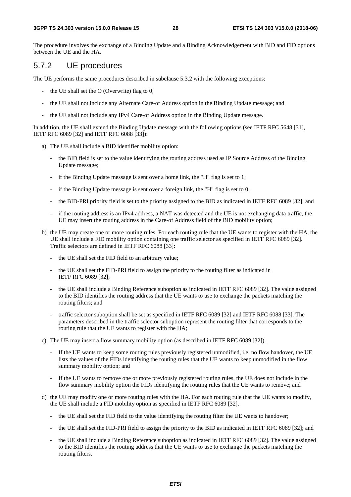The procedure involves the exchange of a Binding Update and a Binding Acknowledgement with BID and FID options between the UE and the HA.

### 5.7.2 UE procedures

The UE performs the same procedures described in subclause 5.3.2 with the following exceptions:

- the UE shall set the O (Overwrite) flag to 0;
- the UE shall not include any Alternate Care-of Address option in the Binding Update message; and
- the UE shall not include any IPv4 Care-of Address option in the Binding Update message.

In addition, the UE shall extend the Binding Update message with the following options (see IETF RFC 5648 [31], IETF RFC 6089 [32] and IETF RFC 6088 [33]):

- a) The UE shall include a BID identifier mobility option:
	- the BID field is set to the value identifying the routing address used as IP Source Address of the Binding Update message;
	- if the Binding Update message is sent over a home link, the "H" flag is set to 1;
	- if the Binding Update message is sent over a foreign link, the "H" flag is set to 0;
	- the BID-PRI priority field is set to the priority assigned to the BID as indicated in IETF RFC 6089 [32]; and
	- if the routing address is an IPv4 address, a NAT was detected and the UE is not exchanging data traffic, the UE may insert the routing address in the Care-of Address field of the BID mobility option;
- b) the UE may create one or more routing rules. For each routing rule that the UE wants to register with the HA, the UE shall include a FID mobility option containing one traffic selector as specified in IETF RFC 6089 [32]. Traffic selectors are defined in IETF RFC 6088 [33]:
	- the UE shall set the FID field to an arbitrary value:
	- the UE shall set the FID-PRI field to assign the priority to the routing filter as indicated in IETF RFC 6089 [32];
	- the UE shall include a Binding Reference suboption as indicated in IETF RFC 6089 [32]. The value assigned to the BID identifies the routing address that the UE wants to use to exchange the packets matching the routing filters; and
	- traffic selector suboption shall be set as specified in IETF RFC 6089 [32] and IETF RFC 6088 [33]. The parameters described in the traffic selector suboption represent the routing filter that corresponds to the routing rule that the UE wants to register with the HA;
- c) The UE may insert a flow summary mobility option (as described in IETF RFC 6089 [32]).
	- If the UE wants to keep some routing rules previously registered unmodified, i.e. no flow handover, the UE lists the values of the FIDs identifying the routing rules that the UE wants to keep unmodified in the flow summary mobility option; and
	- If the UE wants to remove one or more previously registered routing rules, the UE does not include in the flow summary mobility option the FIDs identifying the routing rules that the UE wants to remove; and
- d) the UE may modify one or more routing rules with the HA. For each routing rule that the UE wants to modify, the UE shall include a FID mobility option as specified in IETF RFC 6089 [32].
	- the UE shall set the FID field to the value identifying the routing filter the UE wants to handover;
	- the UE shall set the FID-PRI field to assign the priority to the BID as indicated in IETF RFC 6089 [32]; and
	- the UE shall include a Binding Reference suboption as indicated in IETF RFC 6089 [32]. The value assigned to the BID identifies the routing address that the UE wants to use to exchange the packets matching the routing filters.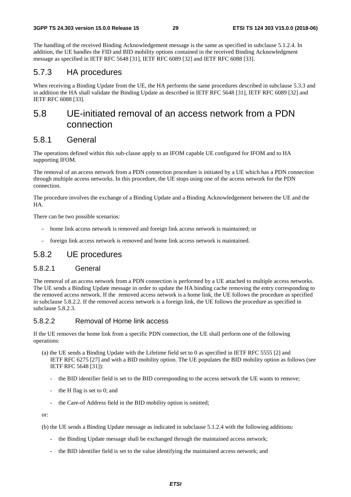The handling of the received Binding Acknowledgement message is the same as specified in subclause 5.1.2.4. In addition, the UE handles the FID and BID mobility options contained in the received Binding Acknowledgment message as specified in IETF RFC 5648 [31], IETF RFC 6089 [32] and IETF RFC 6088 [33].

### 5.7.3 HA procedures

When receiving a Binding Update from the UE, the HA performs the same procedures described in subclause 5.3.3 and in addition the HA shall validate the Binding Update as described in IETF RFC 5648 [31], IETF RFC 6089 [32] and IETF RFC 6088 [33].

## 5.8 UE-initiated removal of an access network from a PDN connection

### 5.8.1 General

The operations defined within this sub-clause apply to an IFOM capable UE configured for IFOM and to HA supporting IFOM.

The removal of an access network from a PDN connection procedure is initiated by a UE which has a PDN connection through multiple access networks. In this procedure, the UE stops using one of the access network for the PDN connection.

The procedure involves the exchange of a Binding Update and a Binding Acknowledgement between the UE and the HA.

There can be two possible scenarios:

- home link access network is removed and foreign link access network is maintained; or
- foreign link access network is removed and home link access network is maintained.

### 5.8.2 UE procedures

### 5.8.2.1 General

The removal of an access network from a PDN connection is performed by a UE attached to multiple access networks. The UE sends a Binding Update message in order to update the HA binding cache removing the entry corresponding to the removed access network. If the removed access network is a home link, the UE follows the procedure as specified in subclause 5.8.2.2. If the removed access network is a foreign link, the UE follows the procedure as specified in subclause 5.8.2.3.

### 5.8.2.2 Removal of Home link access

If the UE removes the home link from a specific PDN connection, the UE shall perform one of the following operations:

- (a) the UE sends a Binding Update with the Lifetime field set to 0 as specified in IETF RFC 5555 [2] and IETF RFC 6275 [27] and with a BID mobility option. The UE populates the BID mobility option as follows (see IETF RFC 5648 [31]):
	- the BID identifier field is set to the BID corresponding to the access network the UE wants to remove;
	- the H flag is set to 0; and
	- the Care-of Address field in the BID mobility option is omitted;

or:

(b) the UE sends a Binding Update message as indicated in subclause 5.1.2.4 with the following additions:

- the Binding Update message shall be exchanged through the maintained access network;
- the BID identifier field is set to the value identifying the maintained access network; and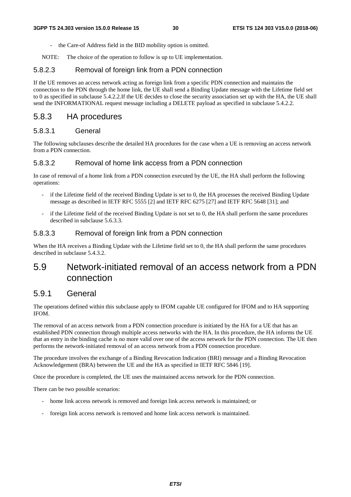- the Care-of Address field in the BID mobility option is omitted.
- NOTE: The choice of the operation to follow is up to UE implementation.

#### 5.8.2.3 Removal of foreign link from a PDN connection

If the UE removes an access network acting as foreign link from a specific PDN connection and maintains the connection to the PDN through the home link, the UE shall send a Binding Update message with the Lifetime field set to 0 as specified in subclause 5.4.2.2.If the UE decides to close the security association set up with the HA, the UE shall send the INFORMATIONAL request message including a DELETE payload as specified in subclause 5.4.2.2.

### 5.8.3 HA procedures

### 5.8.3.1 General

The following subclauses describe the detailed HA procedures for the case when a UE is removing an access network from a PDN connection.

### 5.8.3.2 Removal of home link access from a PDN connection

In case of removal of a home link from a PDN connection executed by the UE, the HA shall perform the following operations:

- if the Lifetime field of the received Binding Update is set to 0, the HA processes the received Binding Update message as described in IETF RFC 5555 [2] and IETF RFC 6275 [27] and IETF RFC 5648 [31]; and
- if the Lifetime field of the received Binding Update is not set to 0, the HA shall perform the same procedures described in subclause 5.6.3.3.

#### 5.8.3.3 Removal of foreign link from a PDN connection

When the HA receives a Binding Update with the Lifetime field set to 0, the HA shall perform the same procedures described in subclause 5.4.3.2.

## 5.9 Network-initiated removal of an access network from a PDN connection

### 5.9.1 General

The operations defined within this subclause apply to IFOM capable UE configured for IFOM and to HA supporting IFOM.

The removal of an access network from a PDN connection procedure is initiated by the HA for a UE that has an established PDN connection through multiple access networks with the HA. In this procedure, the HA informs the UE that an entry in the binding cache is no more valid over one of the access network for the PDN connection. The UE then performs the network-initiated removal of an access network from a PDN connection procedure.

The procedure involves the exchange of a Binding Revocation Indication (BRI) message and a Binding Revocation Acknowledgement (BRA) between the UE and the HA as specified in IETF RFC 5846 [19].

Once the procedure is completed, the UE uses the maintained access network for the PDN connection.

There can be two possible scenarios:

- home link access network is removed and foreign link access network is maintained; or
- foreign link access network is removed and home link access network is maintained.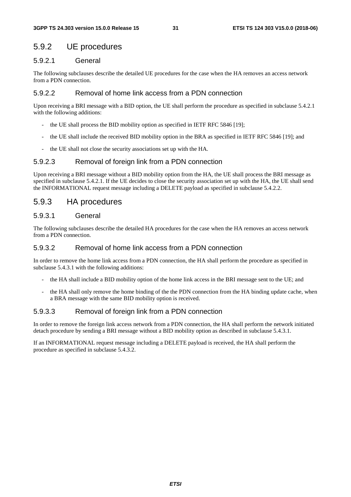## 5.9.2 UE procedures

### 5.9.2.1 General

The following subclauses describe the detailed UE procedures for the case when the HA removes an access network from a PDN connection.

### 5.9.2.2 Removal of home link access from a PDN connection

Upon receiving a BRI message with a BID option, the UE shall perform the procedure as specified in subclause 5.4.2.1 with the following additions:

- the UE shall process the BID mobility option as specified in IETF RFC 5846 [19];
- the UE shall include the received BID mobility option in the BRA as specified in IETF RFC 5846 [19]; and
- the UE shall not close the security associations set up with the HA.

### 5.9.2.3 Removal of foreign link from a PDN connection

Upon receiving a BRI message without a BID mobility option from the HA, the UE shall process the BRI message as specified in subclause 5.4.2.1. If the UE decides to close the security association set up with the HA, the UE shall send the INFORMATIONAL request message including a DELETE payload as specified in subclause 5.4.2.2.

## 5.9.3 HA procedures

### 5.9.3.1 General

The following subclauses describe the detailed HA procedures for the case when the HA removes an access network from a PDN connection.

### 5.9.3.2 Removal of home link access from a PDN connection

In order to remove the home link access from a PDN connection, the HA shall perform the procedure as specified in subclause 5.4.3.1 with the following additions:

- the HA shall include a BID mobility option of the home link access in the BRI message sent to the UE; and
- the HA shall only remove the home binding of the the PDN connection from the HA binding update cache, when a BRA message with the same BID mobility option is received.

### 5.9.3.3 Removal of foreign link from a PDN connection

In order to remove the foreign link access network from a PDN connection, the HA shall perform the network initiated detach procedure by sending a BRI message without a BID mobility option as described in subclause 5.4.3.1.

If an INFORMATIONAL request message including a DELETE payload is received, the HA shall perform the procedure as specified in subclause 5.4.3.2.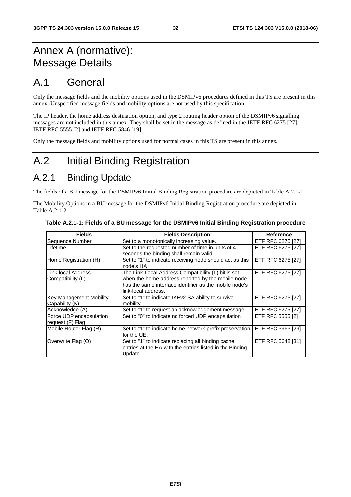## Annex A (normative): Message Details

## A.1 General

Only the message fields and the mobility options used in the DSMIPv6 procedures defined in this TS are present in this annex. Unspecified message fields and mobility options are not used by this specification.

The IP header, the home address destination option, and type 2 routing header option of the DSMIPv6 signalling messages are not included in this annex. They shall be set in the message as defined in the IETF RFC 6275 [27], IETF RFC 5555 [2] and IETF RFC 5846 [19].

Only the message fields and mobility options used for normal cases in this TS are present in this annex.

## A.2 Initial Binding Registration

## A.2.1 Binding Update

The fields of a BU message for the DSMIPv6 Initial Binding Registration procedure are depicted in Table A.2.1-1.

The Mobility Options in a BU message for the DSMIPv6 Initial Binding Registration procedure are depicted in Table A.2.1-2.

| <b>Fields</b>                  | <b>Fields Description</b>                                                  | <b>Reference</b>          |
|--------------------------------|----------------------------------------------------------------------------|---------------------------|
| Sequence Number                | Set to a monotonically increasing value.                                   | <b>IETF RFC 6275 [27]</b> |
| Lifetime                       | Set to the requested number of time in units of 4                          | <b>IETF RFC 6275 [27]</b> |
|                                | seconds the binding shall remain valid.                                    |                           |
| Home Registration (H)          | Set to "1" to indicate receiving node should act as this<br>node's HA      | <b>IETF RFC 6275 [27]</b> |
| Link-local Address             | The Link-Local Address Compatibility (L) bit is set                        | IETF RFC 6275 [27]        |
| Compatibility (L)              | when the home address reported by the mobile node                          |                           |
|                                | has the same interface identifier as the mobile node's                     |                           |
|                                | link-local address.                                                        |                           |
| <b>Key Management Mobility</b> | Set to "1" to indicate IKEv2 SA ability to survive                         | IETF RFC 6275 [27]        |
| Capability (K)                 | mobility                                                                   |                           |
| Acknowledge (A)                | Set to "1" to request an acknowledgement message.                          | <b>IETF RFC 6275 [27]</b> |
| Force UDP encapsulation        | Set to "0" to indicate no forced UDP encapsulation                         | <b>IETF RFC 5555 [2]</b>  |
| request (F) Flag               |                                                                            |                           |
| Mobile Router Flag (R)         | Set to "1" to indicate home network prefix preservation IETF RFC 3963 [29] |                           |
|                                | for the UE.                                                                |                           |
| Overwrite Flag (O)             | Set to "1" to indicate replacing all binding cache                         | <b>IETF RFC 5648 [31]</b> |
|                                | entries at the HA with the entries listed in the Binding<br>Update.        |                           |

| Table A.2.1-1: Fields of a BU message for the DSMIPv6 Initial Binding Registration procedure |  |  |
|----------------------------------------------------------------------------------------------|--|--|
|                                                                                              |  |  |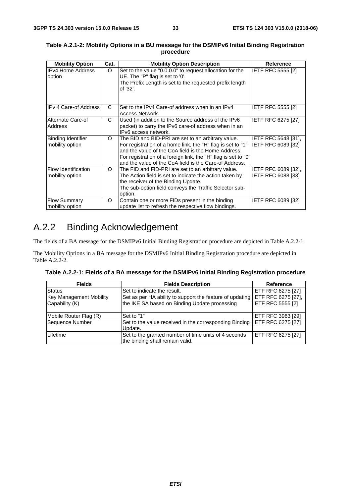| <b>Mobility Option</b>                       | Cat.     | <b>Mobility Option Description</b>                                                                                                                                                                                                                                                                   | <b>Reference</b>                                 |
|----------------------------------------------|----------|------------------------------------------------------------------------------------------------------------------------------------------------------------------------------------------------------------------------------------------------------------------------------------------------------|--------------------------------------------------|
| IPv4 Home Address<br>option                  | $\circ$  | Set to the value "0.0.0.0" to request allocation for the<br>UE. The "P" flag is set to '0'.<br>The Prefix Length is set to the requested prefix length<br>of '32'.                                                                                                                                   | <b>IETF RFC 5555 [2]</b>                         |
| IPv 4 Care-of Address                        | C        | Set to the IPv4 Care-of address when in an IPv4<br>Access Network.                                                                                                                                                                                                                                   | IETF RFC 5555 [2]                                |
| Alternate Care-of<br><b>Address</b>          | C        | Used (in addition to the Source address of the IPv6<br>packet) to carry the IPv6 care-of address when in an<br>IPv6 access network.                                                                                                                                                                  | IETF RFC 6275 [27]                               |
| <b>Binding Identifier</b><br>mobility option | $\circ$  | The BID and BID-PRI are set to an arbitrary value.<br>For registration of a home link, the "H" flag is set to "1"<br>and the value of the CoA field is the Home Address.<br>For registration of a foreign link, the "H" flag is set to "0"<br>and the value of the CoA field is the Care-of Address. | <b>IETF RFC 5648 [31].</b><br>IETF RFC 6089 [32] |
| Flow Identification<br>mobility option       | O        | The FID and FID-PRI are set to an arbitrary value.<br>The Action field is set to indicate the action taken by<br>the receiver of the Binding Update.<br>The sub-option field conveys the Traffic Selector sub-<br>option.                                                                            | <b>IETF RFC 6089 [32].</b><br>IETF RFC 6088 [33] |
| <b>Flow Summary</b><br>mobility option       | $\Omega$ | Contain one or more FIDs present in the binding<br>update list to refresh the respective flow bindings.                                                                                                                                                                                              | IETF RFC 6089 [32]                               |

#### **Table A.2.1-2: Mobility Options in a BU message for the DSMIPv6 Initial Binding Registration procedure**

## A.2.2 Binding Acknowledgement

The fields of a BA message for the DSMIPv6 Initial Binding Registration procedure are depicted in Table A.2.2-1.

The Mobility Options in a BA message for the DSMIPv6 Initial Binding Registration procedure are depicted in Table A.2.2-2.

| Table A.2.2-1: Fields of a BA message for the DSMIPv6 Initial Binding Registration procedure |  |  |  |  |
|----------------------------------------------------------------------------------------------|--|--|--|--|
|----------------------------------------------------------------------------------------------|--|--|--|--|

| <b>Fields</b>                  | <b>Fields Description</b>                                                    | Reference                 |
|--------------------------------|------------------------------------------------------------------------------|---------------------------|
| <b>Status</b>                  | Set to indicate the result.                                                  | <b>IETF RFC 6275 [27]</b> |
| <b>Key Management Mobility</b> | Set as per HA ability to support the feature of updating IETF RFC 6275 [27], |                           |
| Capability (K)                 | the IKE SA based on Binding Update processing                                | <b>IETF RFC 5555 [2]</b>  |
|                                |                                                                              |                           |
| Mobile Router Flag (R)         | Set to "1"                                                                   | <b>IETF RFC 3963 [29]</b> |
| Sequence Number                | Set to the value received in the corresponding Binding IETF RFC 6275 [27]    |                           |
|                                | Update.                                                                      |                           |
| Lifetime                       | Set to the granted number of time units of 4 seconds                         | <b>IETF RFC 6275 [27]</b> |
|                                | the binding shall remain valid.                                              |                           |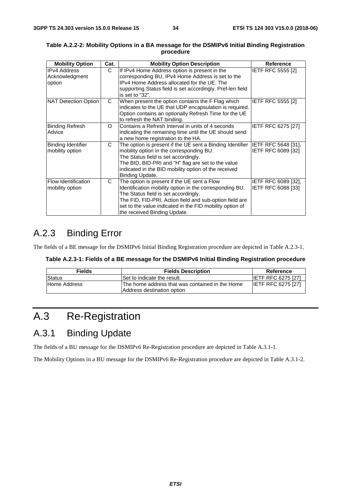| <b>Mobility Option</b>                          | Cat.     | <b>Mobility Option Description</b>                                                                                                                                                                                                                                                                    | Reference                                        |
|-------------------------------------------------|----------|-------------------------------------------------------------------------------------------------------------------------------------------------------------------------------------------------------------------------------------------------------------------------------------------------------|--------------------------------------------------|
| <b>IPv4 Address</b><br>Acknowledgment<br>option | C        | If IPv4 Home Address option is present in the<br>corresponding BU, IPv4 Home Address is set to the<br>IPv4 Home Address allocated for the UE. The<br>supporting Status field is set accordingly. Pref-len field<br>is set to "32".                                                                    | IETF RFC 5555 [2]                                |
| NAT Detection Option                            | C        | When present the option contains the F Flag which<br>indicates to the UE that UDP encapsulation is required.<br>Option contains an optionally Refresh Time for the UE<br>to refresh the NAT binding.                                                                                                  | <b>IETF RFC 5555 [2]</b>                         |
| <b>Binding Refresh</b><br>Advice                | $\Omega$ | Contains a Refresh Interval in units of 4 seconds<br>indicating the remaining time until the UE should send<br>a new home registration to the HA.                                                                                                                                                     | <b>IETF RFC 6275 [27]</b>                        |
| Binding Identifier<br>mobility option           | C.       | The option is present if the UE sent a Binding Identifier<br>mobility option in the corresponding BU.<br>The Status field is set accordingly.<br>The BID, BID-PRI and "H" flag are set to the value<br>indicated in the BID mobility option of the received<br>Binding Update.                        | <b>IETF RFC 5648 [31],</b><br>IETF RFC 6089 [32] |
| <b>Flow Identification</b><br>mobility option   | C        | The option is present if the UE sent a Flow<br>Identification mobility option in the corresponding BU.<br>The Status field is set accordingly.<br>The FID, FID-PRI, Action field and sub-option field are<br>set to the value indicated in the FID mobility option of<br>the received Binding Update. | <b>IETF RFC 6089 [32].</b><br>IETF RFC 6088 [33] |

#### **Table A.2.2-2: Mobility Options in a BA message for the DSMIPv6 Initial Binding Registration procedure**

## A.2.3 Binding Error

The fields of a BE message for the DSMIPv6 Initial Binding Registration procedure are depicted in Table A.2.3-1.

|  | Table A.2.3-1: Fields of a BE message for the DSMIPv6 Initial Binding Registration procedure |
|--|----------------------------------------------------------------------------------------------|
|  |                                                                                              |

| <b>Fields</b> | <b>Fields Description</b>                                                      | Reference                 |
|---------------|--------------------------------------------------------------------------------|---------------------------|
| Status        | Set to indicate the result.                                                    | <b>IETF RFC 6275 [27]</b> |
| Home Address  | IThe home address that was contained in the Home<br>Address destination option | <b>IETF RFC 6275 [27]</b> |

## A.3 Re-Registration

## A.3.1 Binding Update

The fields of a BU message for the DSMIPv6 Re-Registration procedure are depicted in Table A.3.1-1.

The Mobility Options in a BU message for the DSMIPv6 Re-Registration procedure are depicted in Table A.3.1-2.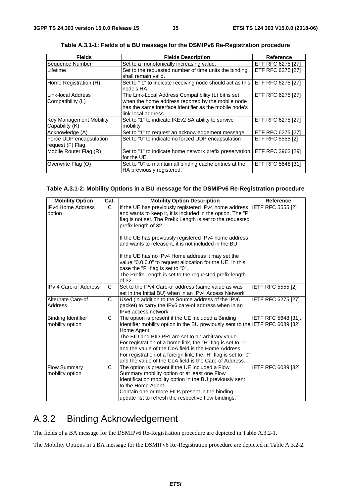| <b>Fields</b>           | <b>Fields Description</b>                                                   | Reference                 |
|-------------------------|-----------------------------------------------------------------------------|---------------------------|
| Sequence Number         | Set to a monotonically increasing value.                                    | <b>IETF RFC 6275 [27]</b> |
| Lifetime                | Set to the requested number of time units the binding                       | <b>IETF RFC 6275 [27]</b> |
|                         | shall remain valid.                                                         |                           |
| Home Registration (H)   | Set to "1" to indicate receiving node should act as this IETF RFC 6275 [27] |                           |
|                         | node's HA                                                                   |                           |
| Link-local Address      | The Link-Local Address Compatibility (L) bit is set                         | <b>IETF RFC 6275 [27]</b> |
| Compatibility (L)       | when the home address reported by the mobile node                           |                           |
|                         | has the same interface identifier as the mobile node's                      |                           |
|                         | link-local address.                                                         |                           |
| Key Management Mobility | Set to "1" to indicate IKEv2 SA ability to survive                          | <b>IETF RFC 6275 [27]</b> |
| Capability (K)          | mobility                                                                    |                           |
| Acknowledge (A)         | Set to "1" to request an acknowledgement message.                           | <b>IETF RFC 6275 [27]</b> |
| Force UDP encapsulation | Set to "0" to indicate no forced UDP encapsulation                          | <b>IETF RFC 5555 [2]</b>  |
| request (F) Flag        |                                                                             |                           |
| Mobile Router Flag (R)  | Set to "1" to indicate home network prefix preservation  IETF RFC 3963 [29] |                           |
|                         | for the UE.                                                                 |                           |
| Overwrite Flag (O)      | Set to "0" to maintain all binding cache entries at the                     | <b>IETF RFC 5648 [31]</b> |
|                         | HA previously registered.                                                   |                           |

**Table A.3.1-1: Fields of a BU message for the DSMIPv6 Re-Registration procedure** 

#### **Table A.3.1-2: Mobility Options in a BU message for the DSMIPv6 Re-Registration procedure**

| <b>Mobility Option</b>                       | Cat. | <b>Mobility Option Description</b>                                                                                                                                                                                                                                                                                                                                                                                                                          | <b>Reference</b>          |
|----------------------------------------------|------|-------------------------------------------------------------------------------------------------------------------------------------------------------------------------------------------------------------------------------------------------------------------------------------------------------------------------------------------------------------------------------------------------------------------------------------------------------------|---------------------------|
| IPv4 Home Address<br>option                  | C.   | If the UE has previously registered IPv4 home address<br>and wants to keep it, it is included in the option. The "P"<br>flag is not set. The Prefix Length is set to the requested<br>prefix length of 32.<br>If the UE has previously registered IPv4 home address                                                                                                                                                                                         | <b>IETF RFC 5555 [2]</b>  |
|                                              |      | and wants to release it, it is not included in the BU.<br>If the UE has no IPv4 Home address it may set the<br>value "0.0.0.0" to request allocation for the UE. In this<br>case the "P" flag is set to "0".<br>The Prefix Length is set to the requested prefix length<br>of 32.                                                                                                                                                                           |                           |
| <b>IPv 4 Care-of Address</b>                 | C    | Set to the IPv4 Care-of address (same value as was<br>set in the Initial BU) when in an IPv4 Access Network                                                                                                                                                                                                                                                                                                                                                 | IETF RFC 5555 [2]         |
| Alternate Care-of<br><b>Address</b>          | C    | Used (in addition to the Source address of the IPv6<br>packet) to carry the IPv6 care-of address when in an<br>IPv6 access network.                                                                                                                                                                                                                                                                                                                         | <b>IETF RFC 6275 [27]</b> |
| <b>Binding Identifier</b><br>mobility option | C    | The option is present if the UE included a Binding<br>Identifier mobility option in the BU previously sent to the IETF RFC 6089 [32]<br>Home Agent.<br>The BID and BID-PRI are set to an arbitrary value.<br>For registration of a home link, the "H" flag is set to "1"<br>and the value of the CoA field is the Home Address.<br>For registration of a foreign link, the "H" flag is set to "0"<br>and the value of the CoA field is the Care-of Address. | IETF RFC 5648 [31],       |
| <b>Flow Summary</b><br>mobility option       | C    | The option is present if the UE included a Flow<br>Summary mobility option or at least one Flow<br>Identification mobility option in the BU previously sent<br>to the Home Agent.<br>Contain one or more FIDs present in the binding<br>update list to refresh the respective flow bindings.                                                                                                                                                                | IETF RFC 6089 [32]        |

## A.3.2 Binding Acknowledgement

The fields of a BA message for the DSMIPv6 Re-Registration procedure are depicted in Table A.3.2-1.

The Mobility Options in a BA message for the DSMIPv6 Re-Registration procedure are depicted in Table A.3.2-2.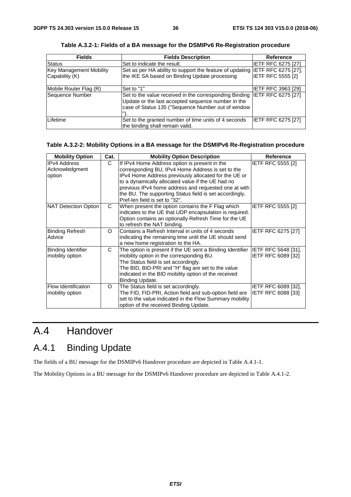| <b>Fields</b>           | <b>Fields Description</b>                                                                                                                                          | <b>Reference</b>          |
|-------------------------|--------------------------------------------------------------------------------------------------------------------------------------------------------------------|---------------------------|
| Status                  | Set to indicate the result.                                                                                                                                        | <b>IETF RFC 6275 [27]</b> |
| Key Management Mobility | Set as per HA ability to support the feature of updating IETF RFC 6275 [27],                                                                                       |                           |
| Capability (K)          | the IKE SA based on Binding Update processing                                                                                                                      | <b>IETF RFC 5555 [2]</b>  |
| Mobile Router Flag (R)  | Set to "1"                                                                                                                                                         | IETF RFC 3963 [29]        |
| Sequence Number         | Set to the value received in the corresponding Binding<br>Update or the last accepted sequence number in the<br>case of Status 135 ("Sequence Number out of window | <b>IETF RFC 6275 [27]</b> |
| Lifetime                | Set to the granted number of time units of 4 seconds<br>the binding shall remain valid.                                                                            | <b>IETF RFC 6275 [27]</b> |

**Table A.3.2-1: Fields of a BA message for the DSMIPv6 Re-Registration procedure** 

#### **Table A.3.2-2: Mobility Options in a BA message for the DSMIPv6 Re-Registration procedure**

| <b>Mobility Option</b>                          | Cat.     | <b>Mobility Option Description</b>                                                                                                                                                                                                                                                                                                                                   | <b>Reference</b>                          |
|-------------------------------------------------|----------|----------------------------------------------------------------------------------------------------------------------------------------------------------------------------------------------------------------------------------------------------------------------------------------------------------------------------------------------------------------------|-------------------------------------------|
| <b>IPv4 Address</b><br>Acknowledgment<br>option | C        | If IPv4 Home Address option is present in the<br>corresponding BU, IPv4 Home Address is set to the<br>IPv4 Home Address previously allocated for the UE or<br>to a dynamically allocated value if the UE had no<br>previous IPv4 home address and requested one at with<br>the BU. The supporting Status field is set accordingly.<br>Pref-len field is set to "32". | <b>IETF RFC 5555 [2]</b>                  |
| NAT Detection Option                            | C        | When present the option contains the F Flag which<br>indicates to the UE that UDP encapsulation is required.<br>Option contains an optionally Refresh Time for the UE<br>to refresh the NAT binding.                                                                                                                                                                 | IETF RFC 5555 [2]                         |
| <b>Binding Refresh</b><br>Advice                | $\Omega$ | Contains a Refresh Interval in units of 4 seconds<br>indicating the remaining time until the UE should send<br>a new home registration to the HA.                                                                                                                                                                                                                    | IETF RFC 6275 [27]                        |
| <b>Binding Identifier</b><br>mobility option    | C        | The option is present if the UE sent a Binding Identifier  IETF RFC 5648 [31],<br>mobility option in the corresponding BU.<br>The Status field is set accordingly.<br>The BID, BID-PRI and "H" flag are set to the value<br>indicated in the BID mobility option of the received<br>Binding Update.                                                                  | IETF RFC 6089 [32]                        |
| <b>Flow Identification</b><br>mobility option   | $\circ$  | The Status field is set accordingly.<br>The FID, FID-PRI, Action field and sub-option field are<br>set to the value indicated in the Flow Summary mobility<br>option of the received Binding Update.                                                                                                                                                                 | IETF RFC 6089 [32],<br>IETF RFC 6088 [33] |

## A.4 Handover

## A.4.1 Binding Update

The fields of a BU message for the DSMIPv6 Handover procedure are depicted in Table A.4.1-1.

The Mobility Options in a BU message for the DSMIPv6 Handover procedure are depicted in Table A.4.1-2.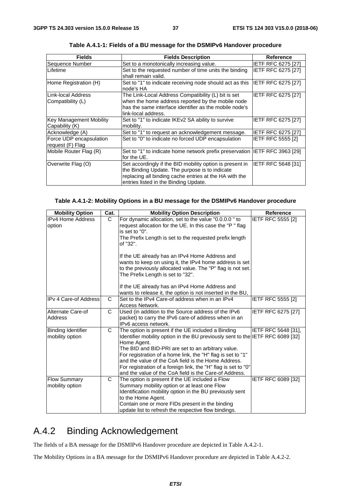| <b>Fields</b>                  | <b>Fields Description</b>                                                    | <b>Reference</b>          |
|--------------------------------|------------------------------------------------------------------------------|---------------------------|
| Sequence Number                | Set to a monotonically increasing value.                                     | <b>IETF RFC 6275 [27]</b> |
| Lifetime                       | Set to the requested number of time units the binding                        | IETF RFC 6275 [27]        |
|                                | shall remain valid.                                                          |                           |
| Home Registration (H)          | Set to "1" to indicate receiving node should act as this  IETF RFC 6275 [27] |                           |
|                                | node's HA                                                                    |                           |
| Link-local Address             | The Link-Local Address Compatibility (L) bit is set                          | <b>IETF RFC 6275 [27]</b> |
| Compatibility (L)              | when the home address reported by the mobile node                            |                           |
|                                | has the same interface identifier as the mobile node's                       |                           |
|                                | link-local address.                                                          |                           |
| <b>Key Management Mobility</b> | Set to "1" to indicate IKEv2 SA ability to survive                           | <b>IETF RFC 6275 [27]</b> |
| Capability (K)                 | mobility.                                                                    |                           |
| Acknowledge (A)                | Set to "1" to request an acknowledgement message.                            | <b>IETF RFC 6275 [27]</b> |
| Force UDP encapsulation        | Set to "0" to indicate no forced UDP encapsulation                           | <b>IETF RFC 5555 [2]</b>  |
| request (F) Flag               |                                                                              |                           |
| Mobile Router Flag (R)         | Set to "1" to indicate home network prefix preservation  IETF RFC 3963 [29]  |                           |
|                                | for the UE.                                                                  |                           |
| Overwrite Flag (O)             | Set accordingly if the BID mobility option is present in                     | <b>IETF RFC 5648 [31]</b> |
|                                | the Binding Update. The purpose is to indicate                               |                           |
|                                | replacing all binding cache entries at the HA with the                       |                           |
|                                | entries listed in the Binding Update.                                        |                           |

**Table A.4.1-1: Fields of a BU message for the DSMIPv6 Handover procedure** 

#### **Table A.4.1-2: Mobility Options in a BU message for the DSMIPv6 Handover procedure**

| <b>Mobility Option</b>                       | Cat.         | <b>Mobility Option Description</b>                                                                                                                                                                                                                                                                                                                                                                                                                          | <b>Reference</b>         |
|----------------------------------------------|--------------|-------------------------------------------------------------------------------------------------------------------------------------------------------------------------------------------------------------------------------------------------------------------------------------------------------------------------------------------------------------------------------------------------------------------------------------------------------------|--------------------------|
| <b>IPv4 Home Address</b><br>option           | C            | For dynamic allocation, set to the value "0.0.0.0" to<br>request allocation for the UE. In this case the "P" flag<br>is set to "0".<br>The Prefix Length is set to the requested prefix length<br>of "32".<br>If the UE already has an IPv4 Home Address and                                                                                                                                                                                                | <b>IETF RFC 5555 [2]</b> |
|                                              |              | wants to keep on using it, the IPv4 home address is set<br>to the previously allocated value. The "P" flag is not set.<br>The Prefix Length is set to "32".<br>If the UE already has an IPv4 Home Address and<br>wants to release it, the option is not inserted in the BU,                                                                                                                                                                                 |                          |
| <b>IPv 4 Care-of Address</b>                 | $\mathsf{C}$ | Set to the IPv4 Care-of address when in an IPv4<br>Access Network.                                                                                                                                                                                                                                                                                                                                                                                          | <b>IETF RFC 5555 [2]</b> |
| Alternate Care-of<br><b>Address</b>          | C            | Used (in addition to the Source address of the IPv6<br>packet) to carry the IPv6 care-of address when in an<br>IPv6 access network.                                                                                                                                                                                                                                                                                                                         | IETF RFC 6275 [27]       |
| <b>Binding Identifier</b><br>mobility option | C            | The option is present if the UE included a Binding<br>Identifier mobility option in the BU previously sent to the IETF RFC 6089 [32]<br>Home Agent.<br>The BID and BID-PRI are set to an arbitrary value.<br>For registration of a home link, the "H" flag is set to "1"<br>and the value of the CoA field is the Home Address.<br>For registration of a foreign link, the "H" flag is set to "0"<br>and the value of the CoA field is the Care-of Address. | IETF RFC 5648 [31],      |
| <b>Flow Summary</b><br>mobility option       | C            | The option is present if the UE included a Flow<br>Summary mobility option or at least one Flow<br>Identification mobility option in the BU previously sent<br>to the Home Agent.<br>Contain one or more FIDs present in the binding<br>update list to refresh the respective flow bindings.                                                                                                                                                                | IETF RFC 6089 [32]       |

## A.4.2 Binding Acknowledgement

The fields of a BA message for the DSMIPv6 Handover procedure are depicted in Table A.4.2-1.

The Mobility Options in a BA message for the DSMIPv6 Handover procedure are depicted in Table A.4.2-2.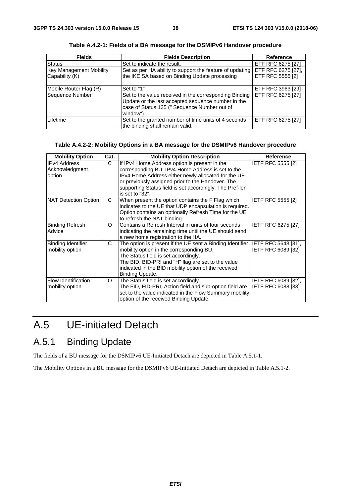| <b>Fields</b>                  | <b>Fields Description</b>                                                                                                                                                 | Reference                 |
|--------------------------------|---------------------------------------------------------------------------------------------------------------------------------------------------------------------------|---------------------------|
| <b>Status</b>                  | Set to indicate the result.                                                                                                                                               | <b>IETF RFC 6275 [27]</b> |
| <b>Key Management Mobility</b> | Set as per HA ability to support the feature of updating IETF RFC 6275 [27],                                                                                              |                           |
| Capability (K)                 | the IKE SA based on Binding Update processing                                                                                                                             | <b>IETF RFC 5555 [2]</b>  |
| Mobile Router Flag (R)         | Set to "1"                                                                                                                                                                | <b>IETF RFC 3963 [29]</b> |
| Sequence Number                | Set to the value received in the corresponding Binding<br>Update or the last accepted sequence number in the<br>case of Status 135 (" Sequence Number out of<br>window"). | <b>IETF RFC 6275 [27]</b> |
| Lifetime                       | Set to the granted number of time units of 4 seconds<br>the binding shall remain valid.                                                                                   | IETF RFC 6275 [27]        |

**Table A.4.2-1: Fields of a BA message for the DSMIPv6 Handover procedure** 

#### **Table A.4.2-2: Mobility Options in a BA message for the DSMIPv6 Handover procedure**

| <b>Mobility Option</b>                          | Cat.     | <b>Mobility Option Description</b>                                                                                                                                                                                                                                                            | <b>Reference</b>                          |
|-------------------------------------------------|----------|-----------------------------------------------------------------------------------------------------------------------------------------------------------------------------------------------------------------------------------------------------------------------------------------------|-------------------------------------------|
| <b>IPv4 Address</b><br>Acknowledgment<br>option | C        | If IPv4 Home Address option is present in the<br>corresponding BU, IPv4 Home Address is set to the<br>IPv4 Home Address either newly allocated for the UE<br>or previously assigned prior to the Handover. The<br>supporting Status field is set accordingly. The Pref-len<br>is set to "32". | <b>IETF RFC 5555 [2]</b>                  |
| NAT Detection Option                            | C.       | When present the option contains the F Flag which<br>indicates to the UE that UDP encapsulation is required.<br>Option contains an optionally Refresh Time for the UE<br>to refresh the NAT binding.                                                                                          | IETF RFC 5555 [2]                         |
| <b>Binding Refresh</b><br>Advice                | $\Omega$ | Contains a Refresh Interval in units of four seconds<br>indicating the remaining time until the UE should send<br>a new home registration to the HA.                                                                                                                                          | <b>IETF RFC 6275 [27]</b>                 |
| <b>Binding Identifier</b><br>mobility option    | C        | The option is present if the UE sent a Binding Identifier<br>mobility option in the corresponding BU.<br>The Status field is set accordingly.<br>The BID, BID-PRI and "H" flag are set to the value<br>indicated in the BID mobility option of the received<br>Binding Update.                | IETF RFC 5648 [31],<br>IETF RFC 6089 [32] |
| Flow Identification<br>mobility option          | O        | The Status field is set accordingly.<br>The FID, FID-PRI, Action field and sub-option field are<br>set to the value indicated in the Flow Summary mobility<br>option of the received Binding Update.                                                                                          | IETF RFC 6089 [32],<br>IETF RFC 6088 [33] |

## A.5 UE-initiated Detach

## A.5.1 Binding Update

The fields of a BU message for the DSMIPv6 UE-Initiated Detach are depicted in Table A.5.1-1.

The Mobility Options in a BU message for the DSMIPv6 UE-Initiated Detach are depicted in Table A.5.1-2.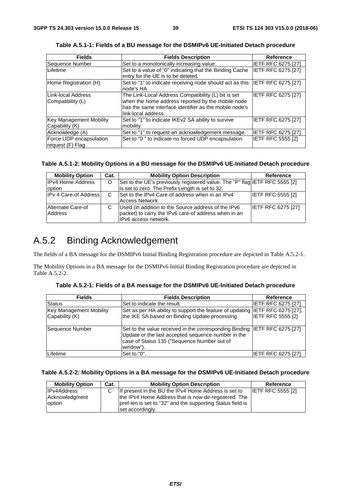| <b>Fields</b>                               | <b>Fields Description</b>                                                                                                                                                                 | <b>Reference</b>          |
|---------------------------------------------|-------------------------------------------------------------------------------------------------------------------------------------------------------------------------------------------|---------------------------|
| Sequence Number                             | Set to a monotonically increasing value.                                                                                                                                                  | <b>IETF RFC 6275 [27]</b> |
| Lifetime                                    | Set to a value of "0" indicating that the Binding Cache<br>entry for the UE is to be deleted.                                                                                             | IETF RFC 6275 [27]        |
| Home Registration (H)                       | Set to "1" to indicate receiving node should act as this<br>node's HA                                                                                                                     | <b>IETF RFC 6275 [27]</b> |
| Link-local Address<br>Compatibility (L)     | The Link-Local Address Compatibility (L) bit is set<br>when the home address reported by the mobile node<br>has the same interface identifier as the mobile node's<br>link-local address. | IETF RFC 6275 [27]        |
| Key Management Mobility<br>Capability (K)   | Set to "1" to indicate IKEv2 SA ability to survive<br>mobility                                                                                                                            | IETF RFC 6275 [27]        |
| Acknowledge (A)                             | Set to "1" to request an acknowledgement message.                                                                                                                                         | <b>IETF RFC 6275 [27]</b> |
| Force UDP encapsulation<br>request (F) Flag | Set to "0" to indicate no forced UDP encapsulation                                                                                                                                        | <b>IETF RFC 5555 [2]</b>  |

**Table A.5.1-1: Fields of a BU message for the DSMIPv6 UE-Initiated Detach procedure** 

### **Table A.5.1-2: Mobility Options in a BU message for the DSMIPv6 UE-Initiated Detach procedure**

| <b>Mobility Option</b>       | Cat. | <b>Mobility Option Description</b>                                                                                                   | Reference                 |
|------------------------------|------|--------------------------------------------------------------------------------------------------------------------------------------|---------------------------|
| <b>IPv4 Home Address</b>     | O    | Set to the UE's previously registered value. The "P" flag IETF RFC 5555 [2]                                                          |                           |
| option                       |      | is set to zero. The Prefix Length is set to 32.                                                                                      |                           |
| <b>IPv 4 Care-of Address</b> | C    | Set to the IPv4 Care-of address when in an IPv4<br>Access Network.                                                                   | <b>IETF RFC 5555 [2]</b>  |
| Alternate Care-of<br>Address |      | Used (in addition to the Source address of the IPv6<br>packet) to carry the IPv6 care-of address when in an<br>IIPv6 access network. | <b>IETF RFC 6275 [27]</b> |

## A.5.2 Binding Acknowledgement

The fields of a BA message for the DSMIPv6 Initial Binding Registration procedure are depicted in Table A.5.2-1.

The Mobility Options in a BA message for the DSMIPv6 Initial Binding Registration procedure are depicted in Table A.5.2-2.

| Table A.5.2-1: Fields of a BA message for the DSMIPv6 UE-Initiated Detach procedure |
|-------------------------------------------------------------------------------------|
|-------------------------------------------------------------------------------------|

| <b>Fields</b>                                    | <b>Fields Description</b>                                                                                                                                                                   | <b>Reference</b>         |
|--------------------------------------------------|---------------------------------------------------------------------------------------------------------------------------------------------------------------------------------------------|--------------------------|
| <b>Status</b>                                    | Set to indicate the result.                                                                                                                                                                 | IETF RFC 6275 [27]       |
| <b>Key Management Mobility</b><br>Capability (K) | Set as per HA ability to support the feature of updating IETF RFC 6275 [27],<br>the IKE SA based on Binding Update processing                                                               | <b>IETF RFC 5555 [2]</b> |
| Sequence Number                                  | Set to the value received in the corresponding Binding IETF RFC 6275 [27]<br>Update or the last accepted sequence number in the<br>case of Status 135 ("Sequence Number out of<br>window"). |                          |
| Lifetime                                         | Set to "0".                                                                                                                                                                                 | IETF RFC 6275 [27]       |

### **Table A.5.2-2: Mobility Options in a BA message for the DSMIPv6 UE-Initiated Detach procedure**

| <b>Mobility Option</b> | Cat. | <b>Mobility Option Description</b>                         | Reference                |
|------------------------|------|------------------------------------------------------------|--------------------------|
| <b>IIPv4Address</b>    | C.   | If present in the BU the IPv4 Home Address is set to       | <b>IETF RFC 5555 [2]</b> |
| Acknowledgment         |      | the IPv4 Home Address that is now de-registered. The       |                          |
| option                 |      | pref-len is set to "32" and the supporting Status field is |                          |
|                        |      | set accordingly.                                           |                          |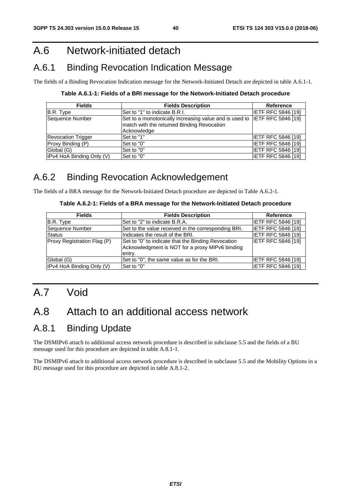## A.6 Network-initiated detach

## A.6.1 Binding Revocation Indication Message

The fields of a Binding Revocation Indication message for the Network-Initiated Detach are depicted in table A.6.1-1.

### **Table A.6.1-1: Fields of a BRI message for the Network-Initiated Detach procedure**

| <b>Fields</b>             | <b>Fields Description</b>                                                                                                                     | <b>Reference</b>          |
|---------------------------|-----------------------------------------------------------------------------------------------------------------------------------------------|---------------------------|
| B.R. Type                 | ISet to "1" to indicate B.R.I.                                                                                                                | IETF RFC 5846 [19]        |
| Sequence Number           | Set to a monotonically increasing value and is used to IETF RFC 5846 [19]<br>match with the returned Binding Revocation<br><b>Acknowledae</b> |                           |
| <b>Revocation Trigger</b> | Set to "1"                                                                                                                                    | IETF RFC 5846 [19]        |
| Proxy Binding (P)         | Set to "0"                                                                                                                                    | <b>IETF RFC 5846 [19]</b> |
| Global (G)                | Set to "0"                                                                                                                                    | IETF RFC 5846 [19]        |
| IPv4 HoA Binding Only (V) | Set to "0"                                                                                                                                    | <b>IETF RFC 5846 [19]</b> |

## A.6.2 Binding Revocation Acknowledgement

The fields of a BRA message for the Network-Initiated Detach procedure are depicted in Table A.6.2-1.

#### **Table A.6.2-1: Fields of a BRA message for the Network-Initiated Detach procedure**

| <b>Fields</b>               | <b>Fields Description</b>                                                                             | <b>Reference</b>          |
|-----------------------------|-------------------------------------------------------------------------------------------------------|---------------------------|
| B.R. Type                   | ISet to "2" to indicate B.R.A.                                                                        | <b>IETF RFC 5846 [19]</b> |
| Sequence Number             | Set to the value received in the corresponding BRI.                                                   | <b>IETF RFC 5846 [19]</b> |
| <b>Status</b>               | Indicates the result of the BRI.                                                                      | <b>IETF RFC 5846 [19]</b> |
| Proxy Registration Flag (P) | Set to "0" to indicate that the Binding Revocation<br>Acknowledgment is NOT for a proxy MIPv6 binding | <b>IETF RFC 5846 [19]</b> |
|                             | entry.                                                                                                |                           |
| Global (G)                  | Set to "0"; the same value as for the BRI.                                                            | <b>IETF RFC 5846 [19]</b> |
| IPv4 HoA Binding Only (V)   | Set to "0"                                                                                            | <b>IETF RFC 5846 [19]</b> |

# A.7 Void

## A.8 Attach to an additional access network

## A.8.1 Binding Update

The DSMIPv6 attach to additional access network procedure is described in subclause 5.5 and the fields of a BU message used for this procedure are depicted in table A.8.1-1.

The DSMIPv6 attach to additional access network procedure is described in subclause 5.5 and the Mobility Options in a BU message used for this procedure are depicted in table A.8.1-2.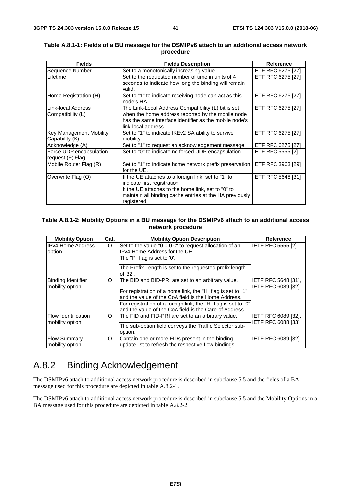| <b>Fields</b>                  | <b>Fields Description</b>                                                  | <b>Reference</b>          |
|--------------------------------|----------------------------------------------------------------------------|---------------------------|
| Sequence Number                | Set to a monotonically increasing value.                                   | <b>IETF RFC 6275 [27]</b> |
| <b>Lifetime</b>                | Set to the requested number of time in units of 4                          | <b>IETF RFC 6275 [27]</b> |
|                                | seconds to indicate how long the binding will remain                       |                           |
|                                | valid.                                                                     |                           |
| Home Registration (H)          | Set to "1" to indicate receiving node can act as this                      | IETF RFC 6275 [27]        |
|                                | node's HA                                                                  |                           |
| Link-local Address             | The Link-Local Address Compatibility (L) bit is set                        | IETF RFC 6275 [27]        |
| Compatibility (L)              | when the home address reported by the mobile node                          |                           |
|                                | has the same interface identifier as the mobile node's                     |                           |
|                                | link-local address.                                                        |                           |
| <b>Key Management Mobility</b> | Set to "1" to indicate IKEv2 SA ability to survive                         | IETF RFC 6275 [27]        |
| Capability (K)                 | mobility                                                                   |                           |
| Acknowledge (A)                | Set to "1" to request an acknowledgement message.                          | <b>IETF RFC 6275 [27]</b> |
| Force UDP encapsulation        | Set to "0" to indicate no forced UDP encapsulation                         | <b>IETF RFC 5555 [2]</b>  |
| request (F) Flag               |                                                                            |                           |
| Mobile Router Flag (R)         | Set to "1" to indicate home network prefix preservation IETF RFC 3963 [29] |                           |
|                                | for the UE.                                                                |                           |
| Overwrite Flag (O)             | If the UE attaches to a foreign link, set to "1" to                        | IETF RFC 5648 [31]        |
|                                | indicate first registration                                                |                           |
|                                | If the UE attaches to the home link, set to "0" to                         |                           |
|                                | maintain all binding cache entries at the HA previously                    |                           |
|                                | registered.                                                                |                           |

#### **Table A.8.1-1: Fields of a BU message for the DSMIPv6 attach to an additional access network procedure**

#### **Table A.8.1-2: Mobility Options in a BU message for the DSMIPv6 attach to an additional access network procedure**

| <b>Mobility Option</b>                       | Cat.    | <b>Mobility Option Description</b>                                                                                       | <b>Reference</b>                          |
|----------------------------------------------|---------|--------------------------------------------------------------------------------------------------------------------------|-------------------------------------------|
| <b>IPv4 Home Address</b><br>option           | $\circ$ | Set to the value "0.0.0.0" to request allocation of an<br>IPv4 Home Address for the UE.                                  | <b>IETF RFC 5555 [2]</b>                  |
|                                              |         | The "P" flag is set to '0'.                                                                                              |                                           |
|                                              |         | The Prefix Length is set to the requested prefix length<br>of '32'.                                                      |                                           |
| <b>Binding Identifier</b><br>mobility option | O       | The BID and BID-PRI are set to an arbitrary value.                                                                       | IETF RFC 5648 [31],<br>IETF RFC 6089 [32] |
|                                              |         | For registration of a home link, the "H" flag is set to "1"                                                              |                                           |
|                                              |         | and the value of the CoA field is the Home Address.                                                                      |                                           |
|                                              |         | For registration of a foreign link, the "H" flag is set to "0"<br>and the value of the CoA field is the Care-of Address. |                                           |
| Flow Identification<br>mobility option       | O       | The FID and FID-PRI are set to an arbitrary value.                                                                       | IETF RFC 6089 [32],<br>IETF RFC 6088 [33] |
|                                              |         | The sub-option field conveys the Traffic Selector sub-                                                                   |                                           |
|                                              |         | option.                                                                                                                  |                                           |
| <b>Flow Summary</b><br>mobility option       | O       | Contain one or more FIDs present in the binding<br>update list to refresh the respective flow bindings.                  | IETF RFC 6089 [32]                        |

## A.8.2 Binding Acknowledgement

The DSMIPv6 attach to additional access network procedure is described in subclause 5.5 and the fields of a BA message used for this procedure are depicted in table A.8.2-1.

The DSMIPv6 attach to additional access network procedure is described in subclause 5.5 and the Mobility Options in a BA message used for this procedure are depicted in table A.8.2-2.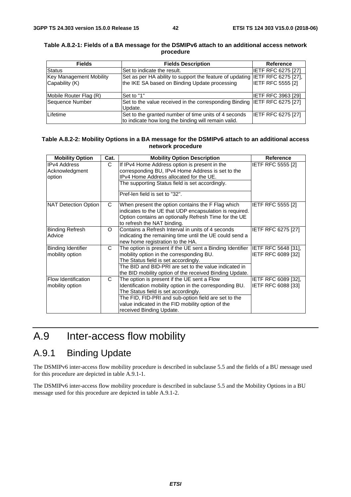| <b>Fields</b>                  | <b>Fields Description</b>                                                    | <b>Reference</b>          |
|--------------------------------|------------------------------------------------------------------------------|---------------------------|
| <b>Status</b>                  | Set to indicate the result.                                                  | <b>IETF RFC 6275 [27]</b> |
| <b>Key Management Mobility</b> | Set as per HA ability to support the feature of updating IETF RFC 6275 [27], |                           |
| Capability (K)                 | the IKE SA based on Binding Update processing                                | <b>IETF RFC 5555 [2]</b>  |
|                                |                                                                              |                           |
| Mobile Router Flag (R)         | Set to "1"                                                                   | <b>IETF RFC 3963 [29]</b> |
| Sequence Number                | Set to the value received in the corresponding Binding IETF RFC 6275 [27]    |                           |
|                                | Update.                                                                      |                           |
| Lifetime                       | Set to the granted number of time units of 4 seconds                         | <b>IETF RFC 6275 [27]</b> |
|                                | to indicate how long the binding will remain valid.                          |                           |

#### **Table A.8.2-1: Fields of a BA message for the DSMIPv6 attach to an additional access network procedure**

#### **Table A.8.2-2: Mobility Options in a BA message for the DSMIPv6 attach to an additional access network procedure**

| <b>Mobility Option</b>                          | Cat.     | <b>Mobility Option Description</b>                                                                                                                                                                                                                                                      | <b>Reference</b>                                        |
|-------------------------------------------------|----------|-----------------------------------------------------------------------------------------------------------------------------------------------------------------------------------------------------------------------------------------------------------------------------------------|---------------------------------------------------------|
| <b>IPv4 Address</b><br>Acknowledgment<br>option | C.       | If IPv4 Home Address option is present in the<br>corresponding BU, IPv4 Home Address is set to the<br>IPv4 Home Address allocated for the UE.<br>The supporting Status field is set accordingly.<br>Pref-len field is set to "32".                                                      | <b>IETF RFC 5555 [2]</b>                                |
| NAT Detection Option                            | C        | When present the option contains the F Flag which<br>indicates to the UE that UDP encapsulation is required.<br>Option contains an optionally Refresh Time for the UE<br>to refresh the NAT binding.                                                                                    | <b>IETF RFC 5555 [2]</b>                                |
| <b>Binding Refresh</b><br>Advice                | $\Omega$ | Contains a Refresh Interval in units of 4 seconds<br>indicating the remaining time until the UE could send a<br>new home registration to the HA.                                                                                                                                        | <b>IETF RFC 6275 [27]</b>                               |
| <b>Binding Identifier</b><br>mobility option    | C        | The option is present if the UE sent a Binding Identifier IETF RFC 5648 [31],<br>mobility option in the corresponding BU.<br>The Status field is set accordingly.<br>The BID and BID-PRI are set to the value indicated in<br>the BID mobility option of the received Binding Update.   | IETF RFC 6089 [32]                                      |
| <b>IFlow Identification</b><br>mobility option  | C        | The option is present if the UE sent a Flow<br>Identification mobility option in the corresponding BU.<br>The Status field is set accordingly.<br>The FID, FID-PRI and sub-option field are set to the<br>value indicated in the FID mobility option of the<br>received Binding Update. | <b>IETF RFC 6089 [32].</b><br><b>IETF RFC 6088 [33]</b> |

## A.9 Inter-access flow mobility

## A.9.1 Binding Update

The DSMIPv6 inter-access flow mobility procedure is described in subclause 5.5 and the fields of a BU message used for this procedure are depicted in table A.9.1-1.

The DSMIPv6 inter-access flow mobility procedure is described in subclause 5.5 and the Mobility Options in a BU message used for this procedure are depicted in table A.9.1-2.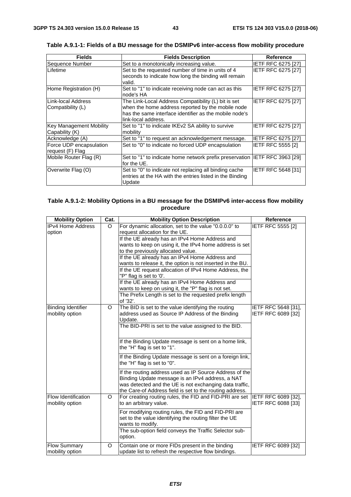$\overline{a}$ 

| <b>Fields</b>                                    | <b>Fields Description</b>                                                                                                                                                                 | <b>Reference</b>          |
|--------------------------------------------------|-------------------------------------------------------------------------------------------------------------------------------------------------------------------------------------------|---------------------------|
| Sequence Number                                  | Set to a monotonically increasing value.                                                                                                                                                  | <b>IETF RFC 6275 [27]</b> |
| <b>ILifetime</b>                                 | Set to the requested number of time in units of 4<br>seconds to indicate how long the binding will remain<br>valid.                                                                       | <b>IETF RFC 6275 [27]</b> |
| Home Registration (H)                            | Set to "1" to indicate receiving node can act as this<br>node's HA                                                                                                                        | IETF RFC 6275 [27]        |
| ILink-local Address<br>Compatibility (L)         | The Link-Local Address Compatibility (L) bit is set<br>when the home address reported by the mobile node<br>has the same interface identifier as the mobile node's<br>link-local address. | IETF RFC 6275 [27]        |
| <b>Key Management Mobility</b><br>Capability (K) | Set to "1" to indicate IKEv2 SA ability to survive<br>mobility                                                                                                                            | <b>IETF RFC 6275 [27]</b> |
| Acknowledge (A)                                  | Set to "1" to request an acknowledgement message.                                                                                                                                         | <b>IETF RFC 6275 [27]</b> |
| Force UDP encapsulation<br>request (F) Flag      | Set to "0" to indicate no forced UDP encapsulation                                                                                                                                        | IETF RFC 5555 [2]         |
| Mobile Router Flag (R)                           | Set to "1" to indicate home network prefix preservation IETF RFC 3963 [29]<br>for the UE.                                                                                                 |                           |
| Overwrite Flag (O)                               | Set to "0" to indicate not replacing all binding cache<br>entries at the HA with the entries listed in the Binding<br>Update                                                              | <b>IETF RFC 5648 [31]</b> |

**Table A.9.1-1: Fields of a BU message for the DSMIPv6 inter-access flow mobility procedure** 

### **Table A.9.1-2: Mobility Options in a BU message for the DSMIPv6 inter-access flow mobility procedure**

| <b>Mobility Option</b>                       | Cat.    | <b>Mobility Option Description</b>                                                                                                                                                                                                                                                                                                                                                                                                                                                                                                                                                                                  | Reference                                        |
|----------------------------------------------|---------|---------------------------------------------------------------------------------------------------------------------------------------------------------------------------------------------------------------------------------------------------------------------------------------------------------------------------------------------------------------------------------------------------------------------------------------------------------------------------------------------------------------------------------------------------------------------------------------------------------------------|--------------------------------------------------|
| <b>IPv4 Home Address</b><br>option           | $\circ$ | For dynamic allocation, set to the value "0.0.0.0" to<br>request allocation for the UE.<br>If the UE already has an IPv4 Home Address and<br>wants to keep on using it, the IPv4 home address is set<br>to the previously allocated value.<br>If the UE already has an IPv4 Home Address and<br>wants to release it, the option is not inserted in the BU.<br>If the UE request allocation of IPv4 Home Address, the<br>"P" flag is set to '0'.<br>If the UE already has an IPv4 Home Address and<br>wants to keep on using it, the "P" flag is not set.<br>The Prefix Length is set to the requested prefix length | <b>IETF RFC 5555 [2]</b>                         |
| <b>Binding Identifier</b><br>mobility option | $\circ$ | of '32'.<br>The BID is set to the value identifying the routing<br>address used as Source IP Address of the Binding<br>Update.<br>The BID-PRI is set to the value assigned to the BID.<br>If the Binding Update message is sent on a home link,<br>the "H" flag is set to "1".<br>If the Binding Update message is sent on a foreign link,<br>the "H" flag is set to "0".                                                                                                                                                                                                                                           | IETF RFC 5648 [31],<br><b>IETF RFC 6089 [32]</b> |
| Flow Identification                          | $\circ$ | If the routing address used as IP Source Address of the<br>Binding Update message is an IPv4 address, a NAT<br>was detected and the UE is not exchanging data traffic,<br>the Care-of Address field is set to the routing address.<br>For creating routing rules, the FID and FID-PRI are set                                                                                                                                                                                                                                                                                                                       | <b>IETF RFC 6089 [32],</b>                       |
| mobility option                              |         | to an arbitrary value.<br>For modifying routing rules, the FID and FID-PRI are<br>set to the value identifying the routing filter the UE<br>wants to modify.<br>The sub-option field conveys the Traffic Selector sub-<br>option.                                                                                                                                                                                                                                                                                                                                                                                   | IETF RFC 6088 [33]                               |
| <b>Flow Summary</b><br>mobility option       | O       | Contain one or more FIDs present in the binding<br>update list to refresh the respective flow bindings.                                                                                                                                                                                                                                                                                                                                                                                                                                                                                                             | <b>IETF RFC 6089 [32]</b>                        |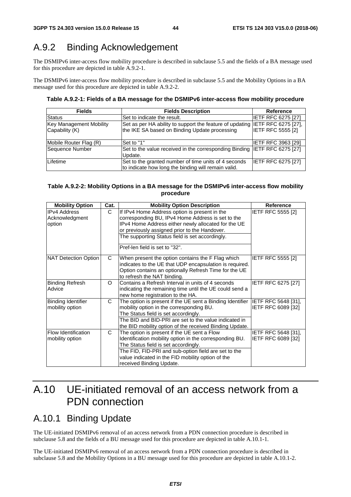## A.9.2 Binding Acknowledgement

The DSMIPv6 inter-access flow mobility procedure is described in subclause 5.5 and the fields of a BA message used for this procedure are depicted in table A.9.2-1.

The DSMIPv6 inter-access flow mobility procedure is described in subclause 5.5 and the Mobility Options in a BA message used for this procedure are depicted in table A.9.2-2.

#### **Table A.9.2-1: Fields of a BA message for the DSMIPv6 inter-access flow mobility procedure**

| <b>Fields</b>                  | <b>Fields Description</b>                                                    | <b>Reference</b>          |
|--------------------------------|------------------------------------------------------------------------------|---------------------------|
| <b>Status</b>                  | Set to indicate the result.                                                  | <b>IETF RFC 6275 [27]</b> |
| <b>Key Management Mobility</b> | Set as per HA ability to support the feature of updating IETF RFC 6275 [27], |                           |
| Capability (K)                 | the IKE SA based on Binding Update processing                                | <b>IETF RFC 5555 [2]</b>  |
|                                |                                                                              |                           |
| Mobile Router Flag (R)         | Set to "1"                                                                   | <b>IETF RFC 3963 [29]</b> |
| Sequence Number                | Set to the value received in the corresponding Binding IETF RFC 6275 [27]    |                           |
|                                | Update.                                                                      |                           |
| Lifetime                       | Set to the granted number of time units of 4 seconds                         | <b>IETF RFC 6275 [27]</b> |
|                                | to indicate how long the binding will remain valid.                          |                           |

#### **Table A.9.2-2: Mobility Options in a BA message for the DSMIPv6 inter-access flow mobility procedure**

| <b>Mobility Option</b>                          | Cat. | <b>Mobility Option Description</b>                                                                                                                                                                                                                                                      | <b>Reference</b>                          |
|-------------------------------------------------|------|-----------------------------------------------------------------------------------------------------------------------------------------------------------------------------------------------------------------------------------------------------------------------------------------|-------------------------------------------|
| <b>IPv4 Address</b><br>Acknowledgment<br>option | C.   | If IPv4 Home Address option is present in the<br>corresponding BU, IPv4 Home Address is set to the<br>IPv4 Home Address either newly allocated for the UE                                                                                                                               | IETF RFC 5555 [2]                         |
|                                                 |      | or previously assigned prior to the Handover.<br>The supporting Status field is set accordingly.<br>Pref-len field is set to "32".                                                                                                                                                      |                                           |
| NAT Detection Option                            | C    | When present the option contains the F Flag which<br>indicates to the UE that UDP encapsulation is required.<br>Option contains an optionally Refresh Time for the UE<br>to refresh the NAT binding.                                                                                    | <b>IETF RFC 5555 [2]</b>                  |
| <b>Binding Refresh</b><br>Advice                | O    | Contains a Refresh Interval in units of 4 seconds<br>indicating the remaining time until the UE could send a<br>new home registration to the HA.                                                                                                                                        | IETF RFC 6275 [27]                        |
| Binding Identifier<br>mobility option           | C    | The option is present if the UE sent a Binding Identifier<br>mobility option in the corresponding BU.<br>The Status field is set accordingly.<br>The BID and BID-PRI are set to the value indicated in<br>the BID mobility option of the received Binding Update.                       | IETF RFC 5648 [31],<br>IETF RFC 6089 [32] |
| <b>Flow Identification</b><br>mobility option   | C    | The option is present if the UE sent a Flow<br>Identification mobility option in the corresponding BU.<br>The Status field is set accordingly.<br>The FID, FID-PRI and sub-option field are set to the<br>value indicated in the FID mobility option of the<br>received Binding Update. | IETF RFC 5648 [31],<br>IETF RFC 6089 [32] |

## A.10 UE-initiated removal of an access network from a PDN connection

## A.10.1 Binding Update

The UE-initiated DSMIPv6 removal of an access network from a PDN connection procedure is described in subclause 5.8 and the fields of a BU message used for this procedure are depicted in table A.10.1-1.

The UE-initiated DSMIPv6 removal of an access network from a PDN connection procedure is described in subclause 5.8 and the Mobility Options in a BU message used for this procedure are depicted in table A.10.1-2.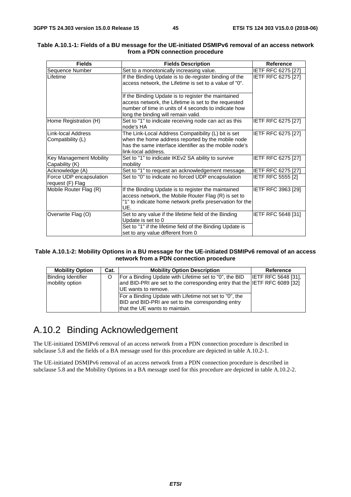| <b>Fields</b>                                    | <b>Fields Description</b>                                                                                                                                                                                  | <b>Reference</b>          |
|--------------------------------------------------|------------------------------------------------------------------------------------------------------------------------------------------------------------------------------------------------------------|---------------------------|
| Sequence Number                                  | Set to a monotonically increasing value.                                                                                                                                                                   | <b>IETF RFC 6275 [27]</b> |
| Lifetime                                         | If the Binding Update is to de-register binding of the<br>access network, the Lifetime is set to a value of "0".                                                                                           | <b>IETF RFC 6275 [27]</b> |
|                                                  | If the Binding Update is to register the maintained<br>access network, the Lifetime is set to the requested<br>number of time in units of 4 seconds to indicate how<br>long the binding will remain valid. |                           |
| Home Registration (H)                            | Set to "1" to indicate receiving node can act as this<br>node's HA                                                                                                                                         | <b>IETF RFC 6275 [27]</b> |
| Link-local Address<br>Compatibility (L)          | The Link-Local Address Compatibility (L) bit is set<br>when the home address reported by the mobile node<br>has the same interface identifier as the mobile node's<br>link-local address.                  | IETF RFC 6275 [27]        |
| <b>Key Management Mobility</b><br>Capability (K) | Set to "1" to indicate IKEv2 SA ability to survive<br>mobility                                                                                                                                             | <b>IETF RFC 6275 [27]</b> |
| Acknowledge (A)                                  | Set to "1" to request an acknowledgement message.                                                                                                                                                          | IETF RFC 6275 [27]        |
| Force UDP encapsulation<br>request (F) Flag      | Set to "0" to indicate no forced UDP encapsulation                                                                                                                                                         | <b>IETF RFC 5555 [2]</b>  |
| Mobile Router Flag (R)                           | If the Binding Update is to register the maintained<br>access network, the Mobile Router Flag (R) is set to<br>"1" to indicate home network prefix preservation for the<br>UE.                             | IETF RFC 3963 [29]        |
| Overwrite Flag (O)                               | Set to any value if the lifetime field of the Binding<br>Update is set to 0<br>Set to "1" if the lifetime field of the Binding Update is<br>set to any value different from 0                              | <b>IETF RFC 5648 [31]</b> |

#### **Table A.10.1-1: Fields of a BU message for the UE-initiated DSMIPv6 removal of an access network from a PDN connection procedure**

#### **Table A.10.1-2: Mobility Options in a BU message for the UE-initiated DSMIPv6 removal of an access network from a PDN connection procedure**

| <b>Mobility Option</b>                       | Cat. | <b>Mobility Option Description</b>                                                                                                             | Reference                  |
|----------------------------------------------|------|------------------------------------------------------------------------------------------------------------------------------------------------|----------------------------|
| <b>Binding Identifier</b><br>mobility option |      | For a Binding Update with Lifetime set to "0", the BID<br>and BID-PRI are set to the corresponding entry that the IETF RFC 6089 [32]           | <b>IETF RFC 5648 [31].</b> |
|                                              |      | <b>IUE</b> wants to remove.                                                                                                                    |                            |
|                                              |      | For a Binding Update with Lifetime not set to "0", the<br>BID and BID-PRI are set to the corresponding entry<br>that the UE wants to maintain. |                            |

## A.10.2 Binding Acknowledgement

The UE-initiated DSMIPv6 removal of an access network from a PDN connection procedure is described in subclause 5.8 and the fields of a BA message used for this procedure are depicted in table A.10.2-1.

The UE-initiated DSMIPv6 removal of an access network from a PDN connection procedure is described in subclause 5.8 and the Mobility Options in a BA message used for this procedure are depicted in table A.10.2-2.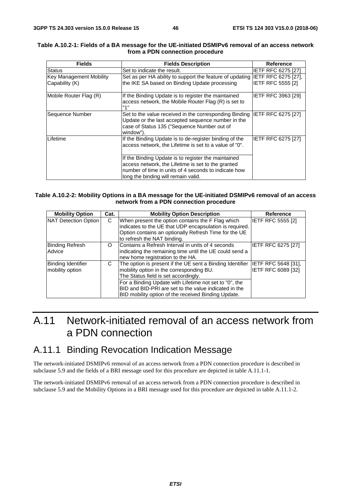| <b>Fields</b>                                    | <b>Fields Description</b>                                                                                                                                                                                | <b>Reference</b>                                |
|--------------------------------------------------|----------------------------------------------------------------------------------------------------------------------------------------------------------------------------------------------------------|-------------------------------------------------|
| <b>Status</b>                                    | Set to indicate the result.                                                                                                                                                                              | <b>IETF RFC 6275 [27]</b>                       |
| <b>Key Management Mobility</b><br>Capability (K) | Set as per HA ability to support the feature of updating<br>the IKE SA based on Binding Update processing                                                                                                | IETF RFC 6275 [27],<br><b>IETF RFC 5555 [2]</b> |
| Mobile Router Flag (R)                           | If the Binding Update is to register the maintained<br>access network, the Mobile Router Flag (R) is set to<br>"1"                                                                                       | <b>IETF RFC 3963 [29]</b>                       |
| Sequence Number                                  | Set to the value received in the corresponding Binding<br>Update or the last accepted sequence number in the<br>case of Status 135 ("Sequence Number out of<br>window").                                 | <b>IETF RFC 6275 [27]</b>                       |
| Lifetime                                         | If the Binding Update is to de-register binding of the<br>access network, the Lifetime is set to a value of "0".                                                                                         | <b>IETF RFC 6275 [27]</b>                       |
|                                                  | If the Binding Update is to register the maintained<br>access network, the Lifetime is set to the granted<br>number of time in units of 4 seconds to indicate how<br>long the binding will remain valid. |                                                 |

#### **Table A.10.2-1: Fields of a BA message for the UE-initiated DSMIPv6 removal of an access network from a PDN connection procedure**

#### **Table A.10.2-2: Mobility Options in a BA message for the UE-initiated DSMIPv6 removal of an access network from a PDN connection procedure**

| <b>Mobility Option</b>                       | Cat. | <b>Mobility Option Description</b>                                                                                                                                                                                                                                                                                                          | <b>Reference</b>         |
|----------------------------------------------|------|---------------------------------------------------------------------------------------------------------------------------------------------------------------------------------------------------------------------------------------------------------------------------------------------------------------------------------------------|--------------------------|
| NAT Detection Option                         | C    | When present the option contains the F Flag which<br>indicates to the UE that UDP encapsulation is required.<br>Option contains an optionally Refresh Time for the UE<br>to refresh the NAT binding.                                                                                                                                        | <b>IETF RFC 5555 [2]</b> |
| <b>Binding Refresh</b><br>Advice             | O    | Contains a Refresh Interval in units of 4 seconds<br>indicating the remaining time until the UE could send a<br>new home registration to the HA.                                                                                                                                                                                            | IETF RFC 6275 [27]       |
| <b>Binding Identifier</b><br>mobility option | C    | The option is present if the UE sent a Binding Identifier IETF RFC 5648 [31],<br>mobility option in the corresponding BU.<br>The Status field is set accordingly.<br>For a Binding Update with Lifetime not set to "0", the<br>BID and BID-PRI are set to the value indicated in the<br>BID mobility option of the received Binding Update. | IETF RFC 6089 [32]       |

## A.11 Network-initiated removal of an access network from a PDN connection

## A.11.1 Binding Revocation Indication Message

The network-initiated DSMIPv6 removal of an access network from a PDN connection procedure is described in subclause 5.9 and the fields of a BRI message used for this procedure are depicted in table A.11.1-1.

The network-initiated DSMIPv6 removal of an access network from a PDN connection procedure is described in subclause 5.9 and the Mobility Options in a BRI message used for this procedure are depicted in table A.11.1-2.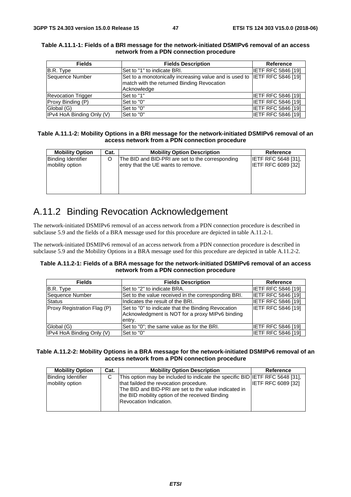| <b>Fields</b>             | <b>Fields Description</b>                                                 | Reference                 |
|---------------------------|---------------------------------------------------------------------------|---------------------------|
| B.R. Type                 | Set to "1" to indicate BRI.                                               | <b>IETF RFC 5846 [19]</b> |
| Sequence Number           | Set to a monotonically increasing value and is used to IETF RFC 5846 [19] |                           |
|                           | match with the returned Binding Revocation                                |                           |
|                           | Acknowledge                                                               |                           |
| <b>Revocation Trigger</b> | Set to "1"                                                                | IIETF RFC 5846 [19]       |
| Proxy Binding (P)         | Set to "0"                                                                | <b>IETF RFC 5846 [19]</b> |
| Global (G)                | Set to "0"                                                                | <b>IETF RFC 5846 [19]</b> |
| IPv4 HoA Binding Only (V) | Set to "0"                                                                | <b>IETF RFC 5846 [19]</b> |

#### **Table A.11.1-1: Fields of a BRI message for the network-initiated DSMIPv6 removal of an access network from a PDN connection procedure**

#### **Table A.11.1-2: Mobility Options in a BRI message for the network-initiated DSMIPv6 removal of an access network from a PDN connection procedure**

| <b>Mobility Option</b>    | Cat. | <b>Mobility Option Description</b>               | <b>Reference</b>           |
|---------------------------|------|--------------------------------------------------|----------------------------|
| <b>Binding Identifier</b> |      | The BID and BID-PRI are set to the corresponding | <b>IETF RFC 5648 [31].</b> |
| mobility option           |      | entry that the UE wants to remove.               | IETF RFC 6089 [32]         |
|                           |      |                                                  |                            |
|                           |      |                                                  |                            |
|                           |      |                                                  |                            |

## A.11.2 Binding Revocation Acknowledgement

The network-initiated DSMIPv6 removal of an access network from a PDN connection procedure is described in subclause 5.9 and the fields of a BRA message used for this procedure are depicted in table A.11.2-1.

The network-initiated DSMIPv6 removal of an access network from a PDN connection procedure is described in subclause 5.9 and the Mobility Options in a BRA message used for this procedure are depicted in table A.11.2-2.

#### **Table A.11.2-1: Fields of a BRA message for the network-initiated DSMIPv6 removal of an access network from a PDN connection procedure**

| <b>Fields</b>               | <b>Fields Description</b>                                                                                       | <b>Reference</b>          |
|-----------------------------|-----------------------------------------------------------------------------------------------------------------|---------------------------|
| B.R. Type                   | Set to "2" to indicate BRA.                                                                                     | <b>IETF RFC 5846 [19]</b> |
| Sequence Number             | Set to the value received in the corresponding BRI.                                                             | <b>IETF RFC 5846 [19]</b> |
| <b>Status</b>               | Indicates the result of the BRI.                                                                                | IETF RFC 5846 [19]        |
| Proxy Registration Flag (P) | Set to "0" to indicate that the Binding Revocation<br>Acknowledgment is NOT for a proxy MIPv6 binding<br>entry. | <b>IETF RFC 5846 [19]</b> |
| Global (G)                  | Set to "0"; the same value as for the BRI.                                                                      | <b>IETF RFC 5846 [19]</b> |
| IPv4 HoA Binding Only (V)   | Set to "0"                                                                                                      | <b>IETF RFC 5846 [19]</b> |

#### **Table A.11.2-2: Mobility Options in a BRA message for the network-initiated DSMIPv6 removal of an access network from a PDN connection procedure**

| <b>Mobility Option</b>                       | Cat. | <b>Mobility Option Description</b>                                                                                                                                                                                                                           | Reference                 |
|----------------------------------------------|------|--------------------------------------------------------------------------------------------------------------------------------------------------------------------------------------------------------------------------------------------------------------|---------------------------|
| <b>Binding Identifier</b><br>mobility option | С    | This option may be included to indicate the specific BID IETF RFC 5648 [31].<br>that failded the revocation procedure.<br>The BID and BID-PRI are set to the value indicated in<br>the BID mobility option of the received Binding<br>Revocation Indication. | <b>IETF RFC 6089 [32]</b> |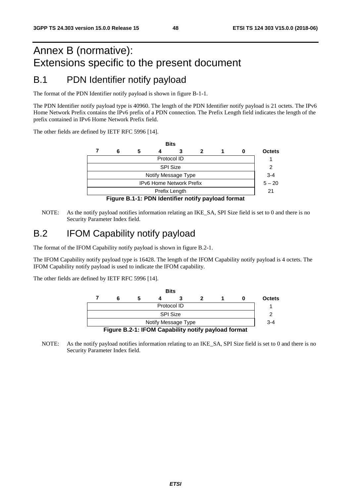# Annex B (normative): Extensions specific to the present document

# B.1 PDN Identifier notify payload

The format of the PDN Identifier notify payload is shown in figure B-1-1.

The PDN Identifier notify payload type is 40960. The length of the PDN Identifier notify payload is 21 octets. The IPv6 Home Network Prefix contains the IPv6 prefix of a PDN connection. The Prefix Length field indicates the length of the prefix contained in IPv6 Home Network Prefix field.

The other fields are defined by IETF RFC 5996 [14].

|                                                    |   |   |  | <b>Bits</b> |   |  |   |               |
|----------------------------------------------------|---|---|--|-------------|---|--|---|---------------|
|                                                    | 6 | 5 |  |             | 2 |  | 0 | <b>Octets</b> |
| Protocol ID                                        |   |   |  |             |   |  |   |               |
| <b>SPI Size</b>                                    |   |   |  |             |   |  |   | 2             |
| Notify Message Type                                |   |   |  |             |   |  |   |               |
| <b>IPv6 Home Network Prefix</b>                    |   |   |  |             |   |  |   | $5 - 20$      |
| Prefix Length                                      |   |   |  |             |   |  |   | 21            |
| Figure B.1-1: PDN Identifier notify payload format |   |   |  |             |   |  |   |               |

NOTE: As the notify payload notifies information relating an IKE\_SA, SPI Size field is set to 0 and there is no Security Parameter Index field.

## B.2 IFOM Capability notify payload

The format of the IFOM Capability notify payload is shown in figure B.2-1.

The IFOM Capability notify payload type is 16428. The length of the IFOM Capability notify payload is 4 octets. The IFOM Capability notify payload is used to indicate the IFOM capability.

The other fields are defined by IETF RFC 5996 [14].



NOTE: As the notify payload notifies information relating to an IKE\_SA, SPI Size field is set to 0 and there is no Security Parameter Index field.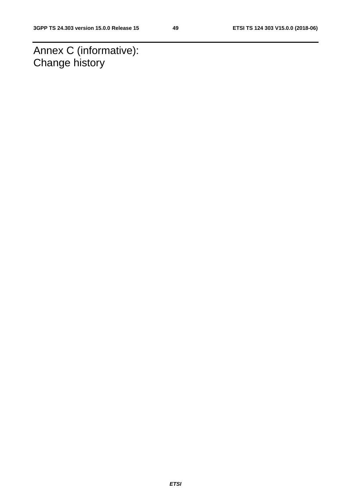Annex C (informative): Change history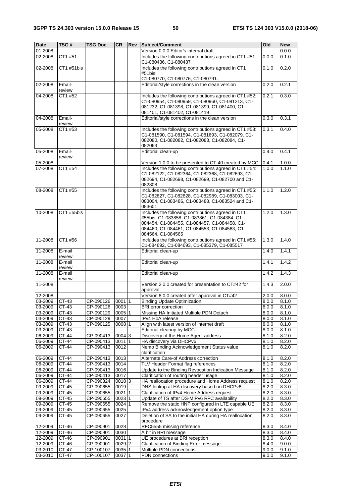| <b>Date</b> | TSG#             | <b>TSG Doc.</b> | <b>CR</b> | Rev | Subject/Comment                                                                                                                                                                                                         | Old   | <b>New</b> |
|-------------|------------------|-----------------|-----------|-----|-------------------------------------------------------------------------------------------------------------------------------------------------------------------------------------------------------------------------|-------|------------|
| 01-2008     |                  |                 |           |     | Version 0.0.0 Editor's internal draft                                                                                                                                                                                   |       | 0.0.0      |
| 02-2008     | CT1 #51          |                 |           |     | Includes the following contributions agreed in CT1 #51:<br>C1-080436, C1-080437                                                                                                                                         | 0.0.0 | 0.1.0      |
| 02-2008     | CT1 #51bis       |                 |           |     | Includes the following contributions agreed in CT1<br>#51bis:                                                                                                                                                           | 0.1.0 | 0.2.0      |
|             |                  |                 |           |     | C1-080770, C1-080776, C1-080791.                                                                                                                                                                                        |       |            |
| 02-2008     | Email-<br>review |                 |           |     | Editorial/style corrections in the clean version                                                                                                                                                                        | 0.2.0 | 0.2.1      |
| 04-2008     | CT1 #52          |                 |           |     | Includes the following contributions agreed in CT1 #52:<br>C1-080954, C1-080959, C1-080960, C1-081213, C1-<br>081232, C1-081398, C1-081399, C1-081400, C1-<br>081401, C1-081402, C1-081419                              | 0.2.1 | 0.3.0      |
| 04-2008     | Email-<br>review |                 |           |     | Editorial/style corrections in the clean version                                                                                                                                                                        | 0.3.0 | 0.3.1      |
| 05-2008     | CT1 #53          |                 |           |     | Includes the following contributions agreed in CT1 #53:<br>C1-081590, C1-081594, C1-081693, C1-082079, C1-<br>082080, C1-082082, C1-082083, C1-082084, C1-<br>082063                                                    | 0.3.1 | 0.4.0      |
| 05-2008     | Email-<br>review |                 |           |     | Editorial clean-up                                                                                                                                                                                                      | 0.4.0 | 0.4.1      |
| 05-2008     |                  |                 |           |     | Version 1.0.0 to be presented to CT-40 created by MCC                                                                                                                                                                   | 0.4.1 | 1.0.0      |
| 07-2008     | CT1 #54          |                 |           |     | Includes the following contributions agreed in CT1 #54:<br>C1-082122, C1-082364, C1-082368, C1-082693, C1-<br>082694, C1-082698, C1-082699, C1-082700 and C1-<br>082808                                                 | 1.0.0 | 1.1.0      |
| 08-2008     | CT1 #55          |                 |           |     | Includes the following contributions agreed in CT1 #55:<br>C1-082827, C1-082828, C1-082989, C1-083003, C1-<br>083004, C1-083486, C1-083488, C1-083524 and C1-<br>083601                                                 | 1.1.0 | 1.2.0      |
| 10-2008     | CT1 #55bis       |                 |           |     | Includes the following contributions agreed in CT1<br>#55bis: C1-083858, C1-083861, C1-084384, C1-<br>084454, C1-084455, C1-084457, C1-084458, C1-<br>084460, C1-084461, C1-084553, C1-084563, C1-<br>084564, C1-084565 | 1.2.0 | 1.3.0      |
| 11-2008     | CT1 #56          |                 |           |     | Includes the following contributions agreed in CT1 #56:<br>C1-084692, C1-084693, C1-085379, C1-085517                                                                                                                   | 1.3.0 | 1.4.0      |
| 11-2008     | E-mail<br>review |                 |           |     | Editorial clean-up                                                                                                                                                                                                      | 1.4.0 | 1.4.1      |
| 11-2008     | E-mail<br>review |                 |           |     | Editorial clean-up                                                                                                                                                                                                      | 1.4.1 | 1.4.2      |
| 11-2008     | E-mail<br>review |                 |           |     | Editorial clean-up                                                                                                                                                                                                      | 1.4.2 | 1.4.3      |
| 11-2008     |                  |                 |           |     | Version 2.0.0 created for presentation to CT#42 for<br>approval                                                                                                                                                         | 1.4.3 | 2.0.0      |
| 12-2008     |                  |                 |           |     | Version 8.0.0 created after approval in CT#42                                                                                                                                                                           | 2.0.0 | 8.0.0      |
| 03-2009     | CT-43            | CP-090126       | $0001$  1 |     | <b>Binding Update Optimization</b>                                                                                                                                                                                      | 8.0.0 | 8.1.0      |
| 03-2009     | CT-43            | CP-090126       | 0003      |     | BRI error correction                                                                                                                                                                                                    | 8.0.0 | 8.1.0      |
| 03-2009     | $CT-43$          | CP-090129       | 0005 1    |     | Missing HA Initiated Multiple PDN Detach                                                                                                                                                                                | 8.0.0 | 8.1.0      |
| 03-2009     | CT-43            | CP-090129       | 0007      |     | IPv4 HoA release                                                                                                                                                                                                        | 8.0.0 | 8.1.0      |
| 03-2009     | CT-43            | CP-090125       | 0008 1    |     | Align with latest version of internet draft                                                                                                                                                                             | 8.0.0 | 8.1.0      |
| 03-2009     | CT-43            |                 |           |     | Editorial cleanup by MCC                                                                                                                                                                                                | 8.0.0 | 8.1.0      |
| 06-2009     | $CT-44$          | CP-090413       | 0004 3    |     | Discovery of the Home Agent address                                                                                                                                                                                     | 8.1.0 | 8.2.0      |
| 06-2009     | <b>CT-44</b>     | CP-090413       | 00111     |     | HA discovery via DHCPv6                                                                                                                                                                                                 | 8.1.0 | 8.2.0      |
| 06-2009     | CT-44            | CP-090413       | 0012      |     | Nemo Binding Acknowledgement Status value<br>clarification                                                                                                                                                              | 8.1.0 | 8.2.0      |
| 06-2009     | CT-44            | CP-090413       | 0013      |     | Alternate Care-of Address correction                                                                                                                                                                                    | 8.1.0 | 8.2.0      |
| 06-2009     | CT-44            | CP-090413       | 0014      |     | TLV Header Format flag references                                                                                                                                                                                       | 8.1.0 | 8.2.0      |
| 06-2009     | CT-44            | CP-090413       | 0016      |     | Update to the Binding Revocation Indication Message                                                                                                                                                                     | 8.1.0 | 8.2.0      |
| 06-2009     | CT-44            | CP-090413       | 0017      |     | Clarification of routing header usage                                                                                                                                                                                   | 8.1.0 | 8.2.0      |
| 06-2009     | $CT-44$          | CP-090324       | 00183     |     | HA reallocation procedure and Home Address request                                                                                                                                                                      | 8.1.0 | 8.2.0      |
| 09-2009     | CT-45            | CP-090655       | 0019      |     | DNS lookup at HA discovery based on DHCPv6                                                                                                                                                                              | 8.2.0 | 8.3.0      |
| 09-2009     | CT-45            | CP-090655       | 0021 1    |     | Clarification of IPv4 Home Address request                                                                                                                                                                              | 8.2.0 | 8.3.0      |
| 09-2009     | $CT-45$          | CP-090655       | 0023 1    |     | Update of TS after DS-MIPv6 RFC availability                                                                                                                                                                            | 8.2.0 | 8.3.0      |
| 09-2009     | CT-45            | CP-090655       | $0024$ 1  |     | Remove the static HNP configured in LTE capable UE                                                                                                                                                                      | 8.2.0 | 8.3.0      |
| 09-2009     | CT-45            | CP-090655       | 0025      |     | IPv4 address acknowledgement option type                                                                                                                                                                                | 8.2.0 | 8.3.0      |
| 09-2009     | CT-45            | CP-090655       | 0027      |     | Deletion of SA to the initial HA during HA reallocation<br>procedure                                                                                                                                                    | 8.2.0 | 8.3.0      |
| 12-2009     | CT-46            | CP-090901       | 0028      |     | RFC5555 missing reference                                                                                                                                                                                               | 8.3.0 | 8.4.0      |
| 12-2009     | CT-46            | CP-090901       | 0030      |     | A bit in BRI message                                                                                                                                                                                                    | 8.3.0 | 8.4.0      |
| 12-2009     | CT-46            | CP-090901       | 0031 1    |     | UE procedures at BRI reception                                                                                                                                                                                          | 8.3.0 | 8.4.0      |
| 12-2009     | CT-46            | CP-090901       | 0029 2    |     | Clarification of Binding Error message                                                                                                                                                                                  | 8.4.0 | 9.0.0      |
| 03-2010     | CT-47            | CP-100107       | 0035 1    |     | Multiple PDN connections                                                                                                                                                                                                | 9.0.0 | 9.1.0      |
| 03-2010     | CT-47            | CP-100107       | 0037 1    |     | PDN connections                                                                                                                                                                                                         | 9.0.0 | 9.1.0      |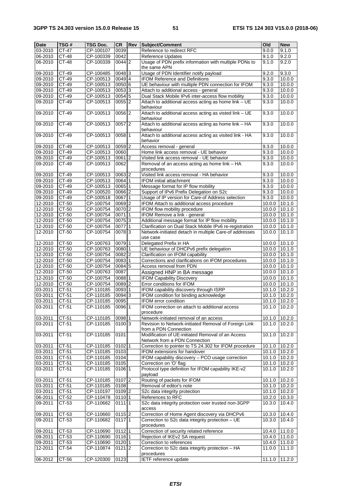| <b>Date</b> | TSG#    | TSG Doc.  | <b>CR</b>           | Rev | Subject/Comment                                         | Old    | <b>New</b> |
|-------------|---------|-----------|---------------------|-----|---------------------------------------------------------|--------|------------|
| 03-2010     | $CT-47$ | CP-100107 | 0039                |     | Reference to redirect RFC                               | 9.0.0  | 9.1.0      |
| 06-2010     | CT-48   | CP-100339 | 0042                |     | Reference Updates                                       | 9.1.0  | 9.2.0      |
| 06-2010     | CT-48   | CP-100339 | 0044 2              |     | Usage of PDN prefix information with multiple PDNs to   | 9.1.0  | 9.2.0      |
|             |         |           |                     |     | the same APN                                            |        |            |
| 09-2010     | CT-49   | CP-100485 | 0048 3              |     | Usage of PDN Identifier notify payload                  | 9.2.0  | 9.3.0      |
| 09-2010     | CT-49   | CP-100513 | 0049 4              |     | IFOM Reference and Definitions                          | 9.3.0  | 10.0.0     |
| 09-2010     | CT-49   | CP-100513 | 0050 6              |     | UE behaviour with multiple PDN connection for IFOM      | 9.3.0  | 10.0.0     |
| 09-2010     | CT-49   | CP-100513 | 00533               |     | Attach to additional access - general                   | 9.3.0  | 10.0.0     |
| 09-2010     | CT-49   | CP-100513 | 00545               |     | Dual Stack Mobile IPv6 inter-access flow mobility       | 9.3.0  | 10.0.0     |
| 09-2010     | CT-49   | CP-100513 | $0055$  2           |     | Attach to additional access acting as home link - UE    | 9.3.0  | 10.0.0     |
|             |         |           |                     |     | behaviour                                               |        |            |
| 09-2010     | CT-49   | CP-100513 | 0056 2              |     | Attach to additional access acting as visted link - UE  | 9.3.0  | 10.0.0     |
|             |         |           |                     |     | behaviour                                               |        |            |
| 09-2010     | $CT-49$ | CP-100513 | $0057$  2           |     | Attach to additional access acting as home link - HA    | 9.3.0  | 10.0.0     |
|             |         |           |                     |     | behaviour                                               |        |            |
| 09-2010     | $CT-49$ | CP-100513 | $0058$ 1            |     | Attach to additional access acting as visited link - HA | 9.3.0  | 10.0.0     |
|             |         |           |                     |     | behavior                                                |        |            |
| 09-2010     | $CT-49$ | CP-100513 | 0059 2              |     | Access removal - general                                | 9.3.0  | 10.0.0     |
| 09-2010     | CT-49   | CP-100513 | 0060                |     | Home link access removal - UE behavior                  | 9.3.0  | 10.0.0     |
| 09-2010     | CT-49   | CP-100513 | $0061$ <sup>2</sup> |     | Visited link access removal - UE behavior               | 9.3.0  | 10.0.0     |
| 09-2010     | $CT-49$ | CP-100513 | 0062                |     | Removal of an access acting as home link - HA           | 9.3.0  | 10.0.0     |
|             |         |           |                     |     | procedures                                              |        |            |
| 09-2010     | CT-49   | CP-100513 | 0063 2              |     | Visited link access removal - HA behavior               | 9.3.0  | 10.0.0     |
| 09-2010     | CT-49   | CP-100513 | 00641               |     | <b>IFOM</b> initial attachment                          | 9.3.0  | 10.0.0     |
| 09-2010     | CT-49   | CP-100513 | 0065 1              |     | Message format for IP flow mobility                     | 9.3.0  | 10.0.0     |
| 09-2010     | CT-49   | CP-100520 | 0066 2              |     | Support of IPv6 Prefix Delegation on S2c                | 9.3.0  | 10.0.0     |
| 09-2010     | CT-49   | CP-100518 | 0067 1              |     | Usage of IP version for Care-of Address selection       | 9.3.0  | 10.0.0     |
| 12-2010     | CT-50   | CP-100754 | 0069 2              |     | IFOM Attach to additional access procedure              | 10.0.0 | 10.1.0     |
| 12-2010     | CT-50   | CP-100754 | 0070 2              |     | IFOM flow mobility procedure                            | 10.0.0 | 10.1.0     |
| 12-2010     | CT-50   | CP-100754 | 00711               |     | IFOM Remove a link - general                            | 10.0.0 | 10.1.0     |
| 12-2010     | CT-50   | CP-100754 | 0075 3              |     | Additional message format for IP flow mobility          | 10.0.0 | 10.1.0     |
| 12-2010     | CT-50   | CP-100754 | 0077 1              |     | Clarification on Dual Stack Mobile IPv6 re-registration | 10.0.0 | 10.1.0     |
| 12-2010     | CT-50   | CP-100754 | 00783               |     | Network-initiated detach in multiple Care-of addresses  | 10.0.0 | 10.1.0     |
|             |         |           |                     |     | use case                                                |        |            |
| 12-2010     | CT-50   | CP-100763 | 0079 1              |     | Delegated Prefix in HA                                  | 10.0.0 | 10.1.0     |
| 12-2010     | CT-50   | CP-100763 | 0080 1              |     | UE behaviour of DHCPv6 prefix delegation                | 10.0.0 | 10.1.0     |
| 12-2010     | CT-50   | CP-100754 | 0082 2              |     | Clarification on IFOM capability                        | 10.0.0 | 10.1.0     |
| 12-2010     | CT-50   | CP-100754 | 0083 1              |     | Corrections and clarifications on IFOM procedures       | 10.0.0 | 10.1.0     |
| 12-2010     | CT-50   | CP-100754 | 00845               |     | Access removal from PDN                                 | 10.0.0 | 10.1.0     |
| 12-2010     | CT-50   | CP-100763 | 0087                |     | Assigned HNP in BA message                              | 10.0.0 | 10.1.0     |
| 12-2010     | CT-50   | CP-100754 | 0088 1              |     | <b>IFOM Capability Discovery</b>                        | 10.0.0 | 10.1.0     |
| 12-2010     | CT-50   | CP-100754 | $0089$ <sub>2</sub> |     | Error conditions for IFOM                               | 10.0.0 | 10.1.0     |
| 03-2011     | CT-51   | CP-110185 | 0093 1              |     | IFOM capability discovery through ISRP                  | 10.1.0 | 10.2.0     |
| 03-2011     | CT-51   | CP-110185 | 00943               |     | IFOM condition for binding acknowledge                  | 10.1.0 | 10.2.0     |
| 03-2011     | CT-51   | CP-110185 | 0095                |     | <b>IFOM</b> error condition                             | 10.1.0 | 10.2.0     |
| 03-2011     | CT-51   | CP-110185 | 0096 1              |     | IFOM correction on attach to additional access          | 10.1.0 | 10.2.0     |
|             |         |           |                     |     | procedure                                               |        |            |
| 03-2011     | CT-51   | CP-110185 | 0098 1              |     | Network-initiated removal of an access                  | 10.1.0 | 10.2.0     |
| 03-2011     | CT-51   | CP-110185 | 010013              |     | Revision to Network-initiated Removal of Foreign Link   | 10.1.0 | 10.2.0     |
|             |         |           |                     |     | from a PDN Connection                                   |        |            |
| 03-2011     | CT-51   | CP-110185 | 0101                |     | Modification of UE-initiated Removal of an Access       | 10.1.0 | 10.2.0     |
|             |         |           |                     |     | Network from a PDN Connection                           |        |            |
| 03-2011     | CT-51   | CP-110185 | 0102 1              |     | Correction to pointer to TS 24.302 for IFOM procedure   | 10.1.0 | 10.2.0     |
| $03 - 2011$ | CT-51   | CP-110185 | 0103                |     | IFOM extensions for handover                            | 10.1.0 | 10.2.0     |
| 03-2011     | $CT-51$ | CP-110185 | 0104                |     | IFOM capability discovery - PCO usage correction        | 10.1.0 | 10.2.0     |
| 03-2011     | CT-51   | CP-110185 | 0105                |     | Correction on 'O' flag                                  | 10.1.0 | 10.2.0     |
| 03-2011     | $CT-51$ | CP-110185 | 0106 1              |     | Protocol type definition for IFOM capability IKE-v2     | 10.1.0 | 10.2.0     |
|             |         |           |                     |     | payload                                                 |        |            |
| 03-2011     | CT-51   | CP-110185 | $0107$  2           |     | Routing of packets for IFOM                             | 10.1.0 | 10.2.0     |
| 03-2011     | $CT-51$ | CP-110185 | 0108                |     | Removal of editor's note                                | 10.1.0 | 10.2.0     |
| 03-2011     | CT-51   | CP-110197 | 0109 2              |     | S2c data integrity protection                           | 10.1.0 | 10.2.0     |
| 06-2011     | $CT-52$ | CP-110478 | 0110 1              |     | References to RFC                                       | 10.2.0 | 10.3.0     |
| 09-2011     | CT-53   | CP-110682 | 0111 1              |     | S2c data integrity protection over trusted non-3GPP     | 10.3.0 | 10.4.0     |
|             |         |           |                     |     | access                                                  |        |            |
| 09-2011     | CT-53   | CP-110660 | 0115 2              |     | Correction of Home Agent discovery via DHCPv6           | 10.3.0 | 10.4.0     |
| 09-2011     | CT-53   | CP-110682 | 01171               |     | Correction to S2c data integrity protection - UE        | 10.3.0 | 10.4.0     |
|             |         |           |                     |     | procedures                                              |        |            |
| 09-2011     | CT-53   | CP-110690 | $0112$ 1            |     | Correction of security related reference                | 10.4.0 | 11.0.0     |
| 09-2011     | CT-53   | CP-110690 | 0116 1              |     | Rejection of IKEv2 SA request                           | 10.4.0 | 11.0.0     |
| 09-2011     | CT-53   | CP-110690 | $0120$  1           |     | Correction to references                                | 10.4.0 | 11.0.0     |
| 12-2011     | CT-54   | CP-110874 | $0121$ 2            |     | Correction to S2c data integrity protection - HA        | 11.0.0 | 11.1.0     |
|             |         |           |                     |     | procedures                                              |        |            |
| 06-2012     | CT-56   | CP-120300 | 0123                |     | IETF reference update                                   | 11.1.0 | 11.2.0     |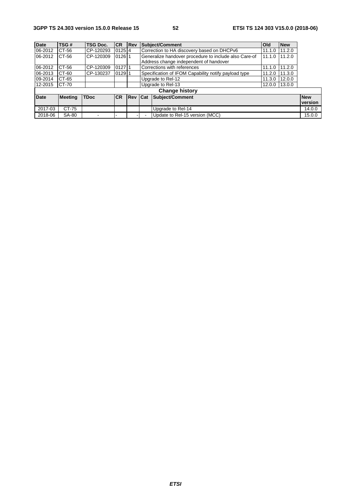| <b>Date</b> | TSG#           | <b>TSG Doc.</b> | <b>CR</b> | <b>Rev</b> |                                        | Subject/Comment                                                | <b>Old</b> | <b>New</b> |            |
|-------------|----------------|-----------------|-----------|------------|----------------------------------------|----------------------------------------------------------------|------------|------------|------------|
| 06-2012     | CT-56          | CP-120293       | $0125$ 4  |            |                                        | Correction to HA discovery based on DHCPv6<br>11.2.0<br>11.1.0 |            |            |            |
| 06-2012     | CT-56          | CP-120309       | 012611    |            |                                        | Generalize handover procedure to include also Care-of          | 11.1.0     | 11.2.0     |            |
|             |                |                 |           |            | Address change independent of handover |                                                                |            |            |            |
| 06-2012     | CT-56          | CP-120309       | 012711    |            |                                        | Corrections with references                                    | 11.1.0     | 11.2.0     |            |
| 06-2013     | CT-60          | CP-130237       | 01291     |            |                                        | Specification of IFOM Capability notify payload type           | 11.2.0     | 11.3.0     |            |
| 09-2014     | CT-65          |                 |           |            | Upgrade to Rel-12<br>12.0.0<br>11.3.0  |                                                                |            |            |            |
| 12-2015     | CT-70          |                 |           |            | Upgrade to Rel-13<br>13.0.0<br>12.0.0  |                                                                |            |            |            |
|             |                |                 |           |            |                                        | <b>Change history</b>                                          |            |            |            |
| <b>Date</b> | <b>Meeting</b> | <b>TDoc</b>     | <b>CR</b> | Rev Cat    |                                        | Subject/Comment                                                |            |            | <b>New</b> |
|             |                |                 |           |            |                                        |                                                                |            |            | version    |
| 2017-03     | CT-75          |                 |           |            |                                        | Upgrade to Rel-14                                              |            |            | 14.0.0     |
| 2018-06     | SA-80          |                 |           |            |                                        | Update to Rel-15 version (MCC)                                 |            |            | 15.0.0     |